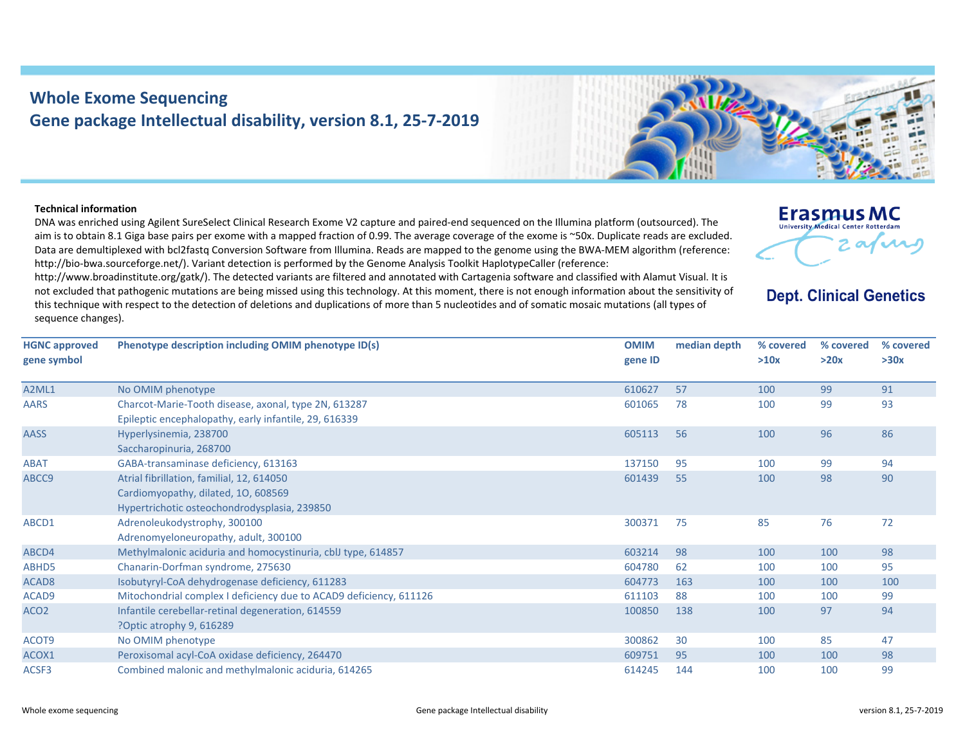## **Whole Exome Sequencing Gene package Intellectual disability, version 8.1, 25‐7‐2019**

## **Technical information**

DNA was enriched using Agilent SureSelect Clinical Research Exome V2 capture and paired‐end sequenced on the Illumina platform (outsourced). The aim is to obtain 8.1 Giga base pairs per exome with <sup>a</sup> mapped fraction of 0.99. The average coverage of the exome is ~50x. Duplicate reads are excluded. Data are demultiplexed with bcl2fastq Conversion Software from Illumina. Reads are mapped to the genome using the BWA‐MEM algorithm (reference: http://bio-bwa.sourceforge.net/). Variant detection is performed by the Genome Analysis Toolkit HaplotypeCaller (reference:

http://www.broadinstitute.org/gatk/). The detected variants are filtered and annotated with Cartagenia software and classified with Alamut Visual. It is not excluded that pathogenic mutations are being missed using this technology. At this moment, there is not enough information about the sensitivity of this technique with respect to the detection of deletions and duplications of more than 5 nucleotides and of somatic mosaic mutations (all types of sequence changes).

**Phenotype description including OMIM phenotype ID(s) OMIM**

| <b>HGNC approved</b><br>gene symbol | Phenotype description including OMIM phenotype ID(s)                                                                             | <b>OMIM</b><br>gene ID | median depth | % covered<br>>10x | % covered<br>>20x | % co<br>>30x |
|-------------------------------------|----------------------------------------------------------------------------------------------------------------------------------|------------------------|--------------|-------------------|-------------------|--------------|
| A2ML1                               | No OMIM phenotype                                                                                                                | 610627                 | 57           | 100               | 99                | 91           |
| <b>AARS</b>                         | Charcot-Marie-Tooth disease, axonal, type 2N, 613287<br>Epileptic encephalopathy, early infantile, 29, 616339                    | 601065                 | 78           | 100               | 99                | 93           |
| <b>AASS</b>                         | Hyperlysinemia, 238700<br>Saccharopinuria, 268700                                                                                | 605113                 | 56           | 100               | 96                | 86           |
| <b>ABAT</b>                         | GABA-transaminase deficiency, 613163                                                                                             | 137150                 | 95           | 100               | 99                | 94           |
| ABCC9                               | Atrial fibrillation, familial, 12, 614050<br>Cardiomyopathy, dilated, 10, 608569<br>Hypertrichotic osteochondrodysplasia, 239850 | 601439                 | 55           | 100               | 98                | 90           |
| ABCD1                               | Adrenoleukodystrophy, 300100<br>Adrenomyeloneuropathy, adult, 300100                                                             | 300371                 | 75           | 85                | 76                | 72           |
| ABCD4                               | Methylmalonic aciduria and homocystinuria, cblJ type, 614857                                                                     | 603214                 | 98           | 100               | 100               | 98           |
| ABHD5                               | Chanarin-Dorfman syndrome, 275630                                                                                                | 604780                 | 62           | 100               | 100               | 95           |
| ACAD <sub>8</sub>                   | Isobutyryl-CoA dehydrogenase deficiency, 611283                                                                                  | 604773                 | 163          | 100               | 100               | 100          |
| ACAD <sub>9</sub>                   | Mitochondrial complex I deficiency due to ACAD9 deficiency, 611126                                                               | 611103                 | 88           | 100               | 100               | 99           |
| ACO <sub>2</sub>                    | Infantile cerebellar-retinal degeneration, 614559                                                                                | 100850                 | 138          | 100               | 97                | 94           |

**Erasmus MC** University Medical Center Rotterdam

**depth % covered**

**median**

**Dept. Clinical Genetics** 

**% covered**

?Optic atrophy 9, 616289

No OMIM phenotype

ACOT<sub>9</sub>

ACOX1 Peroxisomal acyl‐CoA oxidase deficiency, 264470 609751 95 100 98 ACSF3 Combined malonic and methylmalonic aciduria, 614265 614245 144 100 100 99

phenotype 300862 30 100 85 47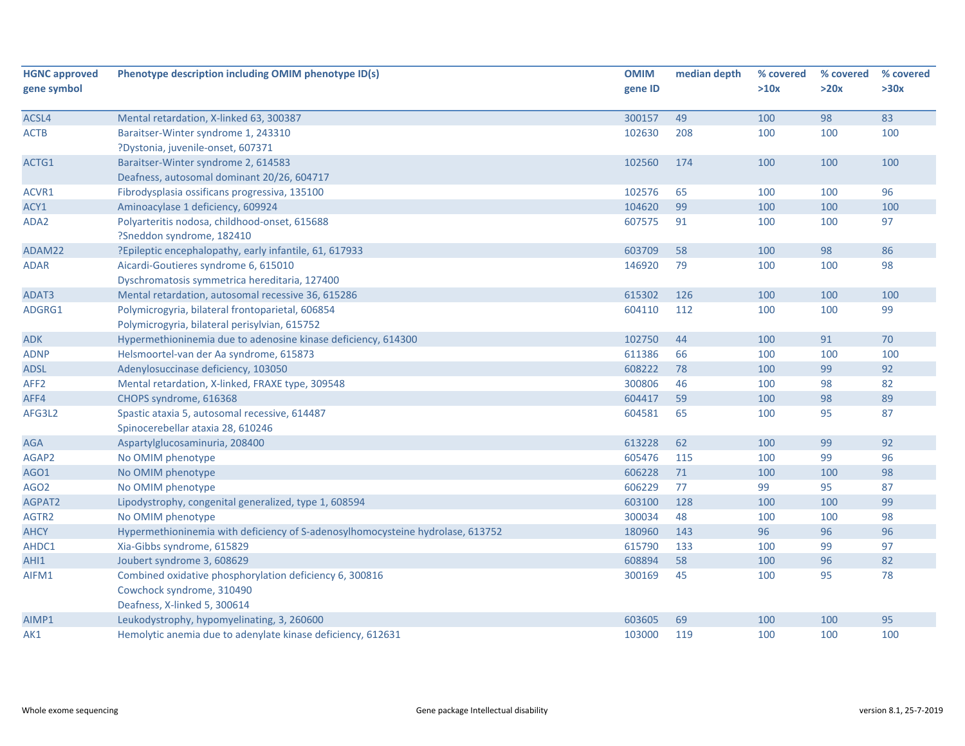| <b>HGNC approved</b><br>gene symbol | Phenotype description including OMIM phenotype ID(s)                           | <b>OMIM</b><br>gene ID | median depth | % covered<br>>10x | % covered<br>>20x | % covered<br>>30x |
|-------------------------------------|--------------------------------------------------------------------------------|------------------------|--------------|-------------------|-------------------|-------------------|
| ACSL4                               | Mental retardation, X-linked 63, 300387                                        | 300157                 | 49           | 100               | 98                | 83                |
| <b>ACTB</b>                         | Baraitser-Winter syndrome 1, 243310                                            | 102630                 | 208          | 100               | 100               | 100               |
|                                     | ?Dystonia, juvenile-onset, 607371                                              |                        |              |                   |                   |                   |
| ACTG1                               | Baraitser-Winter syndrome 2, 614583                                            | 102560                 | 174          | 100               | 100               | 100               |
|                                     | Deafness, autosomal dominant 20/26, 604717                                     |                        |              |                   |                   |                   |
| ACVR1                               | Fibrodysplasia ossificans progressiva, 135100                                  | 102576                 | 65           | 100               | 100               | 96                |
| ACY1                                | Aminoacylase 1 deficiency, 609924                                              | 104620                 | 99           | 100               | 100               | 100               |
| ADA2                                | Polyarteritis nodosa, childhood-onset, 615688                                  | 607575                 | 91           | 100               | 100               | 97                |
|                                     | ?Sneddon syndrome, 182410                                                      |                        |              |                   |                   |                   |
| ADAM22                              | ?Epileptic encephalopathy, early infantile, 61, 617933                         | 603709                 | 58           | 100               | 98                | 86                |
| <b>ADAR</b>                         | Aicardi-Goutieres syndrome 6, 615010                                           | 146920                 | 79           | 100               | 100               | 98                |
|                                     | Dyschromatosis symmetrica hereditaria, 127400                                  |                        |              |                   |                   |                   |
| ADAT3                               | Mental retardation, autosomal recessive 36, 615286                             | 615302                 | 126          | 100               | 100               | 100               |
| ADGRG1                              | Polymicrogyria, bilateral frontoparietal, 606854                               | 604110                 | 112          | 100               | 100               | 99                |
|                                     | Polymicrogyria, bilateral perisylvian, 615752                                  |                        |              |                   |                   |                   |
| <b>ADK</b>                          | Hypermethioninemia due to adenosine kinase deficiency, 614300                  | 102750                 | 44           | 100               | 91                | 70                |
| <b>ADNP</b>                         | Helsmoortel-van der Aa syndrome, 615873                                        | 611386                 | 66           | 100               | 100               | 100               |
| <b>ADSL</b>                         | Adenylosuccinase deficiency, 103050                                            | 608222                 | 78           | 100               | 99                | 92                |
| AFF <sub>2</sub>                    | Mental retardation, X-linked, FRAXE type, 309548                               | 300806                 | 46           | 100               | 98                | 82                |
| AFF4                                | CHOPS syndrome, 616368                                                         | 604417                 | 59           | 100               | 98                | 89                |
| AFG3L2                              | Spastic ataxia 5, autosomal recessive, 614487                                  | 604581                 | 65           | 100               | 95                | 87                |
|                                     | Spinocerebellar ataxia 28, 610246                                              |                        |              |                   |                   |                   |
| <b>AGA</b>                          | Aspartylglucosaminuria, 208400                                                 | 613228                 | 62           | 100               | 99                | 92                |
| AGAP2                               | No OMIM phenotype                                                              | 605476                 | 115          | 100               | 99                | 96                |
| AGO1                                | No OMIM phenotype                                                              | 606228                 | 71           | 100               | 100               | 98                |
| AGO <sub>2</sub>                    | No OMIM phenotype                                                              | 606229                 | 77           | 99                | 95                | 87                |
| AGPAT2                              | Lipodystrophy, congenital generalized, type 1, 608594                          | 603100                 | 128          | 100               | 100               | 99                |
| AGTR2                               | No OMIM phenotype                                                              | 300034                 | 48           | 100               | 100               | 98                |
| <b>AHCY</b>                         | Hypermethioninemia with deficiency of S-adenosylhomocysteine hydrolase, 613752 | 180960                 | 143          | 96                | 96                | 96                |
| AHDC1                               | Xia-Gibbs syndrome, 615829                                                     | 615790                 | 133          | 100               | 99                | 97                |
| AHI1                                | Joubert syndrome 3, 608629                                                     | 608894                 | 58           | 100               | 96                | 82                |
| AIFM1                               | Combined oxidative phosphorylation deficiency 6, 300816                        | 300169                 | 45           | 100               | 95                | 78                |
|                                     | Cowchock syndrome, 310490                                                      |                        |              |                   |                   |                   |
|                                     | Deafness, X-linked 5, 300614                                                   |                        |              |                   |                   |                   |
| AIMP1                               | Leukodystrophy, hypomyelinating, 3, 260600                                     | 603605                 | 69           | 100               | 100               | 95                |
| AK1                                 | Hemolytic anemia due to adenylate kinase deficiency, 612631                    | 103000                 | 119          | 100               | 100               | 100               |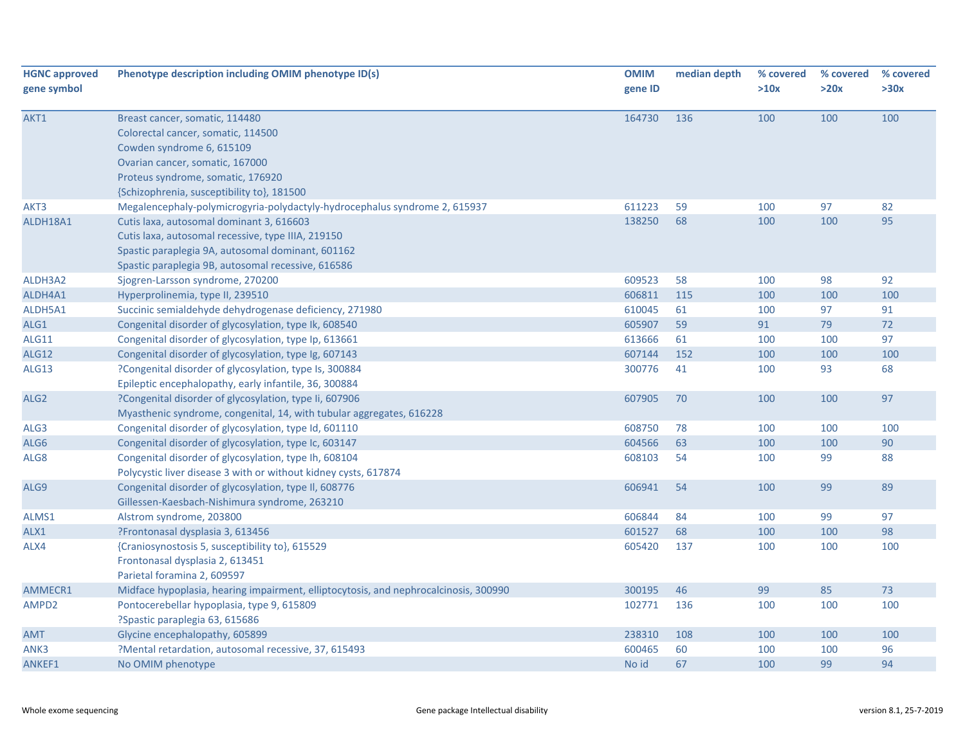| <b>HGNC approved</b><br>gene symbol | Phenotype description including OMIM phenotype ID(s)                                 | <b>OMIM</b><br>gene ID | median depth | % covered<br>>10x | % covered<br>>20x | % covered<br>>30x |
|-------------------------------------|--------------------------------------------------------------------------------------|------------------------|--------------|-------------------|-------------------|-------------------|
|                                     |                                                                                      |                        |              |                   |                   |                   |
| AKT1                                | Breast cancer, somatic, 114480<br>Colorectal cancer, somatic, 114500                 | 164730                 | 136          | 100               | 100               | 100               |
|                                     | Cowden syndrome 6, 615109                                                            |                        |              |                   |                   |                   |
|                                     | Ovarian cancer, somatic, 167000                                                      |                        |              |                   |                   |                   |
|                                     | Proteus syndrome, somatic, 176920                                                    |                        |              |                   |                   |                   |
|                                     | {Schizophrenia, susceptibility to}, 181500                                           |                        |              |                   |                   |                   |
| AKT3                                | Megalencephaly-polymicrogyria-polydactyly-hydrocephalus syndrome 2, 615937           | 611223                 | 59           | 100               | 97                | 82                |
| ALDH18A1                            | Cutis laxa, autosomal dominant 3, 616603                                             | 138250                 | 68           | 100               | 100               | 95                |
|                                     | Cutis laxa, autosomal recessive, type IIIA, 219150                                   |                        |              |                   |                   |                   |
|                                     | Spastic paraplegia 9A, autosomal dominant, 601162                                    |                        |              |                   |                   |                   |
|                                     | Spastic paraplegia 9B, autosomal recessive, 616586                                   |                        |              |                   |                   |                   |
| ALDH3A2                             | Sjogren-Larsson syndrome, 270200                                                     | 609523                 | 58           | 100               | 98                | 92                |
| ALDH4A1                             | Hyperprolinemia, type II, 239510                                                     | 606811                 | 115          | 100               | 100               | 100               |
| ALDH5A1                             | Succinic semialdehyde dehydrogenase deficiency, 271980                               | 610045                 | 61           | 100               | 97                | 91                |
| ALG1                                | Congenital disorder of glycosylation, type Ik, 608540                                | 605907                 | 59           | 91                | 79                | 72                |
| <b>ALG11</b>                        | Congenital disorder of glycosylation, type Ip, 613661                                | 613666                 | 61           | 100               | 100               | 97                |
| <b>ALG12</b>                        | Congenital disorder of glycosylation, type Ig, 607143                                | 607144                 | 152          | 100               | 100               | 100               |
| ALG13                               | ?Congenital disorder of glycosylation, type Is, 300884                               | 300776                 | 41           | 100               | 93                | 68                |
|                                     | Epileptic encephalopathy, early infantile, 36, 300884                                |                        |              |                   |                   |                   |
| ALG <sub>2</sub>                    | ?Congenital disorder of glycosylation, type Ii, 607906                               | 607905                 | 70           | 100               | 100               | 97                |
|                                     | Myasthenic syndrome, congenital, 14, with tubular aggregates, 616228                 |                        |              |                   |                   |                   |
| ALG3                                | Congenital disorder of glycosylation, type Id, 601110                                | 608750                 | 78           | 100               | 100               | 100               |
| ALG6                                | Congenital disorder of glycosylation, type Ic, 603147                                | 604566                 | 63           | 100               | 100               | 90                |
| ALG8                                | Congenital disorder of glycosylation, type Ih, 608104                                | 608103                 | 54           | 100               | 99                | 88                |
|                                     | Polycystic liver disease 3 with or without kidney cysts, 617874                      |                        |              |                   |                   |                   |
| ALG9                                | Congenital disorder of glycosylation, type II, 608776                                | 606941                 | 54           | 100               | 99                | 89                |
|                                     | Gillessen-Kaesbach-Nishimura syndrome, 263210                                        |                        |              |                   |                   |                   |
| ALMS1                               | Alstrom syndrome, 203800                                                             | 606844                 | 84           | 100               | 99                | 97                |
| ALX1                                | ?Frontonasal dysplasia 3, 613456                                                     | 601527                 | 68           | 100               | 100               | 98                |
| ALX4                                | {Craniosynostosis 5, susceptibility to}, 615529                                      | 605420                 | 137          | 100               | 100               | 100               |
|                                     | Frontonasal dysplasia 2, 613451                                                      |                        |              |                   |                   |                   |
|                                     | Parietal foramina 2, 609597                                                          |                        |              |                   |                   |                   |
| AMMECR1                             | Midface hypoplasia, hearing impairment, elliptocytosis, and nephrocalcinosis, 300990 | 300195                 | 46           | 99                | 85                | 73                |
| AMPD2                               | Pontocerebellar hypoplasia, type 9, 615809                                           | 102771                 | 136          | 100               | 100               | 100               |
|                                     | ?Spastic paraplegia 63, 615686                                                       |                        |              |                   |                   |                   |
| <b>AMT</b>                          | Glycine encephalopathy, 605899                                                       | 238310                 | 108          | 100               | 100               | 100               |
| ANK3                                | ?Mental retardation, autosomal recessive, 37, 615493                                 | 600465                 | 60           | 100               | 100               | 96                |
| ANKEF1                              | No OMIM phenotype                                                                    | No id                  | 67           | 100               | 99                | 94                |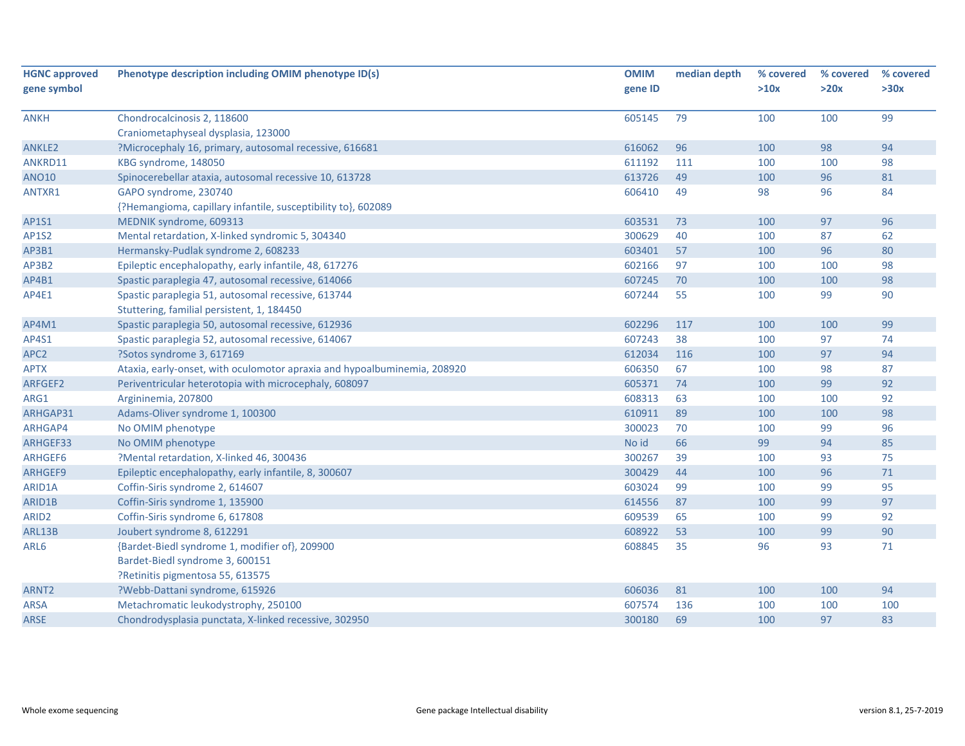| <b>HGNC approved</b> | Phenotype description including OMIM phenotype ID(s)                     | <b>OMIM</b> | median depth | % covered | % covered | % covered |
|----------------------|--------------------------------------------------------------------------|-------------|--------------|-----------|-----------|-----------|
| gene symbol          |                                                                          | gene ID     |              | >10x      | >20x      | >30x      |
|                      |                                                                          |             |              |           |           |           |
| <b>ANKH</b>          | Chondrocalcinosis 2, 118600                                              | 605145      | 79           | 100       | 100       | 99        |
|                      | Craniometaphyseal dysplasia, 123000                                      |             |              |           |           |           |
| ANKLE2               | ?Microcephaly 16, primary, autosomal recessive, 616681                   | 616062      | 96           | 100       | 98        | 94        |
| ANKRD11              | KBG syndrome, 148050                                                     | 611192      | 111          | 100       | 100       | 98        |
| <b>ANO10</b>         | Spinocerebellar ataxia, autosomal recessive 10, 613728                   | 613726      | 49           | 100       | 96        | 81        |
| ANTXR1               | GAPO syndrome, 230740                                                    | 606410      | 49           | 98        | 96        | 84        |
|                      | {?Hemangioma, capillary infantile, susceptibility to}, 602089            |             |              |           |           |           |
| AP1S1                | MEDNIK syndrome, 609313                                                  | 603531      | 73           | 100       | 97        | 96        |
| <b>AP1S2</b>         | Mental retardation, X-linked syndromic 5, 304340                         | 300629      | 40           | 100       | 87        | 62        |
| AP3B1                | Hermansky-Pudlak syndrome 2, 608233                                      | 603401      | 57           | 100       | 96        | 80        |
| AP3B2                | Epileptic encephalopathy, early infantile, 48, 617276                    | 602166      | 97           | 100       | 100       | 98        |
| AP4B1                | Spastic paraplegia 47, autosomal recessive, 614066                       | 607245      | 70           | 100       | 100       | 98        |
| AP4E1                | Spastic paraplegia 51, autosomal recessive, 613744                       | 607244      | 55           | 100       | 99        | 90        |
|                      | Stuttering, familial persistent, 1, 184450                               |             |              |           |           |           |
| AP4M1                | Spastic paraplegia 50, autosomal recessive, 612936                       | 602296      | 117          | 100       | 100       | 99        |
| AP4S1                | Spastic paraplegia 52, autosomal recessive, 614067                       | 607243      | 38           | 100       | 97        | 74        |
| APC <sub>2</sub>     | ?Sotos syndrome 3, 617169                                                | 612034      | 116          | 100       | 97        | 94        |
| <b>APTX</b>          | Ataxia, early-onset, with oculomotor apraxia and hypoalbuminemia, 208920 | 606350      | 67           | 100       | 98        | 87        |
| ARFGEF2              | Periventricular heterotopia with microcephaly, 608097                    | 605371      | 74           | 100       | 99        | 92        |
| ARG1                 | Argininemia, 207800                                                      | 608313      | 63           | 100       | 100       | 92        |
| ARHGAP31             | Adams-Oliver syndrome 1, 100300                                          | 610911      | 89           | 100       | 100       | 98        |
| ARHGAP4              | No OMIM phenotype                                                        | 300023      | 70           | 100       | 99        | 96        |
| ARHGEF33             | No OMIM phenotype                                                        | No id       | 66           | 99        | 94        | 85        |
| ARHGEF6              | ?Mental retardation, X-linked 46, 300436                                 | 300267      | 39           | 100       | 93        | 75        |
| ARHGEF9              | Epileptic encephalopathy, early infantile, 8, 300607                     | 300429      | 44           | 100       | 96        | 71        |
| ARID1A               | Coffin-Siris syndrome 2, 614607                                          | 603024      | 99           | 100       | 99        | 95        |
| ARID1B               | Coffin-Siris syndrome 1, 135900                                          | 614556      | 87           | 100       | 99        | 97        |
| ARID <sub>2</sub>    | Coffin-Siris syndrome 6, 617808                                          | 609539      | 65           | 100       | 99        | 92        |
| ARL13B               | Joubert syndrome 8, 612291                                               | 608922      | 53           | 100       | 99        | 90        |
| ARL6                 | {Bardet-Biedl syndrome 1, modifier of}, 209900                           | 608845      | 35           | 96        | 93        | 71        |
|                      | Bardet-Biedl syndrome 3, 600151                                          |             |              |           |           |           |
|                      | ?Retinitis pigmentosa 55, 613575                                         |             |              |           |           |           |
| ARNT <sub>2</sub>    | ?Webb-Dattani syndrome, 615926                                           | 606036      | 81           | 100       | 100       | 94        |
| <b>ARSA</b>          | Metachromatic leukodystrophy, 250100                                     | 607574      | 136          | 100       | 100       | 100       |
| ARSE                 | Chondrodysplasia punctata, X-linked recessive, 302950                    | 300180      | 69           | 100       | 97        | 83        |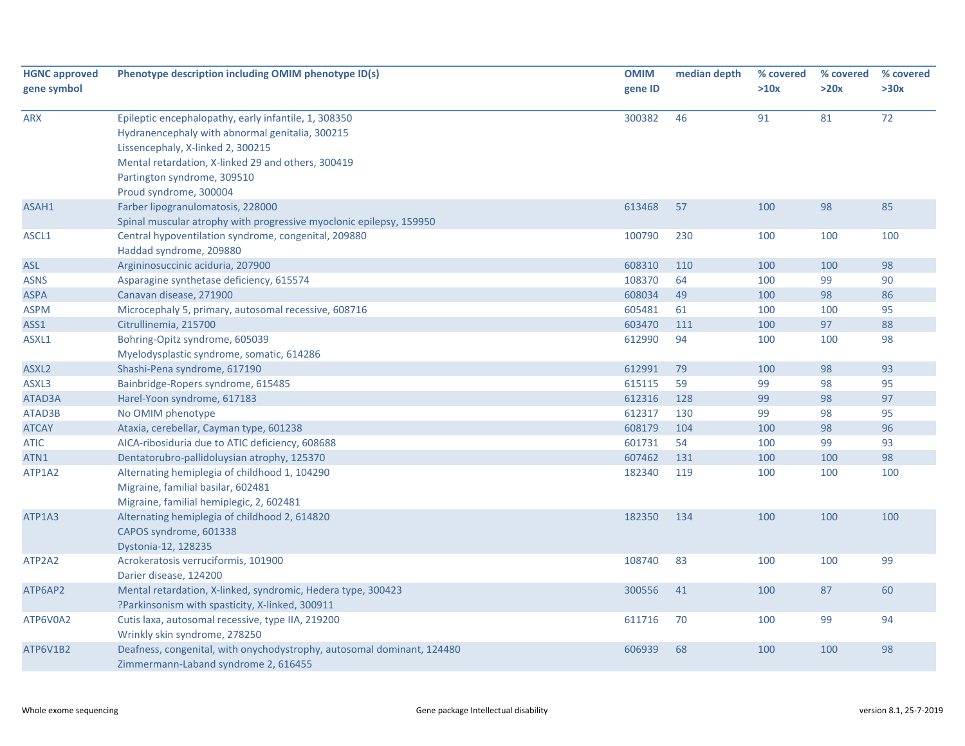| <b>HGNC approved</b> | Phenotype description including OMIM phenotype ID(s)                                                           | <b>OMIM</b> | median depth | % covered | % covered | % covered |
|----------------------|----------------------------------------------------------------------------------------------------------------|-------------|--------------|-----------|-----------|-----------|
| gene symbol          |                                                                                                                | gene ID     |              | >10x      | >20x      | >30x      |
|                      |                                                                                                                |             |              |           |           |           |
| <b>ARX</b>           | Epileptic encephalopathy, early infantile, 1, 308350<br>Hydranencephaly with abnormal genitalia, 300215        | 300382      | 46           | 91        | 81        | 72        |
|                      | Lissencephaly, X-linked 2, 300215<br>Mental retardation, X-linked 29 and others, 300419                        |             |              |           |           |           |
|                      | Partington syndrome, 309510                                                                                    |             |              |           |           |           |
|                      | Proud syndrome, 300004                                                                                         |             |              |           |           |           |
| ASAH1                | Farber lipogranulomatosis, 228000                                                                              | 613468      | 57           | 100       | 98        | 85        |
|                      | Spinal muscular atrophy with progressive myoclonic epilepsy, 159950                                            |             |              |           |           |           |
| ASCL1                | Central hypoventilation syndrome, congenital, 209880                                                           | 100790      | 230          | 100       | 100       | 100       |
|                      | Haddad syndrome, 209880                                                                                        |             |              |           |           |           |
| <b>ASL</b>           | Argininosuccinic aciduria, 207900                                                                              | 608310      | 110          | 100       | 100       | 98        |
| <b>ASNS</b>          | Asparagine synthetase deficiency, 615574                                                                       | 108370      | 64           | 100       | 99        | 90        |
| <b>ASPA</b>          | Canavan disease, 271900                                                                                        | 608034      | 49           | 100       | 98        | 86        |
| ASPM                 | Microcephaly 5, primary, autosomal recessive, 608716                                                           | 605481      | 61           | 100       | 100       | 95        |
| ASS1                 | Citrullinemia, 215700                                                                                          | 603470      | 111          | 100       | 97        | 88        |
| ASXL1                | Bohring-Opitz syndrome, 605039                                                                                 | 612990      | 94           | 100       | 100       | 98        |
|                      | Myelodysplastic syndrome, somatic, 614286                                                                      |             |              |           |           |           |
| ASXL <sub>2</sub>    | Shashi-Pena syndrome, 617190                                                                                   | 612991      | 79           | 100       | 98        | 93        |
| ASXL3                | Bainbridge-Ropers syndrome, 615485                                                                             | 615115      | 59           | 99        | 98        | 95        |
| ATAD3A               | Harel-Yoon syndrome, 617183                                                                                    | 612316      | 128          | 99        | 98        | 97        |
| ATAD3B               | No OMIM phenotype                                                                                              | 612317      | 130          | 99        | 98        | 95        |
| <b>ATCAY</b>         | Ataxia, cerebellar, Cayman type, 601238                                                                        | 608179      | 104          | 100       | 98        | 96        |
| <b>ATIC</b>          | AICA-ribosiduria due to ATIC deficiency, 608688                                                                | 601731      | 54           | 100       | 99        | 93        |
| ATN1                 | Dentatorubro-pallidoluysian atrophy, 125370                                                                    | 607462      | 131          | 100       | 100       | 98        |
| ATP1A2               | Alternating hemiplegia of childhood 1, 104290                                                                  | 182340      | 119          | 100       | 100       | 100       |
|                      | Migraine, familial basilar, 602481                                                                             |             |              |           |           |           |
|                      | Migraine, familial hemiplegic, 2, 602481                                                                       |             |              |           |           |           |
| ATP1A3               | Alternating hemiplegia of childhood 2, 614820                                                                  | 182350      | 134          | 100       | 100       | 100       |
|                      | CAPOS syndrome, 601338                                                                                         |             |              |           |           |           |
|                      | Dystonia-12, 128235                                                                                            |             |              |           |           |           |
| ATP2A2               | Acrokeratosis verruciformis, 101900                                                                            | 108740      | 83           | 100       | 100       | 99        |
|                      | Darier disease, 124200                                                                                         |             |              |           |           |           |
| ATP6AP2              | Mental retardation, X-linked, syndromic, Hedera type, 300423                                                   | 300556      | 41           | 100       | 87        | 60        |
|                      | ?Parkinsonism with spasticity, X-linked, 300911                                                                |             |              |           |           |           |
| ATP6V0A2             | Cutis laxa, autosomal recessive, type IIA, 219200                                                              | 611716      | 70           | 100       | 99        | 94        |
|                      | Wrinkly skin syndrome, 278250                                                                                  |             |              |           |           |           |
| ATP6V1B2             | Deafness, congenital, with onychodystrophy, autosomal dominant, 124480<br>Zimmermann-Laband syndrome 2, 616455 | 606939      | 68           | 100       | 100       | 98        |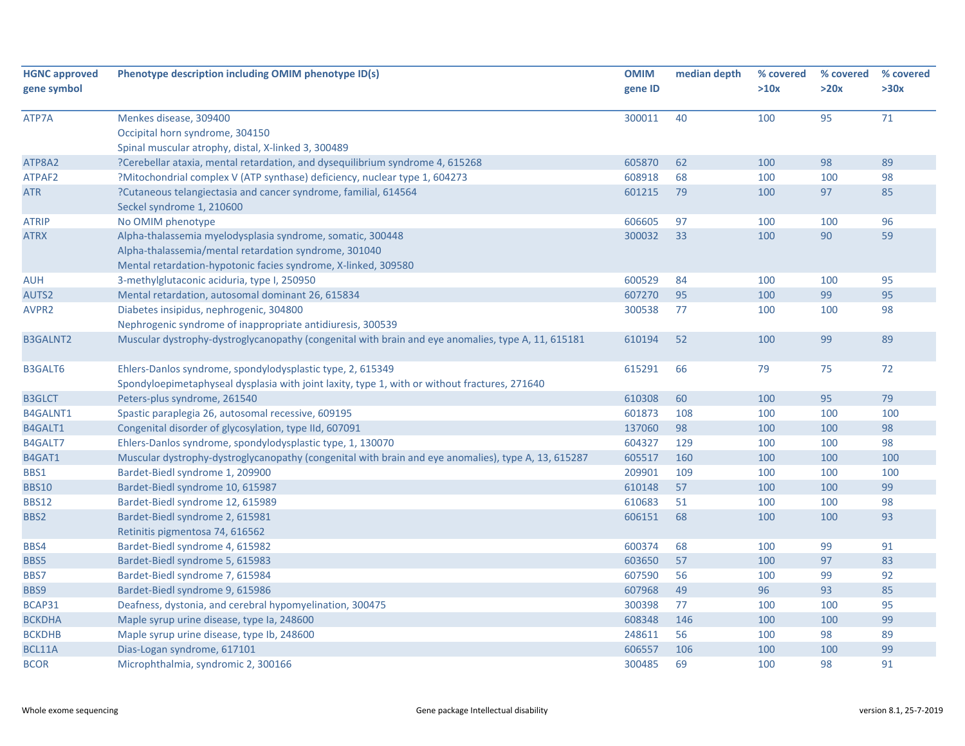| <b>HGNC approved</b> | Phenotype description including OMIM phenotype ID(s)                                                | <b>OMIM</b> | median depth | % covered | % covered | % covered |
|----------------------|-----------------------------------------------------------------------------------------------------|-------------|--------------|-----------|-----------|-----------|
| gene symbol          |                                                                                                     | gene ID     |              | >10x      | >20x      | >30x      |
| ATP7A                | Menkes disease, 309400                                                                              | 300011      | 40           | 100       | 95        | 71        |
|                      | Occipital horn syndrome, 304150                                                                     |             |              |           |           |           |
|                      | Spinal muscular atrophy, distal, X-linked 3, 300489                                                 |             |              |           |           |           |
| ATP8A2               | ?Cerebellar ataxia, mental retardation, and dysequilibrium syndrome 4, 615268                       | 605870      | 62           | 100       | 98        | 89        |
| ATPAF2               | ?Mitochondrial complex V (ATP synthase) deficiency, nuclear type 1, 604273                          | 608918      | 68           | 100       | 100       | 98        |
| <b>ATR</b>           | ?Cutaneous telangiectasia and cancer syndrome, familial, 614564                                     | 601215      | 79           | 100       | 97        | 85        |
|                      | Seckel syndrome 1, 210600                                                                           |             |              |           |           |           |
| <b>ATRIP</b>         | No OMIM phenotype                                                                                   | 606605      | 97           | 100       | 100       | 96        |
| <b>ATRX</b>          | Alpha-thalassemia myelodysplasia syndrome, somatic, 300448                                          | 300032      | 33           | 100       | 90        | 59        |
|                      | Alpha-thalassemia/mental retardation syndrome, 301040                                               |             |              |           |           |           |
|                      | Mental retardation-hypotonic facies syndrome, X-linked, 309580                                      |             |              |           |           |           |
| <b>AUH</b>           | 3-methylglutaconic aciduria, type I, 250950                                                         | 600529      | 84           | 100       | 100       | 95        |
| AUTS2                | Mental retardation, autosomal dominant 26, 615834                                                   | 607270      | 95           | 100       | 99        | 95        |
| AVPR <sub>2</sub>    | Diabetes insipidus, nephrogenic, 304800                                                             | 300538      | 77           | 100       | 100       | 98        |
|                      | Nephrogenic syndrome of inappropriate antidiuresis, 300539                                          |             |              |           |           |           |
| <b>B3GALNT2</b>      | Muscular dystrophy-dystroglycanopathy (congenital with brain and eye anomalies, type A, 11, 615181  | 610194      | 52           | 100       | 99        | 89        |
| <b>B3GALT6</b>       | Ehlers-Danlos syndrome, spondylodysplastic type, 2, 615349                                          | 615291      | 66           | 79        | 75        | 72        |
|                      | Spondyloepimetaphyseal dysplasia with joint laxity, type 1, with or without fractures, 271640       |             |              |           |           |           |
| <b>B3GLCT</b>        | Peters-plus syndrome, 261540                                                                        | 610308      | 60           | 100       | 95        | 79        |
| B4GALNT1             | Spastic paraplegia 26, autosomal recessive, 609195                                                  | 601873      | 108          | 100       | 100       | 100       |
| B4GALT1              | Congenital disorder of glycosylation, type IId, 607091                                              | 137060      | 98           | 100       | 100       | 98        |
| B4GALT7              | Ehlers-Danlos syndrome, spondylodysplastic type, 1, 130070                                          | 604327      | 129          | 100       | 100       | 98        |
| B4GAT1               | Muscular dystrophy-dystroglycanopathy (congenital with brain and eye anomalies), type A, 13, 615287 | 605517      | 160          | 100       | 100       | 100       |
| BBS1                 | Bardet-Biedl syndrome 1, 209900                                                                     | 209901      | 109          | 100       | 100       | 100       |
| <b>BBS10</b>         | Bardet-Biedl syndrome 10, 615987                                                                    | 610148      | 57           | 100       | 100       | 99        |
| <b>BBS12</b>         | Bardet-Biedl syndrome 12, 615989                                                                    | 610683      | 51           | 100       | 100       | 98        |
| BBS2                 | Bardet-Biedl syndrome 2, 615981                                                                     | 606151      | 68           | 100       | 100       | 93        |
|                      | Retinitis pigmentosa 74, 616562                                                                     |             |              |           |           |           |
| BBS4                 | Bardet-Biedl syndrome 4, 615982                                                                     | 600374      | 68           | 100       | 99        | 91        |
| BBS5                 | Bardet-Biedl syndrome 5, 615983                                                                     | 603650      | 57           | 100       | 97        | 83        |
| BBS7                 | Bardet-Biedl syndrome 7, 615984                                                                     | 607590      | 56           | 100       | 99        | 92        |
| BBS9                 | Bardet-Biedl syndrome 9, 615986                                                                     | 607968      | 49           | 96        | 93        | 85        |
| BCAP31               | Deafness, dystonia, and cerebral hypomyelination, 300475                                            | 300398      | 77           | 100       | 100       | 95        |
| <b>BCKDHA</b>        | Maple syrup urine disease, type Ia, 248600                                                          | 608348      | 146          | 100       | 100       | 99        |
| <b>BCKDHB</b>        | Maple syrup urine disease, type lb, 248600                                                          | 248611      | 56           | 100       | 98        | 89        |
| BCL11A               | Dias-Logan syndrome, 617101                                                                         | 606557      | 106          | 100       | 100       | 99        |
| <b>BCOR</b>          | Microphthalmia, syndromic 2, 300166                                                                 | 300485      | 69           | 100       | 98        | 91        |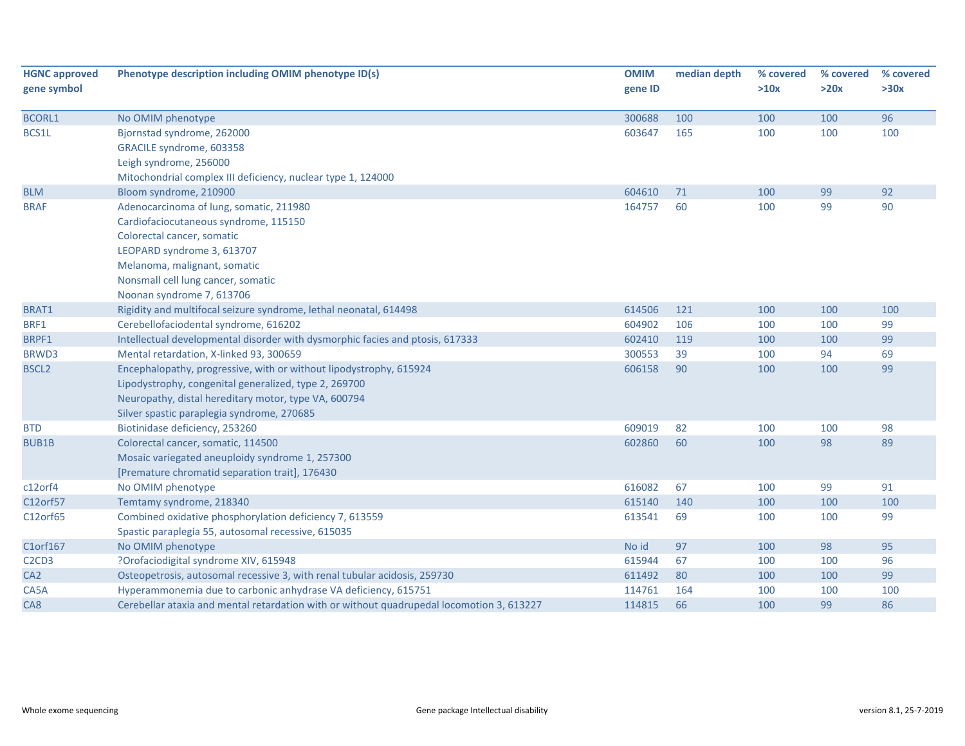| <b>HGNC approved</b>                       | Phenotype description including OMIM phenotype ID(s)                                      | <b>OMIM</b> | median depth | % covered | % covered | % covered |
|--------------------------------------------|-------------------------------------------------------------------------------------------|-------------|--------------|-----------|-----------|-----------|
| gene symbol                                |                                                                                           | gene ID     |              | >10x      | >20x      | >30x      |
|                                            |                                                                                           |             |              |           |           |           |
| <b>BCORL1</b>                              | No OMIM phenotype                                                                         | 300688      | 100          | 100       | 100       | 96        |
| BCS1L                                      | Bjornstad syndrome, 262000                                                                | 603647      | 165          | 100       | 100       | 100       |
|                                            | GRACILE syndrome, 603358                                                                  |             |              |           |           |           |
|                                            | Leigh syndrome, 256000                                                                    |             |              |           |           |           |
|                                            | Mitochondrial complex III deficiency, nuclear type 1, 124000                              |             |              |           |           |           |
| <b>BLM</b>                                 | Bloom syndrome, 210900                                                                    | 604610      | 71           | 100       | 99        | 92        |
| <b>BRAF</b>                                | Adenocarcinoma of lung, somatic, 211980                                                   | 164757      | 60           | 100       | 99        | 90        |
|                                            | Cardiofaciocutaneous syndrome, 115150                                                     |             |              |           |           |           |
|                                            | Colorectal cancer, somatic                                                                |             |              |           |           |           |
|                                            | LEOPARD syndrome 3, 613707                                                                |             |              |           |           |           |
|                                            | Melanoma, malignant, somatic                                                              |             |              |           |           |           |
|                                            | Nonsmall cell lung cancer, somatic                                                        |             |              |           |           |           |
|                                            | Noonan syndrome 7, 613706                                                                 |             |              |           |           |           |
| BRAT1                                      | Rigidity and multifocal seizure syndrome, lethal neonatal, 614498                         | 614506      | 121          | 100       | 100       | 100       |
| BRF1                                       | Cerebellofaciodental syndrome, 616202                                                     | 604902      | 106          | 100       | 100       | 99        |
| BRPF1                                      | Intellectual developmental disorder with dysmorphic facies and ptosis, 617333             | 602410      | 119          | 100       | 100       | 99        |
| BRWD3                                      | Mental retardation, X-linked 93, 300659                                                   | 300553      | 39           | 100       | 94        | 69        |
| <b>BSCL2</b>                               | Encephalopathy, progressive, with or without lipodystrophy, 615924                        | 606158      | 90           | 100       | 100       | 99        |
|                                            | Lipodystrophy, congenital generalized, type 2, 269700                                     |             |              |           |           |           |
|                                            | Neuropathy, distal hereditary motor, type VA, 600794                                      |             |              |           |           |           |
|                                            | Silver spastic paraplegia syndrome, 270685                                                |             |              |           |           |           |
| <b>BTD</b>                                 | Biotinidase deficiency, 253260                                                            | 609019      | 82           | 100       | 100       | 98        |
| <b>BUB1B</b>                               | Colorectal cancer, somatic, 114500                                                        | 602860      | 60           | 100       | 98        | 89        |
|                                            | Mosaic variegated aneuploidy syndrome 1, 257300                                           |             |              |           |           |           |
|                                            | [Premature chromatid separation trait], 176430                                            |             |              |           |           |           |
| c12orf4                                    | No OMIM phenotype                                                                         | 616082      | 67           | 100       | 99        | 91        |
| C12orf57                                   | Temtamy syndrome, 218340                                                                  | 615140      | 140          | 100       | 100       | 100       |
| C12orf65                                   | Combined oxidative phosphorylation deficiency 7, 613559                                   | 613541      | 69           | 100       | 100       | 99        |
|                                            | Spastic paraplegia 55, autosomal recessive, 615035                                        |             |              |           |           |           |
| C1orf167                                   | No OMIM phenotype                                                                         | No id       | 97           | 100       | 98        | 95        |
| C <sub>2</sub> C <sub>D</sub> <sub>3</sub> | ?Orofaciodigital syndrome XIV, 615948                                                     | 615944      | 67           | 100       | 100       | 96        |
| CA <sub>2</sub>                            | Osteopetrosis, autosomal recessive 3, with renal tubular acidosis, 259730                 | 611492      | 80           | 100       | 100       | 99        |
| CA5A                                       | Hyperammonemia due to carbonic anhydrase VA deficiency, 615751                            | 114761      | 164          | 100       | 100       | 100       |
| CA <sub>8</sub>                            | Cerebellar ataxia and mental retardation with or without quadrupedal locomotion 3, 613227 | 114815      | 66           | 100       | 99        | 86        |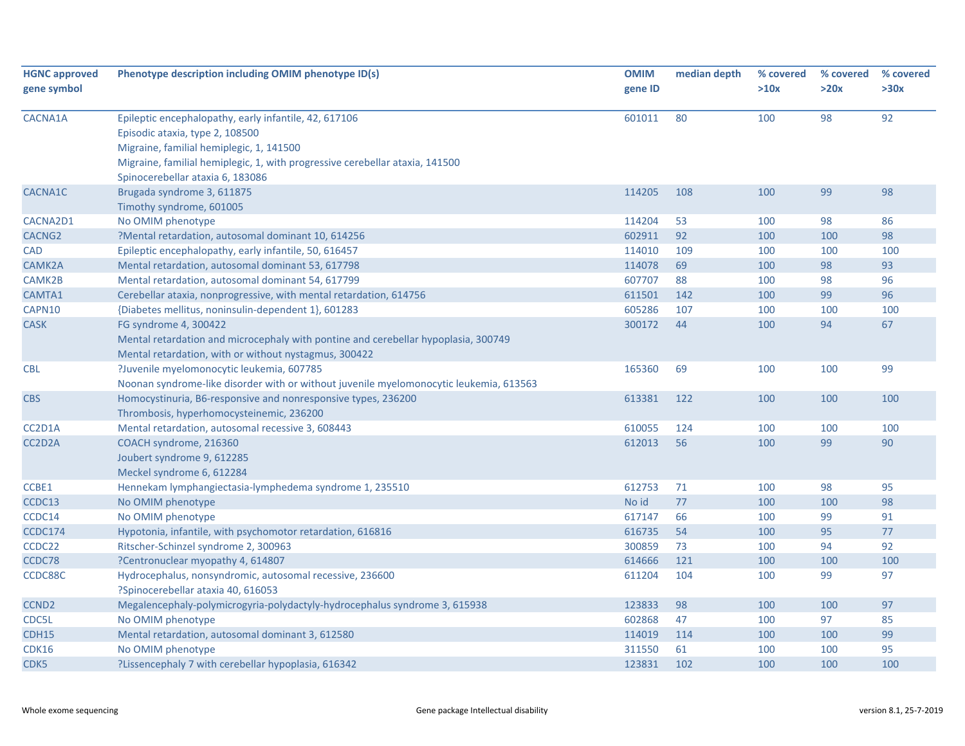| <b>HGNC approved</b> | Phenotype description including OMIM phenotype ID(s)                                   | <b>OMIM</b> | median depth | % covered | % covered | % covered |
|----------------------|----------------------------------------------------------------------------------------|-------------|--------------|-----------|-----------|-----------|
| gene symbol          |                                                                                        | gene ID     |              | >10x      | >20x      | >30x      |
| CACNA1A              | Epileptic encephalopathy, early infantile, 42, 617106                                  | 601011      | 80           | 100       | 98        | 92        |
|                      | Episodic ataxia, type 2, 108500                                                        |             |              |           |           |           |
|                      | Migraine, familial hemiplegic, 1, 141500                                               |             |              |           |           |           |
|                      | Migraine, familial hemiplegic, 1, with progressive cerebellar ataxia, 141500           |             |              |           |           |           |
|                      | Spinocerebellar ataxia 6, 183086                                                       |             |              |           |           |           |
| CACNA1C              | Brugada syndrome 3, 611875                                                             | 114205      | 108          | 100       | 99        | 98        |
|                      | Timothy syndrome, 601005                                                               |             |              |           |           |           |
| CACNA2D1             | No OMIM phenotype                                                                      | 114204      | 53           | 100       | 98        | 86        |
| CACNG <sub>2</sub>   | ?Mental retardation, autosomal dominant 10, 614256                                     | 602911      | 92           | 100       | 100       | 98        |
| <b>CAD</b>           | Epileptic encephalopathy, early infantile, 50, 616457                                  | 114010      | 109          | 100       | 100       | 100       |
| CAMK2A               | Mental retardation, autosomal dominant 53, 617798                                      | 114078      | 69           | 100       | 98        | 93        |
| CAMK2B               | Mental retardation, autosomal dominant 54, 617799                                      | 607707      | 88           | 100       | 98        | 96        |
| CAMTA1               | Cerebellar ataxia, nonprogressive, with mental retardation, 614756                     | 611501      | 142          | 100       | 99        | 96        |
| CAPN10               | {Diabetes mellitus, noninsulin-dependent 1}, 601283                                    | 605286      | 107          | 100       | 100       | 100       |
| <b>CASK</b>          | FG syndrome 4, 300422                                                                  | 300172      | 44           | 100       | 94        | 67        |
|                      | Mental retardation and microcephaly with pontine and cerebellar hypoplasia, 300749     |             |              |           |           |           |
|                      | Mental retardation, with or without nystagmus, 300422                                  |             |              |           |           |           |
| <b>CBL</b>           | ?Juvenile myelomonocytic leukemia, 607785                                              | 165360      | 69           | 100       | 100       | 99        |
|                      | Noonan syndrome-like disorder with or without juvenile myelomonocytic leukemia, 613563 |             |              |           |           |           |
| <b>CBS</b>           | Homocystinuria, B6-responsive and nonresponsive types, 236200                          | 613381      | 122          | 100       | 100       | 100       |
|                      | Thrombosis, hyperhomocysteinemic, 236200                                               |             |              |           |           |           |
| CC2D1A               | Mental retardation, autosomal recessive 3, 608443                                      | 610055      | 124          | 100       | 100       | 100       |
| CC2D2A               | COACH syndrome, 216360                                                                 | 612013      | 56           | 100       | 99        | 90        |
|                      | Joubert syndrome 9, 612285                                                             |             |              |           |           |           |
|                      | Meckel syndrome 6, 612284                                                              |             |              |           |           |           |
| CCBE1                | Hennekam lymphangiectasia-lymphedema syndrome 1, 235510                                | 612753      | 71           | 100       | 98        | 95        |
| CCDC13               | No OMIM phenotype                                                                      | No id       | 77           | 100       | 100       | 98        |
| CCDC14               | No OMIM phenotype                                                                      | 617147      | 66           | 100       | 99        | 91        |
| <b>CCDC174</b>       | Hypotonia, infantile, with psychomotor retardation, 616816                             | 616735      | 54           | 100       | 95        | 77        |
| CCDC22               | Ritscher-Schinzel syndrome 2, 300963                                                   | 300859      | 73           | 100       | 94        | 92        |
| CCDC78               | ?Centronuclear myopathy 4, 614807                                                      | 614666      | 121          | 100       | 100       | 100       |
| CCDC88C              | Hydrocephalus, nonsyndromic, autosomal recessive, 236600                               | 611204      | 104          | 100       | 99        | 97        |
|                      | ?Spinocerebellar ataxia 40, 616053                                                     |             |              |           |           |           |
| CCND <sub>2</sub>    | Megalencephaly-polymicrogyria-polydactyly-hydrocephalus syndrome 3, 615938             | 123833      | 98           | 100       | 100       | 97        |
| CDC5L                | No OMIM phenotype                                                                      | 602868      | 47           | 100       | 97        | 85        |
| CDH15                | Mental retardation, autosomal dominant 3, 612580                                       | 114019      | 114          | 100       | 100       | 99        |
| <b>CDK16</b>         | No OMIM phenotype                                                                      | 311550      | 61           | 100       | 100       | 95        |
| CDK5                 | ?Lissencephaly 7 with cerebellar hypoplasia, 616342                                    | 123831      | 102          | 100       | 100       | 100       |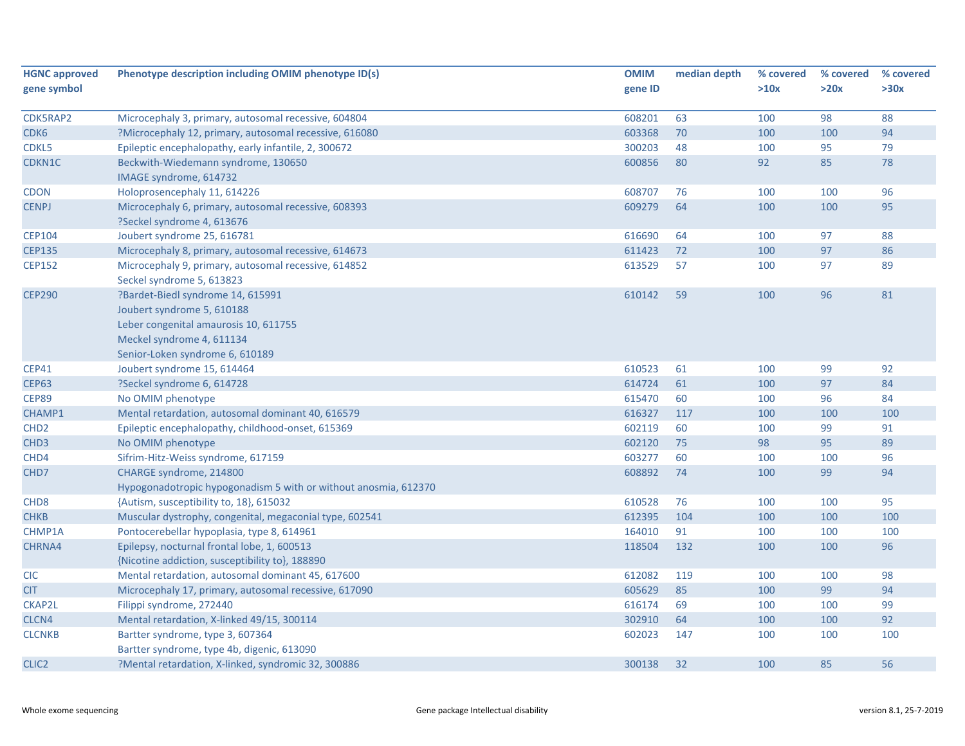| <b>HGNC approved</b> | Phenotype description including OMIM phenotype ID(s)            | <b>OMIM</b> | median depth | % covered | % covered | % covered |
|----------------------|-----------------------------------------------------------------|-------------|--------------|-----------|-----------|-----------|
| gene symbol          |                                                                 | gene ID     |              | >10x      | >20x      | >30x      |
|                      |                                                                 |             |              |           |           |           |
| CDK5RAP2             | Microcephaly 3, primary, autosomal recessive, 604804            | 608201      | 63           | 100       | 98        | 88        |
| CDK6                 | ?Microcephaly 12, primary, autosomal recessive, 616080          | 603368      | 70           | 100       | 100       | 94        |
| CDKL5                | Epileptic encephalopathy, early infantile, 2, 300672            | 300203      | 48           | 100       | 95        | 79        |
| CDKN1C               | Beckwith-Wiedemann syndrome, 130650<br>IMAGE syndrome, 614732   | 600856      | 80           | 92        | 85        | 78        |
| <b>CDON</b>          | Holoprosencephaly 11, 614226                                    | 608707      | 76           | 100       | 100       | 96        |
| <b>CENPJ</b>         | Microcephaly 6, primary, autosomal recessive, 608393            | 609279      | 64           | 100       | 100       | 95        |
|                      | ?Seckel syndrome 4, 613676                                      |             |              |           |           |           |
| <b>CEP104</b>        | Joubert syndrome 25, 616781                                     | 616690      | 64           | 100       | 97        | 88        |
| <b>CEP135</b>        | Microcephaly 8, primary, autosomal recessive, 614673            | 611423      | 72           | 100       | 97        | 86        |
| <b>CEP152</b>        | Microcephaly 9, primary, autosomal recessive, 614852            | 613529      | 57           | 100       | 97        | 89        |
|                      | Seckel syndrome 5, 613823                                       |             |              |           |           |           |
| <b>CEP290</b>        | ?Bardet-Biedl syndrome 14, 615991                               | 610142      | 59           | 100       | 96        | 81        |
|                      | Joubert syndrome 5, 610188                                      |             |              |           |           |           |
|                      | Leber congenital amaurosis 10, 611755                           |             |              |           |           |           |
|                      | Meckel syndrome 4, 611134                                       |             |              |           |           |           |
|                      | Senior-Loken syndrome 6, 610189                                 |             |              |           |           |           |
| <b>CEP41</b>         | Joubert syndrome 15, 614464                                     | 610523      | 61           | 100       | 99        | 92        |
| <b>CEP63</b>         | ?Seckel syndrome 6, 614728                                      | 614724      | 61           | 100       | 97        | 84        |
| <b>CEP89</b>         | No OMIM phenotype                                               | 615470      | 60           | 100       | 96        | 84        |
| CHAMP1               | Mental retardation, autosomal dominant 40, 616579               | 616327      | 117          | 100       | 100       | 100       |
| CHD <sub>2</sub>     | Epileptic encephalopathy, childhood-onset, 615369               | 602119      | 60           | 100       | 99        | 91        |
| CHD <sub>3</sub>     | No OMIM phenotype                                               | 602120      | 75           | 98        | 95        | 89        |
| CHD4                 | Sifrim-Hitz-Weiss syndrome, 617159                              | 603277      | 60           | 100       | 100       | 96        |
| CHD7                 | CHARGE syndrome, 214800                                         | 608892      | 74           | 100       | 99        | 94        |
|                      | Hypogonadotropic hypogonadism 5 with or without anosmia, 612370 |             |              |           |           |           |
| CHD <sub>8</sub>     | {Autism, susceptibility to, 18}, 615032                         | 610528      | 76           | 100       | 100       | 95        |
| <b>CHKB</b>          | Muscular dystrophy, congenital, megaconial type, 602541         | 612395      | 104          | 100       | 100       | 100       |
| CHMP1A               | Pontocerebellar hypoplasia, type 8, 614961                      | 164010      | 91           | 100       | 100       | 100       |
| CHRNA4               | Epilepsy, nocturnal frontal lobe, 1, 600513                     | 118504      | 132          | 100       | 100       | 96        |
|                      | {Nicotine addiction, susceptibility to}, 188890                 |             |              |           |           |           |
| <b>CIC</b>           | Mental retardation, autosomal dominant 45, 617600               | 612082      | 119          | 100       | 100       | 98        |
| <b>CIT</b>           | Microcephaly 17, primary, autosomal recessive, 617090           | 605629      | 85           | 100       | 99        | 94        |
| <b>CKAP2L</b>        | Filippi syndrome, 272440                                        | 616174      | 69           | 100       | 100       | 99        |
| CLCN4                | Mental retardation, X-linked 49/15, 300114                      | 302910      | 64           | 100       | 100       | 92        |
| <b>CLCNKB</b>        | Bartter syndrome, type 3, 607364                                | 602023      | 147          | 100       | 100       | 100       |
|                      | Bartter syndrome, type 4b, digenic, 613090                      |             |              |           |           |           |
| CLIC <sub>2</sub>    | ?Mental retardation, X-linked, syndromic 32, 300886             | 300138      | 32           | 100       | 85        | 56        |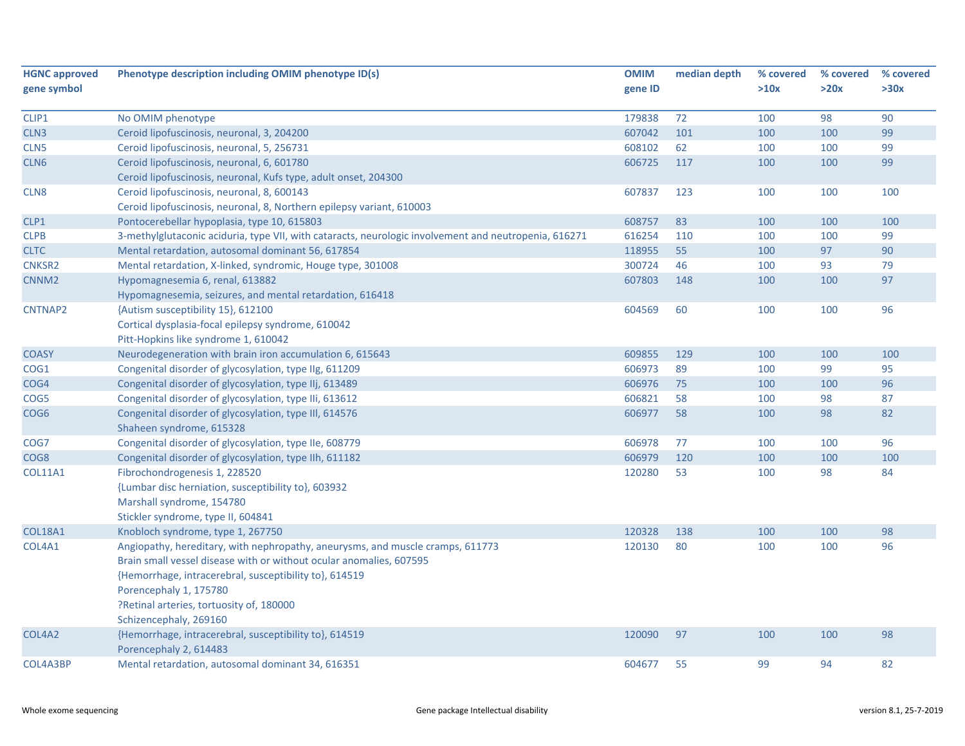| <b>HGNC approved</b> | Phenotype description including OMIM phenotype ID(s)                                                  | <b>OMIM</b> | median depth | % covered | % covered | % covered |
|----------------------|-------------------------------------------------------------------------------------------------------|-------------|--------------|-----------|-----------|-----------|
| gene symbol          |                                                                                                       | gene ID     |              | >10x      | >20x      | >30x      |
| CLIP1                | No OMIM phenotype                                                                                     | 179838      | 72           | 100       | 98        | 90        |
| CLN <sub>3</sub>     | Ceroid lipofuscinosis, neuronal, 3, 204200                                                            | 607042      | 101          | 100       | 100       | 99        |
| CLN <sub>5</sub>     | Ceroid lipofuscinosis, neuronal, 5, 256731                                                            | 608102      | 62           | 100       | 100       | 99        |
| CLN <sub>6</sub>     | Ceroid lipofuscinosis, neuronal, 6, 601780                                                            | 606725      | 117          | 100       | 100       | 99        |
|                      | Ceroid lipofuscinosis, neuronal, Kufs type, adult onset, 204300                                       |             |              |           |           |           |
| CLN <sub>8</sub>     | Ceroid lipofuscinosis, neuronal, 8, 600143                                                            | 607837      | 123          | 100       | 100       | 100       |
|                      | Ceroid lipofuscinosis, neuronal, 8, Northern epilepsy variant, 610003                                 |             |              |           |           |           |
| CLP1                 | Pontocerebellar hypoplasia, type 10, 615803                                                           | 608757      | 83           | 100       | 100       | 100       |
| <b>CLPB</b>          | 3-methylglutaconic aciduria, type VII, with cataracts, neurologic involvement and neutropenia, 616271 | 616254      | 110          | 100       | 100       | 99        |
| <b>CLTC</b>          | Mental retardation, autosomal dominant 56, 617854                                                     | 118955      | 55           | 100       | 97        | 90        |
| <b>CNKSR2</b>        | Mental retardation, X-linked, syndromic, Houge type, 301008                                           | 300724      | 46           | 100       | 93        | 79        |
| CNNM <sub>2</sub>    | Hypomagnesemia 6, renal, 613882                                                                       | 607803      | 148          | 100       | 100       | 97        |
|                      | Hypomagnesemia, seizures, and mental retardation, 616418                                              |             |              |           |           |           |
| CNTNAP2              | {Autism susceptibility 15}, 612100                                                                    | 604569      | 60           | 100       | 100       | 96        |
|                      | Cortical dysplasia-focal epilepsy syndrome, 610042                                                    |             |              |           |           |           |
|                      | Pitt-Hopkins like syndrome 1, 610042                                                                  |             |              |           |           |           |
| <b>COASY</b>         | Neurodegeneration with brain iron accumulation 6, 615643                                              | 609855      | 129          | 100       | 100       | 100       |
| COG1                 | Congenital disorder of glycosylation, type IIg, 611209                                                | 606973      | 89           | 100       | 99        | 95        |
| COG4                 | Congenital disorder of glycosylation, type IIj, 613489                                                | 606976      | 75           | 100       | 100       | 96        |
| COG5                 | Congenital disorder of glycosylation, type IIi, 613612                                                | 606821      | 58           | 100       | 98        | 87        |
| COG <sub>6</sub>     | Congenital disorder of glycosylation, type III, 614576                                                | 606977      | 58           | 100       | 98        | 82        |
|                      | Shaheen syndrome, 615328                                                                              |             |              |           |           |           |
| COG7                 | Congenital disorder of glycosylation, type IIe, 608779                                                | 606978      | 77           | 100       | 100       | 96        |
| COG8                 | Congenital disorder of glycosylation, type IIh, 611182                                                | 606979      | 120          | 100       | 100       | 100       |
| <b>COL11A1</b>       | Fibrochondrogenesis 1, 228520                                                                         | 120280      | 53           | 100       | 98        | 84        |
|                      | {Lumbar disc herniation, susceptibility to}, 603932                                                   |             |              |           |           |           |
|                      | Marshall syndrome, 154780                                                                             |             |              |           |           |           |
|                      | Stickler syndrome, type II, 604841                                                                    |             |              |           |           |           |
| <b>COL18A1</b>       | Knobloch syndrome, type 1, 267750                                                                     | 120328      | 138          | 100       | 100       | 98        |
| COL4A1               | Angiopathy, hereditary, with nephropathy, aneurysms, and muscle cramps, 611773                        | 120130      | 80           | 100       | 100       | 96        |
|                      | Brain small vessel disease with or without ocular anomalies, 607595                                   |             |              |           |           |           |
|                      | {Hemorrhage, intracerebral, susceptibility to}, 614519                                                |             |              |           |           |           |
|                      | Porencephaly 1, 175780                                                                                |             |              |           |           |           |
|                      | ?Retinal arteries, tortuosity of, 180000                                                              |             |              |           |           |           |
|                      | Schizencephaly, 269160                                                                                |             |              |           |           |           |
| COL4A2               | {Hemorrhage, intracerebral, susceptibility to}, 614519                                                | 120090      | 97           | 100       | 100       | 98        |
|                      | Porencephaly 2, 614483                                                                                |             |              |           |           |           |
| COL4A3BP             | Mental retardation, autosomal dominant 34, 616351                                                     | 604677      | 55           | 99        | 94        | 82        |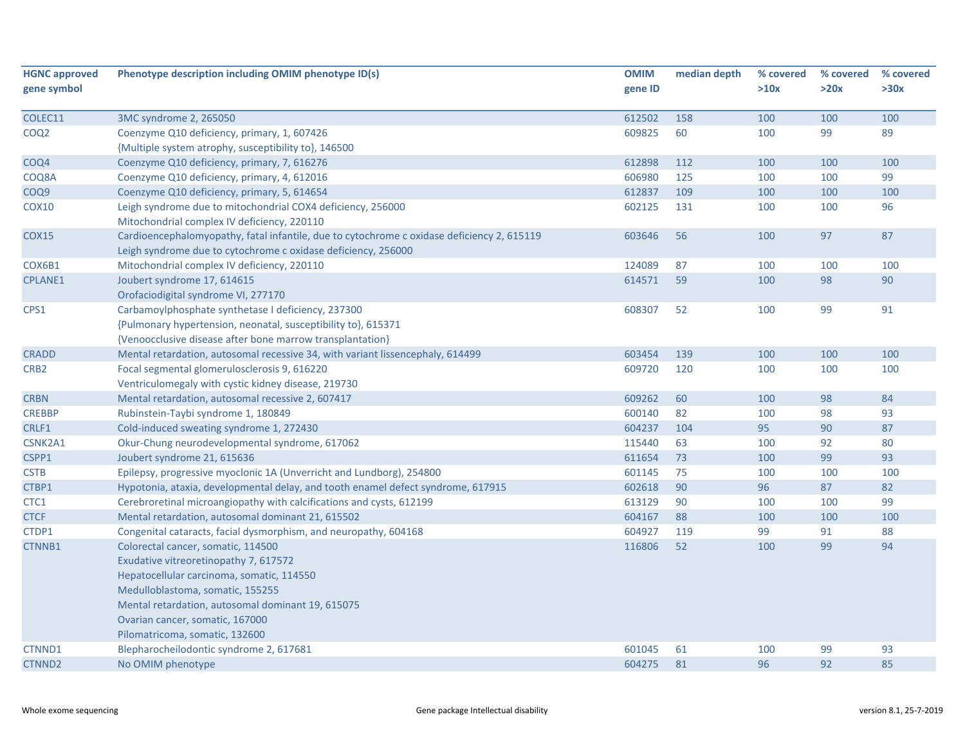| <b>HGNC approved</b> | Phenotype description including OMIM phenotype ID(s)                                       | <b>OMIM</b> | median depth | % covered | % covered | % covered |
|----------------------|--------------------------------------------------------------------------------------------|-------------|--------------|-----------|-----------|-----------|
| gene symbol          |                                                                                            | gene ID     |              | >10x      | >20x      | >30x      |
|                      |                                                                                            |             |              |           |           |           |
| COLEC11              | 3MC syndrome 2, 265050                                                                     | 612502      | 158          | 100       | 100       | 100       |
| COQ <sub>2</sub>     | Coenzyme Q10 deficiency, primary, 1, 607426                                                | 609825      | 60           | 100       | 99        | 89        |
|                      | {Multiple system atrophy, susceptibility to}, 146500                                       |             |              |           |           |           |
| COQ4                 | Coenzyme Q10 deficiency, primary, 7, 616276                                                | 612898      | 112          | 100       | 100       | 100       |
| COQ8A                | Coenzyme Q10 deficiency, primary, 4, 612016                                                | 606980      | 125          | 100       | 100       | 99        |
| COQ9                 | Coenzyme Q10 deficiency, primary, 5, 614654                                                | 612837      | 109          | 100       | 100       | 100       |
| <b>COX10</b>         | Leigh syndrome due to mitochondrial COX4 deficiency, 256000                                | 602125      | 131          | 100       | 100       | 96        |
|                      | Mitochondrial complex IV deficiency, 220110                                                |             |              |           |           |           |
| <b>COX15</b>         | Cardioencephalomyopathy, fatal infantile, due to cytochrome c oxidase deficiency 2, 615119 | 603646      | 56           | 100       | 97        | 87        |
|                      | Leigh syndrome due to cytochrome c oxidase deficiency, 256000                              |             |              |           |           |           |
| COX6B1               | Mitochondrial complex IV deficiency, 220110                                                | 124089      | 87           | 100       | 100       | 100       |
| <b>CPLANE1</b>       | Joubert syndrome 17, 614615                                                                | 614571      | 59           | 100       | 98        | 90        |
|                      | Orofaciodigital syndrome VI, 277170                                                        |             |              |           |           |           |
| CPS1                 | Carbamoylphosphate synthetase I deficiency, 237300                                         | 608307      | 52           | 100       | 99        | 91        |
|                      | {Pulmonary hypertension, neonatal, susceptibility to}, 615371                              |             |              |           |           |           |
|                      | {Venoocclusive disease after bone marrow transplantation}                                  |             |              |           |           |           |
| <b>CRADD</b>         | Mental retardation, autosomal recessive 34, with variant lissencephaly, 614499             | 603454      | 139          | 100       | 100       | 100       |
| CRB <sub>2</sub>     | Focal segmental glomerulosclerosis 9, 616220                                               | 609720      | 120          | 100       | 100       | 100       |
|                      | Ventriculomegaly with cystic kidney disease, 219730                                        |             |              |           |           |           |
| <b>CRBN</b>          | Mental retardation, autosomal recessive 2, 607417                                          | 609262      | 60           | 100       | 98        | 84        |
| <b>CREBBP</b>        | Rubinstein-Taybi syndrome 1, 180849                                                        | 600140      | 82           | 100       | 98        | 93        |
| CRLF1                | Cold-induced sweating syndrome 1, 272430                                                   | 604237      | 104          | 95        | 90        | 87        |
| CSNK2A1              | Okur-Chung neurodevelopmental syndrome, 617062                                             | 115440      | 63           | 100       | 92        | 80        |
| CSPP1                | Joubert syndrome 21, 615636                                                                | 611654      | 73           | 100       | 99        | 93        |
| <b>CSTB</b>          | Epilepsy, progressive myoclonic 1A (Unverricht and Lundborg), 254800                       | 601145      | 75           | 100       | 100       | 100       |
| CTBP1                | Hypotonia, ataxia, developmental delay, and tooth enamel defect syndrome, 617915           | 602618      | 90           | 96        | 87        | 82        |
| CTC1                 | Cerebroretinal microangiopathy with calcifications and cysts, 612199                       | 613129      | 90           | 100       | 100       | 99        |
| <b>CTCF</b>          | Mental retardation, autosomal dominant 21, 615502                                          | 604167      | 88           | 100       | 100       | 100       |
| CTDP1                | Congenital cataracts, facial dysmorphism, and neuropathy, 604168                           | 604927      | 119          | 99        | 91        | 88        |
| CTNNB1               | Colorectal cancer, somatic, 114500                                                         | 116806      | 52           | 100       | 99        | 94        |
|                      | Exudative vitreoretinopathy 7, 617572                                                      |             |              |           |           |           |
|                      | Hepatocellular carcinoma, somatic, 114550                                                  |             |              |           |           |           |
|                      | Medulloblastoma, somatic, 155255                                                           |             |              |           |           |           |
|                      | Mental retardation, autosomal dominant 19, 615075                                          |             |              |           |           |           |
|                      | Ovarian cancer, somatic, 167000                                                            |             |              |           |           |           |
|                      | Pilomatricoma, somatic, 132600                                                             |             |              |           |           |           |
| CTNND1               | Blepharocheilodontic syndrome 2, 617681                                                    | 601045      | 61           | 100       | 99        | 93        |
| CTNND <sub>2</sub>   | No OMIM phenotype                                                                          | 604275      | 81           | 96        | 92        | 85        |
|                      |                                                                                            |             |              |           |           |           |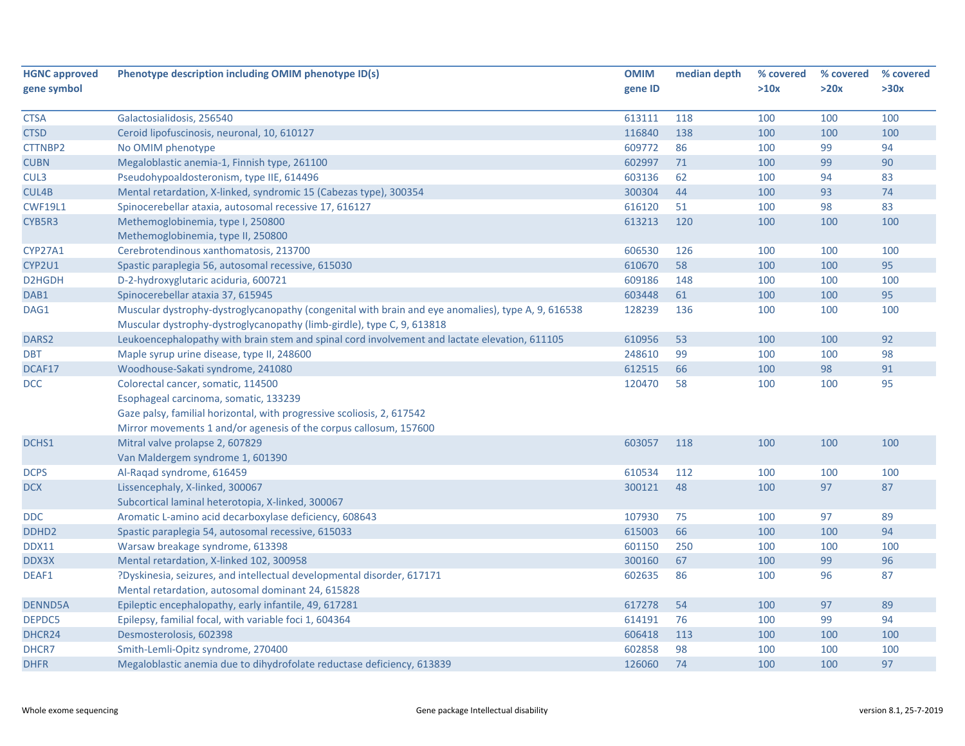| <b>HGNC approved</b> | Phenotype description including OMIM phenotype ID(s)                                               | <b>OMIM</b> | median depth | % covered | % covered | % covered |
|----------------------|----------------------------------------------------------------------------------------------------|-------------|--------------|-----------|-----------|-----------|
| gene symbol          |                                                                                                    | gene ID     |              | >10x      | >20x      | >30x      |
| <b>CTSA</b>          | Galactosialidosis, 256540                                                                          | 613111      | 118          | 100       | 100       | 100       |
| <b>CTSD</b>          | Ceroid lipofuscinosis, neuronal, 10, 610127                                                        | 116840      | 138          | 100       | 100       | 100       |
| CTTNBP2              | No OMIM phenotype                                                                                  | 609772      | 86           | 100       | 99        | 94        |
| <b>CUBN</b>          | Megaloblastic anemia-1, Finnish type, 261100                                                       | 602997      | 71           | 100       | 99        | 90        |
| CUL3                 | Pseudohypoaldosteronism, type IIE, 614496                                                          | 603136      | 62           | 100       | 94        | 83        |
| CUL4B                | Mental retardation, X-linked, syndromic 15 (Cabezas type), 300354                                  | 300304      | 44           | 100       | 93        | 74        |
| <b>CWF19L1</b>       | Spinocerebellar ataxia, autosomal recessive 17, 616127                                             | 616120      | 51           | 100       | 98        | 83        |
| CYB5R3               | Methemoglobinemia, type I, 250800                                                                  | 613213      | 120          | 100       | 100       | 100       |
|                      | Methemoglobinemia, type II, 250800                                                                 |             |              |           |           |           |
| <b>CYP27A1</b>       | Cerebrotendinous xanthomatosis, 213700                                                             | 606530      | 126          | 100       | 100       | 100       |
| CYP2U1               | Spastic paraplegia 56, autosomal recessive, 615030                                                 | 610670      | 58           | 100       | 100       | 95        |
| D2HGDH               | D-2-hydroxyglutaric aciduria, 600721                                                               | 609186      | 148          | 100       | 100       | 100       |
| DAB1                 | Spinocerebellar ataxia 37, 615945                                                                  | 603448      | 61           | 100       | 100       | 95        |
| DAG1                 | Muscular dystrophy-dystroglycanopathy (congenital with brain and eye anomalies), type A, 9, 616538 | 128239      | 136          | 100       | 100       | 100       |
|                      | Muscular dystrophy-dystroglycanopathy (limb-girdle), type C, 9, 613818                             |             |              |           |           |           |
| DARS <sub>2</sub>    | Leukoencephalopathy with brain stem and spinal cord involvement and lactate elevation, 611105      | 610956      | 53           | 100       | 100       | 92        |
| <b>DBT</b>           | Maple syrup urine disease, type II, 248600                                                         | 248610      | 99           | 100       | 100       | 98        |
| DCAF17               | Woodhouse-Sakati syndrome, 241080                                                                  | 612515      | 66           | 100       | 98        | 91        |
| DCC                  | Colorectal cancer, somatic, 114500                                                                 | 120470      | 58           | 100       | 100       | 95        |
|                      | Esophageal carcinoma, somatic, 133239                                                              |             |              |           |           |           |
|                      | Gaze palsy, familial horizontal, with progressive scoliosis, 2, 617542                             |             |              |           |           |           |
|                      | Mirror movements 1 and/or agenesis of the corpus callosum, 157600                                  |             |              |           |           |           |
| DCHS1                | Mitral valve prolapse 2, 607829                                                                    | 603057      | 118          | 100       | 100       | 100       |
|                      | Van Maldergem syndrome 1, 601390                                                                   |             |              |           |           |           |
| <b>DCPS</b>          | Al-Raqad syndrome, 616459                                                                          | 610534      | 112          | 100       | 100       | 100       |
| <b>DCX</b>           | Lissencephaly, X-linked, 300067                                                                    | 300121      | 48           | 100       | 97        | 87        |
|                      | Subcortical laminal heterotopia, X-linked, 300067                                                  |             |              |           |           |           |
| DDC                  | Aromatic L-amino acid decarboxylase deficiency, 608643                                             | 107930      | 75           | 100       | 97        | 89        |
| DDHD <sub>2</sub>    | Spastic paraplegia 54, autosomal recessive, 615033                                                 | 615003      | 66           | 100       | 100       | 94        |
| <b>DDX11</b>         | Warsaw breakage syndrome, 613398                                                                   | 601150      | 250          | 100       | 100       | 100       |
| DDX3X                | Mental retardation, X-linked 102, 300958                                                           | 300160      | 67           | 100       | 99        | 96        |
| DEAF1                | ?Dyskinesia, seizures, and intellectual developmental disorder, 617171                             | 602635      | 86           | 100       | 96        | 87        |
|                      | Mental retardation, autosomal dominant 24, 615828                                                  |             |              |           |           |           |
| <b>DENND5A</b>       | Epileptic encephalopathy, early infantile, 49, 617281                                              | 617278      | 54           | 100       | 97        | 89        |
| DEPDC5               | Epilepsy, familial focal, with variable foci 1, 604364                                             | 614191      | 76           | 100       | 99        | 94        |
| DHCR24               | Desmosterolosis, 602398                                                                            | 606418      | 113          | 100       | 100       | 100       |
| DHCR7                | Smith-Lemli-Opitz syndrome, 270400                                                                 | 602858      | 98           | 100       | 100       | 100       |
| <b>DHFR</b>          | Megaloblastic anemia due to dihydrofolate reductase deficiency, 613839                             | 126060      | 74           | 100       | 100       | 97        |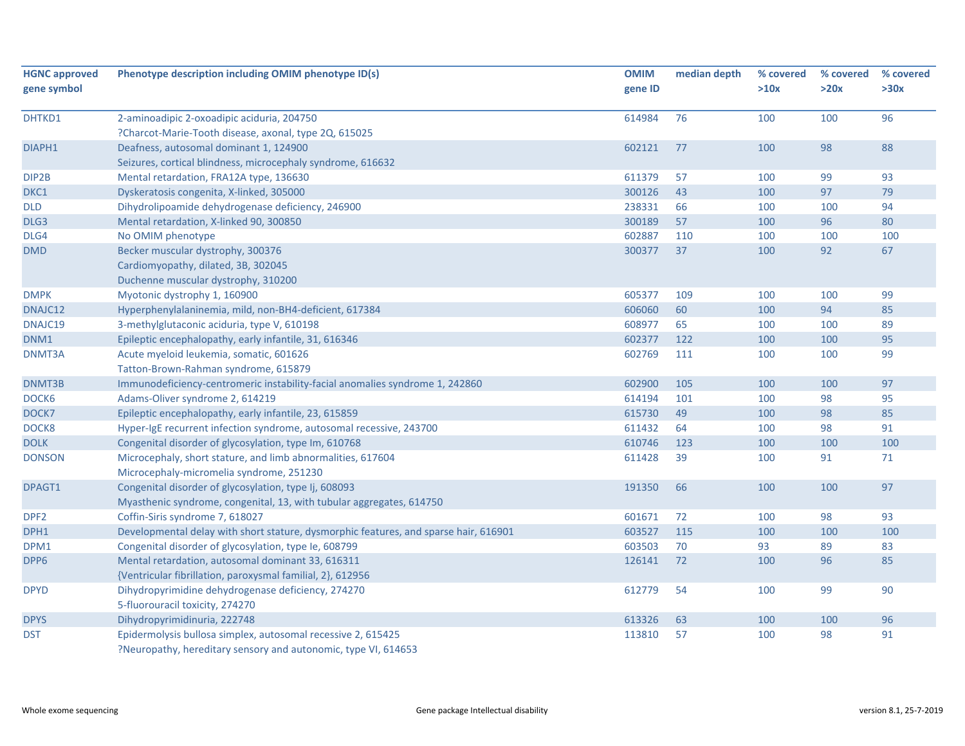| <b>HGNC approved</b> | Phenotype description including OMIM phenotype ID(s)                                 | <b>OMIM</b> | median depth | % covered | % covered | % covered |
|----------------------|--------------------------------------------------------------------------------------|-------------|--------------|-----------|-----------|-----------|
| gene symbol          |                                                                                      | gene ID     |              | >10x      | >20x      | >30x      |
| DHTKD1               | 2-aminoadipic 2-oxoadipic aciduria, 204750                                           | 614984      | 76           | 100       | 100       | 96        |
|                      | ?Charcot-Marie-Tooth disease, axonal, type 2Q, 615025                                |             |              |           |           |           |
| DIAPH1               | Deafness, autosomal dominant 1, 124900                                               | 602121      | 77           | 100       | 98        | 88        |
|                      | Seizures, cortical blindness, microcephaly syndrome, 616632                          |             |              |           |           |           |
| DIP2B                | Mental retardation, FRA12A type, 136630                                              | 611379      | 57           | 100       | 99        | 93        |
| DKC1                 | Dyskeratosis congenita, X-linked, 305000                                             | 300126      | 43           | 100       | 97        | 79        |
| <b>DLD</b>           | Dihydrolipoamide dehydrogenase deficiency, 246900                                    | 238331      | 66           | 100       | 100       | 94        |
| DLG3                 | Mental retardation, X-linked 90, 300850                                              | 300189      | 57           | 100       | 96        | 80        |
| DLG4                 | No OMIM phenotype                                                                    | 602887      | 110          | 100       | 100       | 100       |
| <b>DMD</b>           | Becker muscular dystrophy, 300376                                                    | 300377      | 37           | 100       | 92        | 67        |
|                      | Cardiomyopathy, dilated, 3B, 302045                                                  |             |              |           |           |           |
|                      | Duchenne muscular dystrophy, 310200                                                  |             |              |           |           |           |
| <b>DMPK</b>          | Myotonic dystrophy 1, 160900                                                         | 605377      | 109          | 100       | 100       | 99        |
| DNAJC12              | Hyperphenylalaninemia, mild, non-BH4-deficient, 617384                               | 606060      | 60           | 100       | 94        | 85        |
| DNAJC19              | 3-methylglutaconic aciduria, type V, 610198                                          | 608977      | 65           | 100       | 100       | 89        |
| DNM1                 | Epileptic encephalopathy, early infantile, 31, 616346                                | 602377      | 122          | 100       | 100       | 95        |
| DNMT3A               | Acute myeloid leukemia, somatic, 601626                                              | 602769      | 111          | 100       | 100       | 99        |
|                      | Tatton-Brown-Rahman syndrome, 615879                                                 |             |              |           |           |           |
| DNMT3B               | Immunodeficiency-centromeric instability-facial anomalies syndrome 1, 242860         | 602900      | 105          | 100       | 100       | 97        |
| DOCK6                | Adams-Oliver syndrome 2, 614219                                                      | 614194      | 101          | 100       | 98        | 95        |
| DOCK7                | Epileptic encephalopathy, early infantile, 23, 615859                                | 615730      | 49           | 100       | 98        | 85        |
| DOCK8                | Hyper-IgE recurrent infection syndrome, autosomal recessive, 243700                  | 611432      | 64           | 100       | 98        | 91        |
| <b>DOLK</b>          | Congenital disorder of glycosylation, type Im, 610768                                | 610746      | 123          | 100       | 100       | 100       |
| <b>DONSON</b>        | Microcephaly, short stature, and limb abnormalities, 617604                          | 611428      | 39           | 100       | 91        | 71        |
|                      | Microcephaly-micromelia syndrome, 251230                                             |             |              |           |           |           |
| DPAGT1               | Congenital disorder of glycosylation, type Ij, 608093                                | 191350      | 66           | 100       | 100       | 97        |
|                      | Myasthenic syndrome, congenital, 13, with tubular aggregates, 614750                 |             |              |           |           |           |
| DPF <sub>2</sub>     | Coffin-Siris syndrome 7, 618027                                                      | 601671      | 72           | 100       | 98        | 93        |
| DPH1                 | Developmental delay with short stature, dysmorphic features, and sparse hair, 616901 | 603527      | 115          | 100       | 100       | 100       |
| DPM1                 | Congenital disorder of glycosylation, type Ie, 608799                                | 603503      | 70           | 93        | 89        | 83        |
| DPP6                 | Mental retardation, autosomal dominant 33, 616311                                    | 126141      | 72           | 100       | 96        | 85        |
|                      | {Ventricular fibrillation, paroxysmal familial, 2}, 612956                           |             |              |           |           |           |
| <b>DPYD</b>          | Dihydropyrimidine dehydrogenase deficiency, 274270                                   | 612779      | 54           | 100       | 99        | 90        |
|                      | 5-fluorouracil toxicity, 274270                                                      |             |              |           |           |           |
| <b>DPYS</b>          | Dihydropyrimidinuria, 222748                                                         | 613326      | 63           | 100       | 100       | 96        |
| <b>DST</b>           | Epidermolysis bullosa simplex, autosomal recessive 2, 615425                         | 113810      | 57           | 100       | 98        | 91        |
|                      | ?Neuropathy, hereditary sensory and autonomic, type VI, 614653                       |             |              |           |           |           |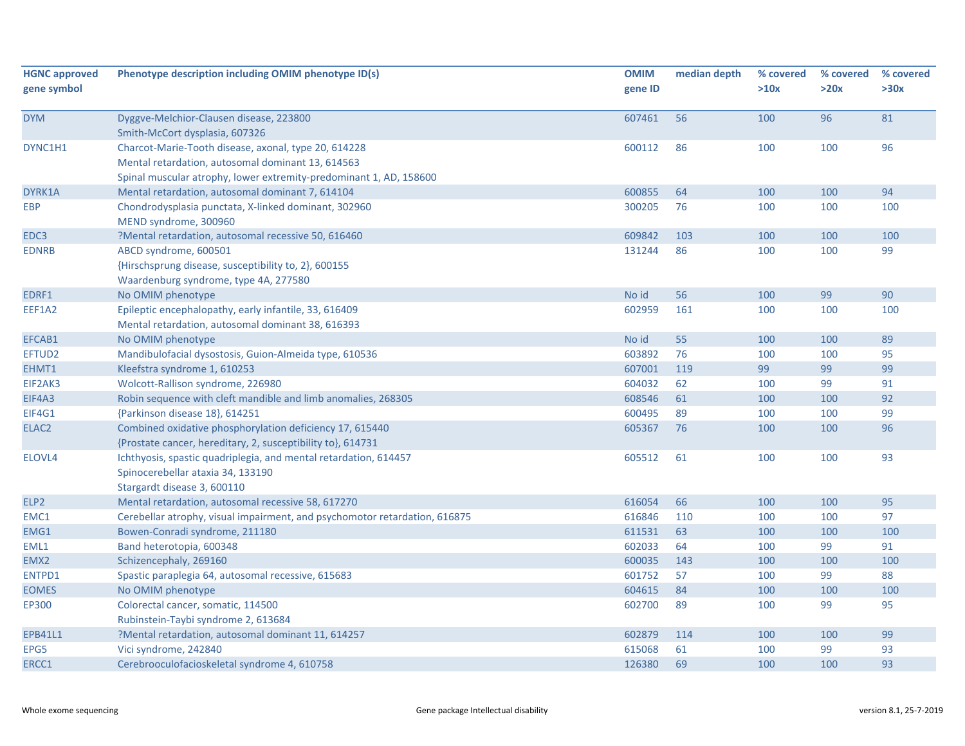| <b>HGNC approved</b> | Phenotype description including OMIM phenotype ID(s)                          | <b>OMIM</b> | median depth | % covered | % covered | % covered |
|----------------------|-------------------------------------------------------------------------------|-------------|--------------|-----------|-----------|-----------|
| gene symbol          |                                                                               | gene ID     |              | >10x      | >20x      | >30x      |
| <b>DYM</b>           | Dyggve-Melchior-Clausen disease, 223800                                       | 607461      | 56           | 100       | 96        | 81        |
|                      | Smith-McCort dysplasia, 607326                                                |             |              |           |           |           |
| DYNC1H1              | Charcot-Marie-Tooth disease, axonal, type 20, 614228                          | 600112      | 86           | 100       | 100       | 96        |
|                      | Mental retardation, autosomal dominant 13, 614563                             |             |              |           |           |           |
|                      | Spinal muscular atrophy, lower extremity-predominant 1, AD, 158600            |             |              |           |           |           |
| DYRK1A               | Mental retardation, autosomal dominant 7, 614104                              | 600855      | 64           | 100       | 100       | 94        |
| <b>EBP</b>           | Chondrodysplasia punctata, X-linked dominant, 302960<br>MEND syndrome, 300960 | 300205      | 76           | 100       | 100       | 100       |
| EDC3                 | ?Mental retardation, autosomal recessive 50, 616460                           | 609842      | 103          | 100       | 100       | 100       |
| <b>EDNRB</b>         | ABCD syndrome, 600501                                                         | 131244      | 86           | 100       | 100       | 99        |
|                      | {Hirschsprung disease, susceptibility to, 2}, 600155                          |             |              |           |           |           |
|                      | Waardenburg syndrome, type 4A, 277580                                         |             |              |           |           |           |
| EDRF1                | No OMIM phenotype                                                             | No id       | 56           | 100       | 99        | 90        |
| EEF1A2               | Epileptic encephalopathy, early infantile, 33, 616409                         | 602959      | 161          | 100       | 100       | 100       |
|                      | Mental retardation, autosomal dominant 38, 616393                             |             |              |           |           |           |
| EFCAB1               | No OMIM phenotype                                                             | No id       | 55           | 100       | 100       | 89        |
| EFTUD2               | Mandibulofacial dysostosis, Guion-Almeida type, 610536                        | 603892      | 76           | 100       | 100       | 95        |
| EHMT1                | Kleefstra syndrome 1, 610253                                                  | 607001      | 119          | 99        | 99        | 99        |
| EIF2AK3              | Wolcott-Rallison syndrome, 226980                                             | 604032      | 62           | 100       | 99        | 91        |
| EIF4A3               | Robin sequence with cleft mandible and limb anomalies, 268305                 | 608546      | 61           | 100       | 100       | 92        |
| EIF4G1               | {Parkinson disease 18}, 614251                                                | 600495      | 89           | 100       | 100       | 99        |
| ELAC2                | Combined oxidative phosphorylation deficiency 17, 615440                      | 605367      | 76           | 100       | 100       | 96        |
|                      | {Prostate cancer, hereditary, 2, susceptibility to}, 614731                   |             |              |           |           |           |
| ELOVL4               | Ichthyosis, spastic quadriplegia, and mental retardation, 614457              | 605512      | 61           | 100       | 100       | 93        |
|                      | Spinocerebellar ataxia 34, 133190                                             |             |              |           |           |           |
|                      | Stargardt disease 3, 600110                                                   |             |              |           |           |           |
| ELP <sub>2</sub>     | Mental retardation, autosomal recessive 58, 617270                            | 616054      | 66           | 100       | 100       | 95        |
| EMC1                 | Cerebellar atrophy, visual impairment, and psychomotor retardation, 616875    | 616846      | 110          | 100       | 100       | 97        |
| EMG1                 | Bowen-Conradi syndrome, 211180                                                | 611531      | 63           | 100       | 100       | 100       |
| EML1                 | Band heterotopia, 600348                                                      | 602033      | 64           | 100       | 99        | 91        |
| EMX2                 | Schizencephaly, 269160                                                        | 600035      | 143          | 100       | 100       | 100       |
| <b>ENTPD1</b>        | Spastic paraplegia 64, autosomal recessive, 615683                            | 601752      | 57           | 100       | 99        | 88        |
| <b>EOMES</b>         | No OMIM phenotype                                                             | 604615      | 84           | 100       | 100       | 100       |
| <b>EP300</b>         | Colorectal cancer, somatic, 114500                                            | 602700      | 89           | 100       | 99        | 95        |
|                      | Rubinstein-Taybi syndrome 2, 613684                                           |             |              |           |           |           |
| <b>EPB41L1</b>       | ?Mental retardation, autosomal dominant 11, 614257                            | 602879      | 114          | 100       | 100       | 99        |
| EPG5                 | Vici syndrome, 242840                                                         | 615068      | 61           | 100       | 99        | 93        |
| ERCC1                | Cerebrooculofacioskeletal syndrome 4, 610758                                  | 126380      | 69           | 100       | 100       | 93        |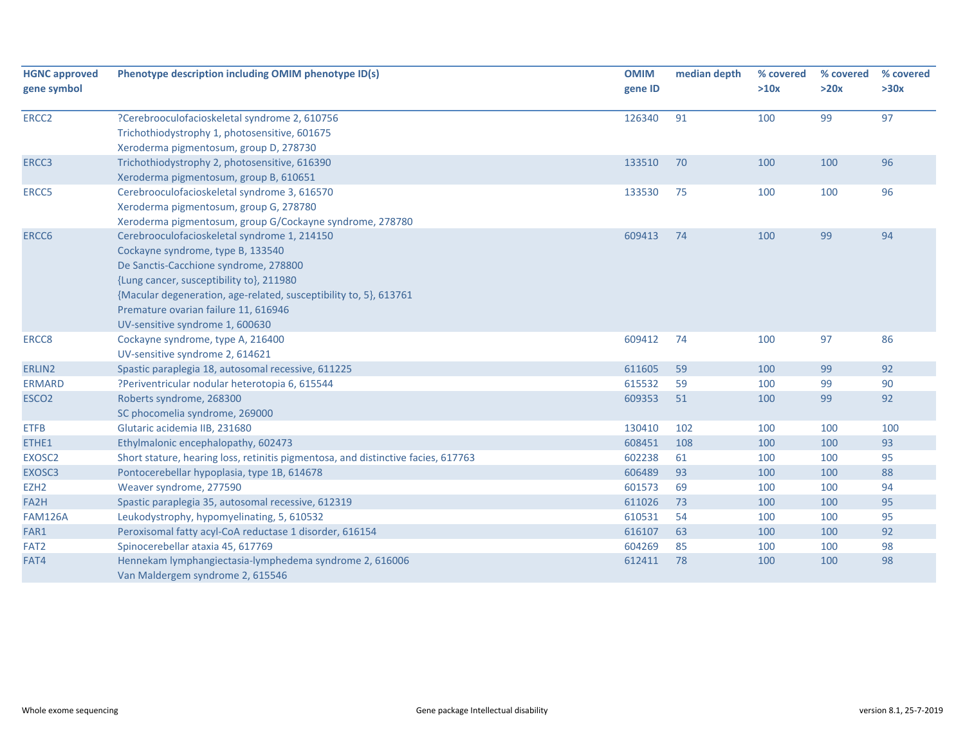| <b>HGNC approved</b><br>gene symbol | Phenotype description including OMIM phenotype ID(s)                                                                                                                                                                                                                                                                   | <b>OMIM</b><br>gene ID | median depth | % covered<br>>10x | % covered<br>>20x | % covered<br>>30x |
|-------------------------------------|------------------------------------------------------------------------------------------------------------------------------------------------------------------------------------------------------------------------------------------------------------------------------------------------------------------------|------------------------|--------------|-------------------|-------------------|-------------------|
| ERCC <sub>2</sub>                   | ?Cerebrooculofacioskeletal syndrome 2, 610756<br>Trichothiodystrophy 1, photosensitive, 601675<br>Xeroderma pigmentosum, group D, 278730                                                                                                                                                                               | 126340                 | 91           | 100               | 99                | 97                |
| ERCC3                               | Trichothiodystrophy 2, photosensitive, 616390<br>Xeroderma pigmentosum, group B, 610651                                                                                                                                                                                                                                | 133510                 | 70           | 100               | 100               | 96                |
| ERCC5                               | Cerebrooculofacioskeletal syndrome 3, 616570<br>Xeroderma pigmentosum, group G, 278780<br>Xeroderma pigmentosum, group G/Cockayne syndrome, 278780                                                                                                                                                                     | 133530                 | 75           | 100               | 100               | 96                |
| ERCC6                               | Cerebrooculofacioskeletal syndrome 1, 214150<br>Cockayne syndrome, type B, 133540<br>De Sanctis-Cacchione syndrome, 278800<br>{Lung cancer, susceptibility to}, 211980<br>{Macular degeneration, age-related, susceptibility to, 5}, 613761<br>Premature ovarian failure 11, 616946<br>UV-sensitive syndrome 1, 600630 | 609413                 | 74           | 100               | 99                | 94                |
| ERCC8                               | Cockayne syndrome, type A, 216400<br>UV-sensitive syndrome 2, 614621                                                                                                                                                                                                                                                   | 609412                 | 74           | 100               | 97                | 86                |
| ERLIN2                              | Spastic paraplegia 18, autosomal recessive, 611225                                                                                                                                                                                                                                                                     | 611605                 | 59           | 100               | 99                | 92                |
| <b>ERMARD</b>                       | ?Periventricular nodular heterotopia 6, 615544                                                                                                                                                                                                                                                                         | 615532                 | 59           | 100               | 99                | 90                |
| ESCO <sub>2</sub>                   | Roberts syndrome, 268300<br>SC phocomelia syndrome, 269000                                                                                                                                                                                                                                                             | 609353                 | 51           | 100               | 99                | 92                |
| <b>ETFB</b>                         | Glutaric acidemia IIB, 231680                                                                                                                                                                                                                                                                                          | 130410                 | 102          | 100               | 100               | 100               |
| ETHE1                               | Ethylmalonic encephalopathy, 602473                                                                                                                                                                                                                                                                                    | 608451                 | 108          | 100               | 100               | 93                |
| EXOSC2                              | Short stature, hearing loss, retinitis pigmentosa, and distinctive facies, 617763                                                                                                                                                                                                                                      | 602238                 | 61           | 100               | 100               | 95                |
| EXOSC3                              | Pontocerebellar hypoplasia, type 1B, 614678                                                                                                                                                                                                                                                                            | 606489                 | 93           | 100               | 100               | 88                |
| EZH <sub>2</sub>                    | Weaver syndrome, 277590                                                                                                                                                                                                                                                                                                | 601573                 | 69           | 100               | 100               | 94                |
| FA2H                                | Spastic paraplegia 35, autosomal recessive, 612319                                                                                                                                                                                                                                                                     | 611026                 | 73           | 100               | 100               | 95                |
| <b>FAM126A</b>                      | Leukodystrophy, hypomyelinating, 5, 610532                                                                                                                                                                                                                                                                             | 610531                 | 54           | 100               | 100               | 95                |
| FAR1                                | Peroxisomal fatty acyl-CoA reductase 1 disorder, 616154                                                                                                                                                                                                                                                                | 616107                 | 63           | 100               | 100               | 92                |
| FAT <sub>2</sub>                    | Spinocerebellar ataxia 45, 617769                                                                                                                                                                                                                                                                                      | 604269                 | 85           | 100               | 100               | 98                |
| FAT4                                | Hennekam lymphangiectasia-lymphedema syndrome 2, 616006<br>Van Maldergem syndrome 2, 615546                                                                                                                                                                                                                            | 612411                 | 78           | 100               | 100               | 98                |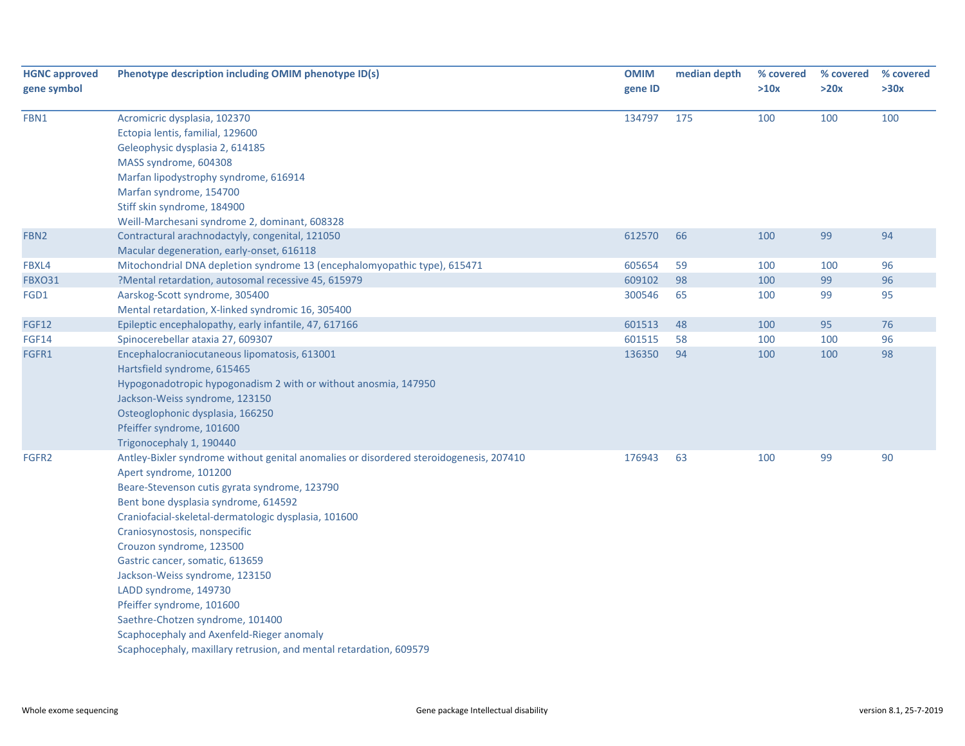| <b>HGNC approved</b><br>gene symbol | Phenotype description including OMIM phenotype ID(s)                                                                                                                                                                                                                                                                                                                                                                                                                                                                                                                                                             | <b>OMIM</b><br>gene ID | median depth | % covered<br>>10x | % covered<br>>20x | % covered<br>>30x |
|-------------------------------------|------------------------------------------------------------------------------------------------------------------------------------------------------------------------------------------------------------------------------------------------------------------------------------------------------------------------------------------------------------------------------------------------------------------------------------------------------------------------------------------------------------------------------------------------------------------------------------------------------------------|------------------------|--------------|-------------------|-------------------|-------------------|
| FBN1                                | Acromicric dysplasia, 102370<br>Ectopia lentis, familial, 129600<br>Geleophysic dysplasia 2, 614185<br>MASS syndrome, 604308<br>Marfan lipodystrophy syndrome, 616914<br>Marfan syndrome, 154700<br>Stiff skin syndrome, 184900<br>Weill-Marchesani syndrome 2, dominant, 608328                                                                                                                                                                                                                                                                                                                                 | 134797                 | 175          | 100               | 100               | 100               |
| FBN <sub>2</sub>                    | Contractural arachnodactyly, congenital, 121050<br>Macular degeneration, early-onset, 616118                                                                                                                                                                                                                                                                                                                                                                                                                                                                                                                     | 612570                 | 66           | 100               | 99                | 94                |
| FBXL4                               | Mitochondrial DNA depletion syndrome 13 (encephalomyopathic type), 615471                                                                                                                                                                                                                                                                                                                                                                                                                                                                                                                                        | 605654                 | 59           | 100               | 100               | 96                |
| <b>FBXO31</b>                       | ?Mental retardation, autosomal recessive 45, 615979                                                                                                                                                                                                                                                                                                                                                                                                                                                                                                                                                              | 609102                 | 98           | 100               | 99                | 96                |
| FGD1                                | Aarskog-Scott syndrome, 305400<br>Mental retardation, X-linked syndromic 16, 305400                                                                                                                                                                                                                                                                                                                                                                                                                                                                                                                              | 300546                 | 65           | 100               | 99                | 95                |
| <b>FGF12</b>                        | Epileptic encephalopathy, early infantile, 47, 617166                                                                                                                                                                                                                                                                                                                                                                                                                                                                                                                                                            | 601513                 | 48           | 100               | 95                | 76                |
| <b>FGF14</b>                        | Spinocerebellar ataxia 27, 609307                                                                                                                                                                                                                                                                                                                                                                                                                                                                                                                                                                                | 601515                 | 58           | 100               | 100               | 96                |
| FGFR1                               | Encephalocraniocutaneous lipomatosis, 613001<br>Hartsfield syndrome, 615465<br>Hypogonadotropic hypogonadism 2 with or without anosmia, 147950<br>Jackson-Weiss syndrome, 123150<br>Osteoglophonic dysplasia, 166250<br>Pfeiffer syndrome, 101600<br>Trigonocephaly 1, 190440                                                                                                                                                                                                                                                                                                                                    | 136350                 | 94           | 100               | 100               | 98                |
| FGFR2                               | Antley-Bixler syndrome without genital anomalies or disordered steroidogenesis, 207410<br>Apert syndrome, 101200<br>Beare-Stevenson cutis gyrata syndrome, 123790<br>Bent bone dysplasia syndrome, 614592<br>Craniofacial-skeletal-dermatologic dysplasia, 101600<br>Craniosynostosis, nonspecific<br>Crouzon syndrome, 123500<br>Gastric cancer, somatic, 613659<br>Jackson-Weiss syndrome, 123150<br>LADD syndrome, 149730<br>Pfeiffer syndrome, 101600<br>Saethre-Chotzen syndrome, 101400<br>Scaphocephaly and Axenfeld-Rieger anomaly<br>Scaphocephaly, maxillary retrusion, and mental retardation, 609579 | 176943                 | 63           | 100               | 99                | 90                |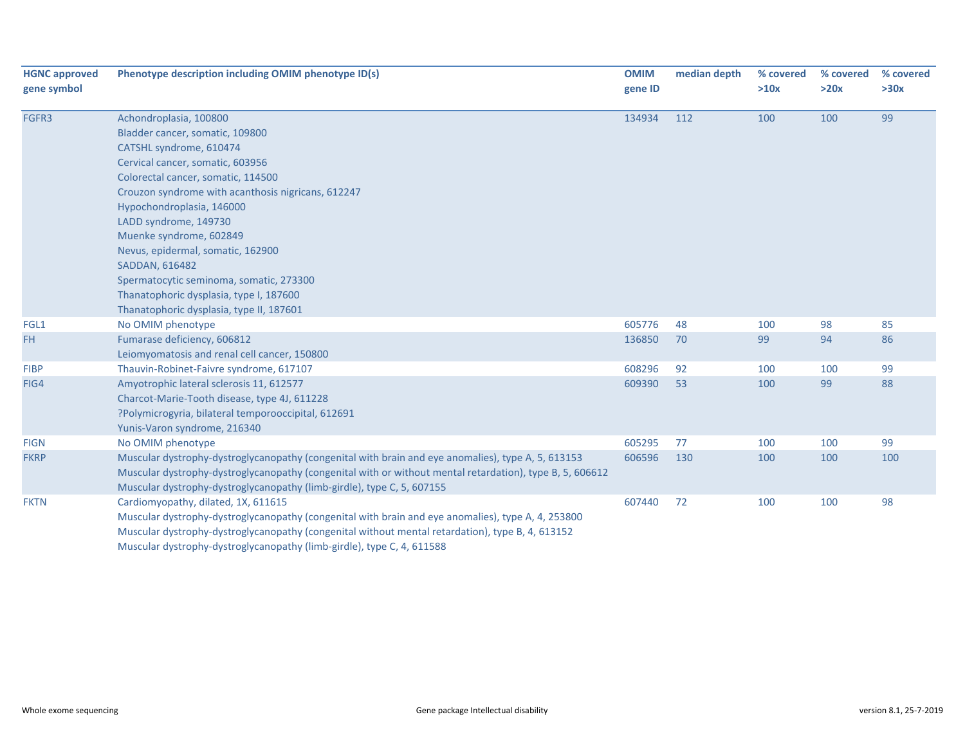| <b>HGNC approved</b><br>gene symbol | Phenotype description including OMIM phenotype ID(s)                                                                                                                                                                                                                                                                                                                                                                                                      | <b>OMIM</b><br>gene ID | median depth | % covered<br>>10x | % covered<br>>20x | % covered<br>>30x |
|-------------------------------------|-----------------------------------------------------------------------------------------------------------------------------------------------------------------------------------------------------------------------------------------------------------------------------------------------------------------------------------------------------------------------------------------------------------------------------------------------------------|------------------------|--------------|-------------------|-------------------|-------------------|
| FGFR3                               | Achondroplasia, 100800<br>Bladder cancer, somatic, 109800<br>CATSHL syndrome, 610474<br>Cervical cancer, somatic, 603956<br>Colorectal cancer, somatic, 114500<br>Crouzon syndrome with acanthosis nigricans, 612247<br>Hypochondroplasia, 146000<br>LADD syndrome, 149730<br>Muenke syndrome, 602849<br>Nevus, epidermal, somatic, 162900<br><b>SADDAN, 616482</b><br>Spermatocytic seminoma, somatic, 273300<br>Thanatophoric dysplasia, type I, 187600 | 134934                 | 112          | 100               | 100               | 99                |
|                                     | Thanatophoric dysplasia, type II, 187601                                                                                                                                                                                                                                                                                                                                                                                                                  |                        |              |                   |                   |                   |
| FGL1                                | No OMIM phenotype                                                                                                                                                                                                                                                                                                                                                                                                                                         | 605776                 | 48           | 100               | 98                | 85                |
| FH.                                 | Fumarase deficiency, 606812<br>Leiomyomatosis and renal cell cancer, 150800                                                                                                                                                                                                                                                                                                                                                                               | 136850                 | 70           | 99                | 94                | 86                |
| <b>FIBP</b>                         | Thauvin-Robinet-Faivre syndrome, 617107                                                                                                                                                                                                                                                                                                                                                                                                                   | 608296                 | 92           | 100               | 100               | 99                |
| FIG4                                | Amyotrophic lateral sclerosis 11, 612577<br>Charcot-Marie-Tooth disease, type 4J, 611228<br>?Polymicrogyria, bilateral temporooccipital, 612691<br>Yunis-Varon syndrome, 216340                                                                                                                                                                                                                                                                           | 609390                 | 53           | 100               | 99                | 88                |
| <b>FIGN</b>                         | No OMIM phenotype                                                                                                                                                                                                                                                                                                                                                                                                                                         | 605295                 | 77           | 100               | 100               | 99                |
| <b>FKRP</b>                         | Muscular dystrophy-dystroglycanopathy (congenital with brain and eye anomalies), type A, 5, 613153<br>Muscular dystrophy-dystroglycanopathy (congenital with or without mental retardation), type B, 5, 606612<br>Muscular dystrophy-dystroglycanopathy (limb-girdle), type C, 5, 607155                                                                                                                                                                  | 606596                 | 130          | 100               | 100               | 100               |
| <b>FKTN</b>                         | Cardiomyopathy, dilated, 1X, 611615<br>Muscular dystrophy-dystroglycanopathy (congenital with brain and eye anomalies), type A, 4, 253800<br>Muscular dystrophy-dystroglycanopathy (congenital without mental retardation), type B, 4, 613152<br>Muscular dystrophy-dystroglycanopathy (limb-girdle), type C, 4, 611588                                                                                                                                   | 607440                 | 72           | 100               | 100               | 98                |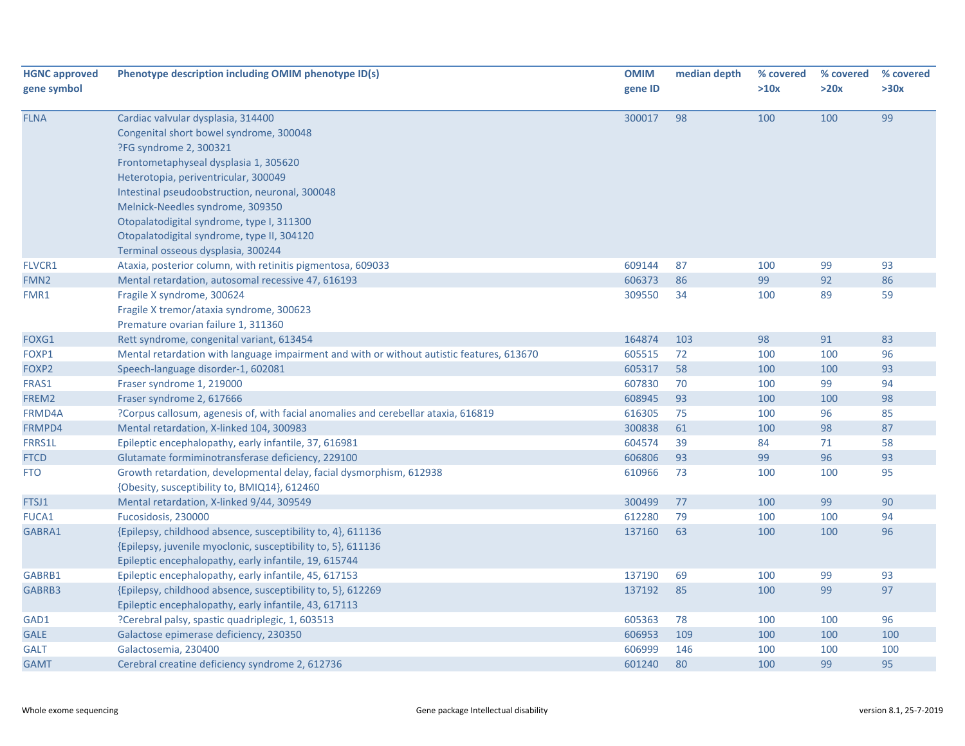| <b>HGNC approved</b><br>gene symbol | Phenotype description including OMIM phenotype ID(s)                                                                                                                                                                                                                                                                                                                                                            | <b>OMIM</b><br>gene ID | median depth | % covered<br>>10x | % covered<br>>20x | % covered<br>>30x |
|-------------------------------------|-----------------------------------------------------------------------------------------------------------------------------------------------------------------------------------------------------------------------------------------------------------------------------------------------------------------------------------------------------------------------------------------------------------------|------------------------|--------------|-------------------|-------------------|-------------------|
| <b>FLNA</b>                         | Cardiac valvular dysplasia, 314400<br>Congenital short bowel syndrome, 300048<br>?FG syndrome 2, 300321<br>Frontometaphyseal dysplasia 1, 305620<br>Heterotopia, periventricular, 300049<br>Intestinal pseudoobstruction, neuronal, 300048<br>Melnick-Needles syndrome, 309350<br>Otopalatodigital syndrome, type I, 311300<br>Otopalatodigital syndrome, type II, 304120<br>Terminal osseous dysplasia, 300244 | 300017                 | 98           | 100               | 100               | 99                |
| FLVCR1                              | Ataxia, posterior column, with retinitis pigmentosa, 609033                                                                                                                                                                                                                                                                                                                                                     | 609144                 | 87           | 100               | 99                | 93                |
| FMN <sub>2</sub>                    | Mental retardation, autosomal recessive 47, 616193                                                                                                                                                                                                                                                                                                                                                              | 606373                 | 86           | 99                | 92                | 86                |
| FMR1                                | Fragile X syndrome, 300624<br>Fragile X tremor/ataxia syndrome, 300623<br>Premature ovarian failure 1, 311360                                                                                                                                                                                                                                                                                                   | 309550                 | 34           | 100               | 89                | 59                |
| FOXG1                               | Rett syndrome, congenital variant, 613454                                                                                                                                                                                                                                                                                                                                                                       | 164874                 | 103          | 98                | 91                | 83                |
| FOXP1                               | Mental retardation with language impairment and with or without autistic features, 613670                                                                                                                                                                                                                                                                                                                       | 605515                 | 72           | 100               | 100               | 96                |
| FOXP2                               | Speech-language disorder-1, 602081                                                                                                                                                                                                                                                                                                                                                                              | 605317                 | 58           | 100               | 100               | 93                |
| FRAS1                               | Fraser syndrome 1, 219000                                                                                                                                                                                                                                                                                                                                                                                       | 607830                 | 70           | 100               | 99                | 94                |
| FREM2                               | Fraser syndrome 2, 617666                                                                                                                                                                                                                                                                                                                                                                                       | 608945                 | 93           | 100               | 100               | 98                |
| FRMD4A                              | ?Corpus callosum, agenesis of, with facial anomalies and cerebellar ataxia, 616819                                                                                                                                                                                                                                                                                                                              | 616305                 | 75           | 100               | 96                | 85                |
| FRMPD4                              | Mental retardation, X-linked 104, 300983                                                                                                                                                                                                                                                                                                                                                                        | 300838                 | 61           | 100               | 98                | 87                |
| <b>FRRS1L</b>                       | Epileptic encephalopathy, early infantile, 37, 616981                                                                                                                                                                                                                                                                                                                                                           | 604574                 | 39           | 84                | 71                | 58                |
| <b>FTCD</b>                         | Glutamate formiminotransferase deficiency, 229100                                                                                                                                                                                                                                                                                                                                                               | 606806                 | 93           | 99                | 96                | 93                |
| <b>FTO</b>                          | Growth retardation, developmental delay, facial dysmorphism, 612938<br>{Obesity, susceptibility to, BMIQ14}, 612460                                                                                                                                                                                                                                                                                             | 610966                 | 73           | 100               | 100               | 95                |
| FTSJ1                               | Mental retardation, X-linked 9/44, 309549                                                                                                                                                                                                                                                                                                                                                                       | 300499                 | 77           | 100               | 99                | 90                |
| <b>FUCA1</b>                        | Fucosidosis, 230000                                                                                                                                                                                                                                                                                                                                                                                             | 612280                 | 79           | 100               | 100               | 94                |
| GABRA1                              | {Epilepsy, childhood absence, susceptibility to, 4}, 611136<br>{Epilepsy, juvenile myoclonic, susceptibility to, 5}, 611136<br>Epileptic encephalopathy, early infantile, 19, 615744                                                                                                                                                                                                                            | 137160                 | 63           | 100               | 100               | 96                |
| GABRB1                              | Epileptic encephalopathy, early infantile, 45, 617153                                                                                                                                                                                                                                                                                                                                                           | 137190                 | 69           | 100               | 99                | 93                |
| GABRB3                              | {Epilepsy, childhood absence, susceptibility to, 5}, 612269<br>Epileptic encephalopathy, early infantile, 43, 617113                                                                                                                                                                                                                                                                                            | 137192                 | 85           | 100               | 99                | 97                |
| GAD1                                | ?Cerebral palsy, spastic quadriplegic, 1, 603513                                                                                                                                                                                                                                                                                                                                                                | 605363                 | 78           | 100               | 100               | 96                |
| <b>GALE</b>                         | Galactose epimerase deficiency, 230350                                                                                                                                                                                                                                                                                                                                                                          | 606953                 | 109          | 100               | 100               | 100               |
| <b>GALT</b>                         | Galactosemia, 230400                                                                                                                                                                                                                                                                                                                                                                                            | 606999                 | 146          | 100               | 100               | 100               |
| <b>GAMT</b>                         | Cerebral creatine deficiency syndrome 2, 612736                                                                                                                                                                                                                                                                                                                                                                 | 601240                 | 80           | 100               | 99                | 95                |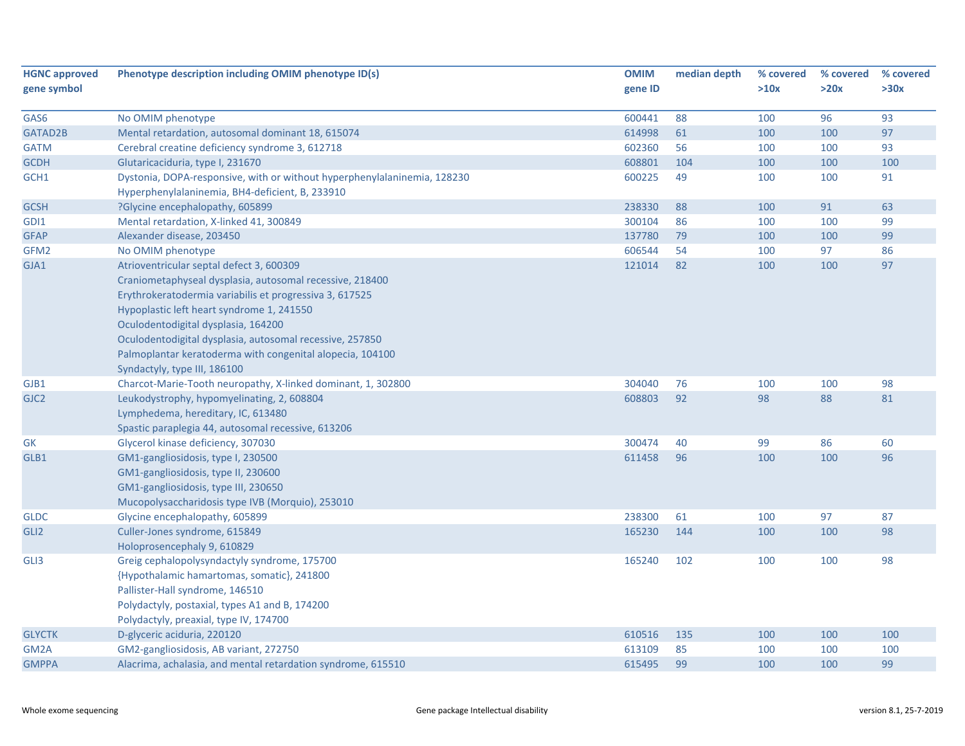| >20x<br>>30x<br>>10x<br>gene ID<br>600441<br>88<br>96<br>93<br>No OMIM phenotype<br>100<br>97<br>Mental retardation, autosomal dominant 18, 615074<br>614998<br>61<br>100<br>100<br>Cerebral creatine deficiency syndrome 3, 612718<br>602360<br>56<br>100<br>100<br>93<br><b>GATM</b><br>Glutaricaciduria, type I, 231670<br>608801<br>104<br>100<br>100<br>100<br>Dystonia, DOPA-responsive, with or without hyperphenylalaninemia, 128230<br>600225<br>49<br>100<br>91<br>100<br>Hyperphenylalaninemia, BH4-deficient, B, 233910<br>?Glycine encephalopathy, 605899<br>238330<br>88<br>100<br>91<br>63<br>300104<br>86<br>100<br>99<br>GDI1<br>Mental retardation, X-linked 41, 300849<br>100<br>99<br><b>GFAP</b><br>Alexander disease, 203450<br>137780<br>79<br>100<br>100<br>606544<br>54<br>97<br>86<br>No OMIM phenotype<br>100<br>97<br>GJA1<br>Atrioventricular septal defect 3, 600309<br>121014<br>82<br>100<br>100<br>Craniometaphyseal dysplasia, autosomal recessive, 218400<br>Erythrokeratodermia variabilis et progressiva 3, 617525<br>Hypoplastic left heart syndrome 1, 241550<br>Oculodentodigital dysplasia, 164200<br>Oculodentodigital dysplasia, autosomal recessive, 257850<br>Palmoplantar keratoderma with congenital alopecia, 104100 | <b>HGNC approved</b> | Phenotype description including OMIM phenotype ID(s) | <b>OMIM</b> | median depth | % covered | % covered | % covered |
|----------------------------------------------------------------------------------------------------------------------------------------------------------------------------------------------------------------------------------------------------------------------------------------------------------------------------------------------------------------------------------------------------------------------------------------------------------------------------------------------------------------------------------------------------------------------------------------------------------------------------------------------------------------------------------------------------------------------------------------------------------------------------------------------------------------------------------------------------------------------------------------------------------------------------------------------------------------------------------------------------------------------------------------------------------------------------------------------------------------------------------------------------------------------------------------------------------------------------------------------------------------------|----------------------|------------------------------------------------------|-------------|--------------|-----------|-----------|-----------|
| GAS6<br>GATAD2B<br><b>GCDH</b><br>GCH1<br><b>GCSH</b><br>GFM <sub>2</sub>                                                                                                                                                                                                                                                                                                                                                                                                                                                                                                                                                                                                                                                                                                                                                                                                                                                                                                                                                                                                                                                                                                                                                                                            | gene symbol          |                                                      |             |              |           |           |           |
|                                                                                                                                                                                                                                                                                                                                                                                                                                                                                                                                                                                                                                                                                                                                                                                                                                                                                                                                                                                                                                                                                                                                                                                                                                                                      |                      |                                                      |             |              |           |           |           |
|                                                                                                                                                                                                                                                                                                                                                                                                                                                                                                                                                                                                                                                                                                                                                                                                                                                                                                                                                                                                                                                                                                                                                                                                                                                                      |                      |                                                      |             |              |           |           |           |
|                                                                                                                                                                                                                                                                                                                                                                                                                                                                                                                                                                                                                                                                                                                                                                                                                                                                                                                                                                                                                                                                                                                                                                                                                                                                      |                      |                                                      |             |              |           |           |           |
|                                                                                                                                                                                                                                                                                                                                                                                                                                                                                                                                                                                                                                                                                                                                                                                                                                                                                                                                                                                                                                                                                                                                                                                                                                                                      |                      |                                                      |             |              |           |           |           |
|                                                                                                                                                                                                                                                                                                                                                                                                                                                                                                                                                                                                                                                                                                                                                                                                                                                                                                                                                                                                                                                                                                                                                                                                                                                                      |                      |                                                      |             |              |           |           |           |
|                                                                                                                                                                                                                                                                                                                                                                                                                                                                                                                                                                                                                                                                                                                                                                                                                                                                                                                                                                                                                                                                                                                                                                                                                                                                      |                      |                                                      |             |              |           |           |           |
|                                                                                                                                                                                                                                                                                                                                                                                                                                                                                                                                                                                                                                                                                                                                                                                                                                                                                                                                                                                                                                                                                                                                                                                                                                                                      |                      |                                                      |             |              |           |           |           |
|                                                                                                                                                                                                                                                                                                                                                                                                                                                                                                                                                                                                                                                                                                                                                                                                                                                                                                                                                                                                                                                                                                                                                                                                                                                                      |                      |                                                      |             |              |           |           |           |
|                                                                                                                                                                                                                                                                                                                                                                                                                                                                                                                                                                                                                                                                                                                                                                                                                                                                                                                                                                                                                                                                                                                                                                                                                                                                      |                      |                                                      |             |              |           |           |           |
|                                                                                                                                                                                                                                                                                                                                                                                                                                                                                                                                                                                                                                                                                                                                                                                                                                                                                                                                                                                                                                                                                                                                                                                                                                                                      |                      |                                                      |             |              |           |           |           |
|                                                                                                                                                                                                                                                                                                                                                                                                                                                                                                                                                                                                                                                                                                                                                                                                                                                                                                                                                                                                                                                                                                                                                                                                                                                                      |                      |                                                      |             |              |           |           |           |
|                                                                                                                                                                                                                                                                                                                                                                                                                                                                                                                                                                                                                                                                                                                                                                                                                                                                                                                                                                                                                                                                                                                                                                                                                                                                      |                      |                                                      |             |              |           |           |           |
|                                                                                                                                                                                                                                                                                                                                                                                                                                                                                                                                                                                                                                                                                                                                                                                                                                                                                                                                                                                                                                                                                                                                                                                                                                                                      |                      |                                                      |             |              |           |           |           |
|                                                                                                                                                                                                                                                                                                                                                                                                                                                                                                                                                                                                                                                                                                                                                                                                                                                                                                                                                                                                                                                                                                                                                                                                                                                                      |                      |                                                      |             |              |           |           |           |
|                                                                                                                                                                                                                                                                                                                                                                                                                                                                                                                                                                                                                                                                                                                                                                                                                                                                                                                                                                                                                                                                                                                                                                                                                                                                      |                      |                                                      |             |              |           |           |           |
|                                                                                                                                                                                                                                                                                                                                                                                                                                                                                                                                                                                                                                                                                                                                                                                                                                                                                                                                                                                                                                                                                                                                                                                                                                                                      |                      |                                                      |             |              |           |           |           |
|                                                                                                                                                                                                                                                                                                                                                                                                                                                                                                                                                                                                                                                                                                                                                                                                                                                                                                                                                                                                                                                                                                                                                                                                                                                                      |                      |                                                      |             |              |           |           |           |
|                                                                                                                                                                                                                                                                                                                                                                                                                                                                                                                                                                                                                                                                                                                                                                                                                                                                                                                                                                                                                                                                                                                                                                                                                                                                      |                      |                                                      |             |              |           |           |           |
|                                                                                                                                                                                                                                                                                                                                                                                                                                                                                                                                                                                                                                                                                                                                                                                                                                                                                                                                                                                                                                                                                                                                                                                                                                                                      |                      | Syndactyly, type III, 186100                         |             |              |           |           |           |
| 98<br>GJB1<br>Charcot-Marie-Tooth neuropathy, X-linked dominant, 1, 302800<br>304040<br>76<br>100<br>100                                                                                                                                                                                                                                                                                                                                                                                                                                                                                                                                                                                                                                                                                                                                                                                                                                                                                                                                                                                                                                                                                                                                                             |                      |                                                      |             |              |           |           |           |
| 608803<br>92<br>98<br>88<br>81<br>GJC <sub>2</sub><br>Leukodystrophy, hypomyelinating, 2, 608804                                                                                                                                                                                                                                                                                                                                                                                                                                                                                                                                                                                                                                                                                                                                                                                                                                                                                                                                                                                                                                                                                                                                                                     |                      |                                                      |             |              |           |           |           |
| Lymphedema, hereditary, IC, 613480                                                                                                                                                                                                                                                                                                                                                                                                                                                                                                                                                                                                                                                                                                                                                                                                                                                                                                                                                                                                                                                                                                                                                                                                                                   |                      |                                                      |             |              |           |           |           |
| Spastic paraplegia 44, autosomal recessive, 613206                                                                                                                                                                                                                                                                                                                                                                                                                                                                                                                                                                                                                                                                                                                                                                                                                                                                                                                                                                                                                                                                                                                                                                                                                   |                      |                                                      |             |              |           |           |           |
| 300474<br>40<br>99<br>86<br>60<br><b>GK</b><br>Glycerol kinase deficiency, 307030                                                                                                                                                                                                                                                                                                                                                                                                                                                                                                                                                                                                                                                                                                                                                                                                                                                                                                                                                                                                                                                                                                                                                                                    |                      |                                                      |             |              |           |           |           |
| 96<br>GLB1<br>GM1-gangliosidosis, type I, 230500<br>611458<br>96<br>100<br>100                                                                                                                                                                                                                                                                                                                                                                                                                                                                                                                                                                                                                                                                                                                                                                                                                                                                                                                                                                                                                                                                                                                                                                                       |                      |                                                      |             |              |           |           |           |
| GM1-gangliosidosis, type II, 230600                                                                                                                                                                                                                                                                                                                                                                                                                                                                                                                                                                                                                                                                                                                                                                                                                                                                                                                                                                                                                                                                                                                                                                                                                                  |                      |                                                      |             |              |           |           |           |
| GM1-gangliosidosis, type III, 230650                                                                                                                                                                                                                                                                                                                                                                                                                                                                                                                                                                                                                                                                                                                                                                                                                                                                                                                                                                                                                                                                                                                                                                                                                                 |                      |                                                      |             |              |           |           |           |
| Mucopolysaccharidosis type IVB (Morquio), 253010                                                                                                                                                                                                                                                                                                                                                                                                                                                                                                                                                                                                                                                                                                                                                                                                                                                                                                                                                                                                                                                                                                                                                                                                                     |                      |                                                      |             |              |           |           |           |
| 238300<br>61<br>87<br><b>GLDC</b><br>100<br>97<br>Glycine encephalopathy, 605899                                                                                                                                                                                                                                                                                                                                                                                                                                                                                                                                                                                                                                                                                                                                                                                                                                                                                                                                                                                                                                                                                                                                                                                     |                      |                                                      |             |              |           |           |           |
| Culler-Jones syndrome, 615849<br>98<br>GLI <sub>2</sub><br>165230<br>144<br>100<br>100                                                                                                                                                                                                                                                                                                                                                                                                                                                                                                                                                                                                                                                                                                                                                                                                                                                                                                                                                                                                                                                                                                                                                                               |                      |                                                      |             |              |           |           |           |
| Holoprosencephaly 9, 610829                                                                                                                                                                                                                                                                                                                                                                                                                                                                                                                                                                                                                                                                                                                                                                                                                                                                                                                                                                                                                                                                                                                                                                                                                                          |                      |                                                      |             |              |           |           |           |
| Greig cephalopolysyndactyly syndrome, 175700<br>100<br>98<br>GLI3<br>165240<br>102<br>100                                                                                                                                                                                                                                                                                                                                                                                                                                                                                                                                                                                                                                                                                                                                                                                                                                                                                                                                                                                                                                                                                                                                                                            |                      |                                                      |             |              |           |           |           |
| {Hypothalamic hamartomas, somatic}, 241800                                                                                                                                                                                                                                                                                                                                                                                                                                                                                                                                                                                                                                                                                                                                                                                                                                                                                                                                                                                                                                                                                                                                                                                                                           |                      |                                                      |             |              |           |           |           |
| Pallister-Hall syndrome, 146510                                                                                                                                                                                                                                                                                                                                                                                                                                                                                                                                                                                                                                                                                                                                                                                                                                                                                                                                                                                                                                                                                                                                                                                                                                      |                      |                                                      |             |              |           |           |           |
| Polydactyly, postaxial, types A1 and B, 174200                                                                                                                                                                                                                                                                                                                                                                                                                                                                                                                                                                                                                                                                                                                                                                                                                                                                                                                                                                                                                                                                                                                                                                                                                       |                      |                                                      |             |              |           |           |           |
| Polydactyly, preaxial, type IV, 174700                                                                                                                                                                                                                                                                                                                                                                                                                                                                                                                                                                                                                                                                                                                                                                                                                                                                                                                                                                                                                                                                                                                                                                                                                               |                      |                                                      |             |              |           |           |           |
| D-glyceric aciduria, 220120<br>610516<br>135<br>100<br>100<br>100<br><b>GLYCTK</b>                                                                                                                                                                                                                                                                                                                                                                                                                                                                                                                                                                                                                                                                                                                                                                                                                                                                                                                                                                                                                                                                                                                                                                                   |                      |                                                      |             |              |           |           |           |
| GM2-gangliosidosis, AB variant, 272750<br>613109<br>85<br>100<br>100<br>GM <sub>2</sub> A<br>100                                                                                                                                                                                                                                                                                                                                                                                                                                                                                                                                                                                                                                                                                                                                                                                                                                                                                                                                                                                                                                                                                                                                                                     |                      |                                                      |             |              |           |           |           |
| 99<br>99<br><b>GMPPA</b><br>Alacrima, achalasia, and mental retardation syndrome, 615510<br>615495<br>100<br>100                                                                                                                                                                                                                                                                                                                                                                                                                                                                                                                                                                                                                                                                                                                                                                                                                                                                                                                                                                                                                                                                                                                                                     |                      |                                                      |             |              |           |           |           |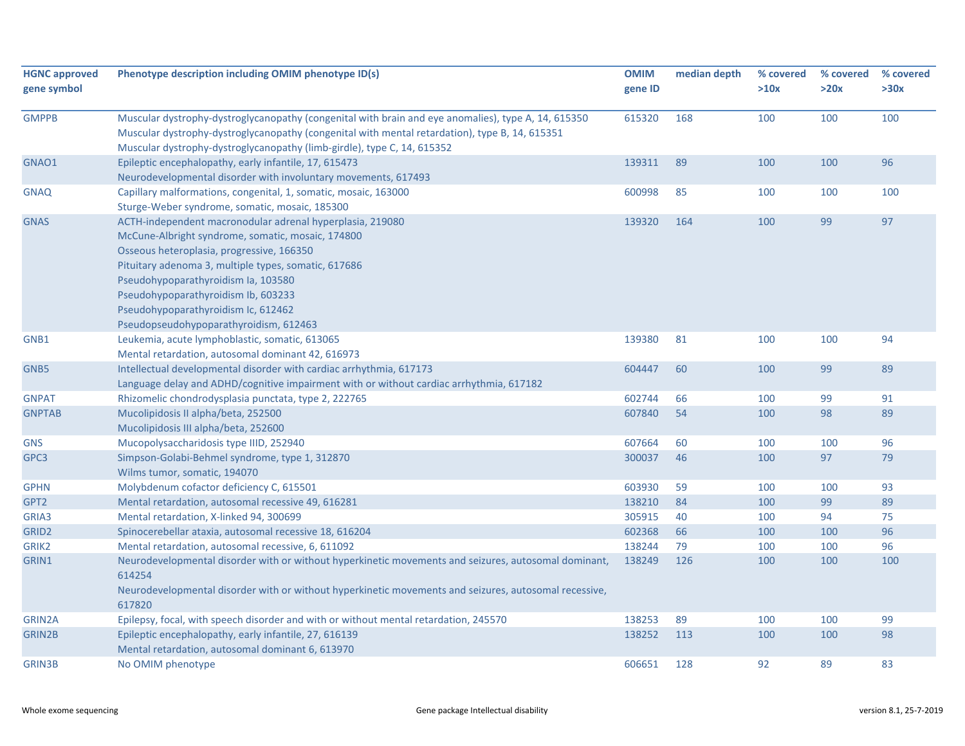| <b>HGNC approved</b><br>gene symbol | Phenotype description including OMIM phenotype ID(s)                                                                                                                                                                                                                                                                                                                               | <b>OMIM</b><br>gene ID | median depth | % covered<br>>10x | % covered<br>>20x | % covered<br>>30x |
|-------------------------------------|------------------------------------------------------------------------------------------------------------------------------------------------------------------------------------------------------------------------------------------------------------------------------------------------------------------------------------------------------------------------------------|------------------------|--------------|-------------------|-------------------|-------------------|
| <b>GMPPB</b>                        | Muscular dystrophy-dystroglycanopathy (congenital with brain and eye anomalies), type A, 14, 615350<br>Muscular dystrophy-dystroglycanopathy (congenital with mental retardation), type B, 14, 615351<br>Muscular dystrophy-dystroglycanopathy (limb-girdle), type C, 14, 615352                                                                                                   | 615320                 | 168          | 100               | 100               | 100               |
| GNAO1                               | Epileptic encephalopathy, early infantile, 17, 615473<br>Neurodevelopmental disorder with involuntary movements, 617493                                                                                                                                                                                                                                                            | 139311                 | 89           | 100               | 100               | 96                |
| <b>GNAQ</b>                         | Capillary malformations, congenital, 1, somatic, mosaic, 163000<br>Sturge-Weber syndrome, somatic, mosaic, 185300                                                                                                                                                                                                                                                                  | 600998                 | 85           | 100               | 100               | 100               |
| <b>GNAS</b>                         | ACTH-independent macronodular adrenal hyperplasia, 219080<br>McCune-Albright syndrome, somatic, mosaic, 174800<br>Osseous heteroplasia, progressive, 166350<br>Pituitary adenoma 3, multiple types, somatic, 617686<br>Pseudohypoparathyroidism Ia, 103580<br>Pseudohypoparathyroidism Ib, 603233<br>Pseudohypoparathyroidism Ic, 612462<br>Pseudopseudohypoparathyroidism, 612463 | 139320                 | 164          | 100               | 99                | 97                |
| GNB1                                | Leukemia, acute lymphoblastic, somatic, 613065<br>Mental retardation, autosomal dominant 42, 616973                                                                                                                                                                                                                                                                                | 139380                 | 81           | 100               | 100               | 94                |
| GNB5                                | Intellectual developmental disorder with cardiac arrhythmia, 617173<br>Language delay and ADHD/cognitive impairment with or without cardiac arrhythmia, 617182                                                                                                                                                                                                                     | 604447                 | 60           | 100               | 99                | 89                |
| <b>GNPAT</b>                        | Rhizomelic chondrodysplasia punctata, type 2, 222765                                                                                                                                                                                                                                                                                                                               | 602744                 | 66           | 100               | 99                | 91                |
| <b>GNPTAB</b>                       | Mucolipidosis II alpha/beta, 252500<br>Mucolipidosis III alpha/beta, 252600                                                                                                                                                                                                                                                                                                        | 607840                 | 54           | 100               | 98                | 89                |
| <b>GNS</b>                          | Mucopolysaccharidosis type IIID, 252940                                                                                                                                                                                                                                                                                                                                            | 607664                 | 60           | 100               | 100               | 96                |
| GPC3                                | Simpson-Golabi-Behmel syndrome, type 1, 312870<br>Wilms tumor, somatic, 194070                                                                                                                                                                                                                                                                                                     | 300037                 | 46           | 100               | 97                | 79                |
| <b>GPHN</b>                         | Molybdenum cofactor deficiency C, 615501                                                                                                                                                                                                                                                                                                                                           | 603930                 | 59           | 100               | 100               | 93                |
| GPT2                                | Mental retardation, autosomal recessive 49, 616281                                                                                                                                                                                                                                                                                                                                 | 138210                 | 84           | 100               | 99                | 89                |
| GRIA3                               | Mental retardation, X-linked 94, 300699                                                                                                                                                                                                                                                                                                                                            | 305915                 | 40           | 100               | 94                | 75                |
| GRID <sub>2</sub>                   | Spinocerebellar ataxia, autosomal recessive 18, 616204                                                                                                                                                                                                                                                                                                                             | 602368                 | 66           | 100               | 100               | 96                |
| GRIK <sub>2</sub>                   | Mental retardation, autosomal recessive, 6, 611092                                                                                                                                                                                                                                                                                                                                 | 138244                 | 79           | 100               | 100               | 96                |
| GRIN1                               | Neurodevelopmental disorder with or without hyperkinetic movements and seizures, autosomal dominant,<br>614254<br>Neurodevelopmental disorder with or without hyperkinetic movements and seizures, autosomal recessive,<br>617820                                                                                                                                                  | 138249                 | 126          | 100               | 100               | 100               |
| GRIN2A                              | Epilepsy, focal, with speech disorder and with or without mental retardation, 245570                                                                                                                                                                                                                                                                                               | 138253                 | 89           | 100               | 100               | 99                |
| GRIN2B                              | Epileptic encephalopathy, early infantile, 27, 616139<br>Mental retardation, autosomal dominant 6, 613970                                                                                                                                                                                                                                                                          | 138252                 | 113          | 100               | 100               | 98                |
| <b>GRIN3B</b>                       | No OMIM phenotype                                                                                                                                                                                                                                                                                                                                                                  | 606651                 | 128          | 92                | 89                | 83                |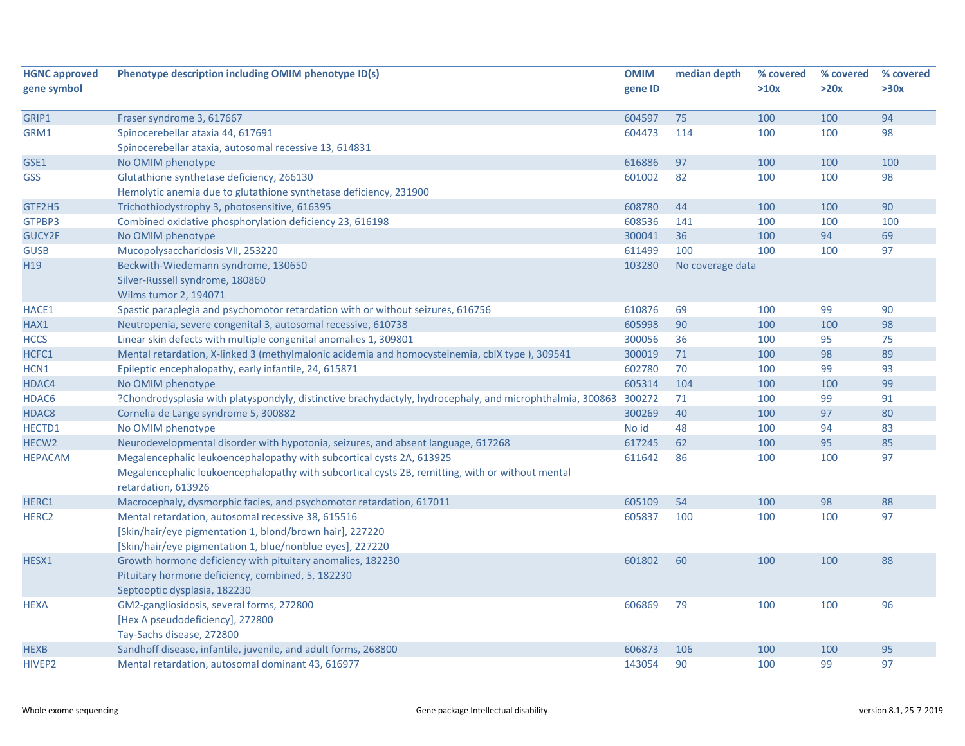| >20x<br>>30x<br>gene ID<br>>10x<br>75<br>94<br>GRIP1<br>Fraser syndrome 3, 617667<br>604597<br>100<br>100<br>GRM1<br>604473<br>100<br>100<br>98<br>Spinocerebellar ataxia 44, 617691<br>114<br>Spinocerebellar ataxia, autosomal recessive 13, 614831<br>No OMIM phenotype<br>616886<br>97<br>100<br>100<br>100<br>Glutathione synthetase deficiency, 266130<br>601002<br>82<br>98<br>100<br>100<br>Hemolytic anemia due to glutathione synthetase deficiency, 231900<br>90<br>Trichothiodystrophy 3, photosensitive, 616395<br>608780<br>44<br>100<br>100<br>Combined oxidative phosphorylation deficiency 23, 616198<br>608536<br>141<br>100<br>100<br>100<br>94<br>69<br>No OMIM phenotype<br>300041<br>36<br>100<br>611499<br>100<br>97<br>Mucopolysaccharidosis VII, 253220<br>100<br>100<br>Beckwith-Wiedemann syndrome, 130650<br>103280<br>No coverage data<br>Silver-Russell syndrome, 180860<br>Wilms tumor 2, 194071<br>Spastic paraplegia and psychomotor retardation with or without seizures, 616756<br>610876<br>69<br>99<br>90<br>100<br>90<br>98<br>605998<br>100<br>100<br>Neutropenia, severe congenital 3, autosomal recessive, 610738<br>Linear skin defects with multiple congenital anomalies 1, 309801<br>300056<br>36<br>75<br>100<br>95<br>Mental retardation, X-linked 3 (methylmalonic acidemia and homocysteinemia, cblX type), 309541<br>300019<br>98<br>89<br>71<br>100<br>602780<br>70<br>99<br>93<br>Epileptic encephalopathy, early infantile, 24, 615871<br>100<br>99<br>605314<br>104<br>100<br>100<br>No OMIM phenotype<br>99<br>91<br>?Chondrodysplasia with platyspondyly, distinctive brachydactyly, hydrocephaly, and microphthalmia, 300863 300272<br>71<br>100<br>97<br>Cornelia de Lange syndrome 5, 300882<br>300269<br>40<br>100<br>80<br>No id<br>No OMIM phenotype<br>48<br>100<br>94<br>83<br>617245<br>62<br>95<br>85<br>Neurodevelopmental disorder with hypotonia, seizures, and absent language, 617268<br>100<br>Megalencephalic leukoencephalopathy with subcortical cysts 2A, 613925<br>611642<br>86<br>100<br>100<br>97<br>Megalencephalic leukoencephalopathy with subcortical cysts 2B, remitting, with or without mental<br>retardation, 613926<br>Macrocephaly, dysmorphic facies, and psychomotor retardation, 617011<br>605109<br>54<br>100<br>98<br>88<br>Mental retardation, autosomal recessive 38, 615516<br>97<br>605837<br>100<br>100<br>100<br>[Skin/hair/eye pigmentation 1, blond/brown hair], 227220<br>[Skin/hair/eye pigmentation 1, blue/nonblue eyes], 227220<br>Growth hormone deficiency with pituitary anomalies, 182230<br>88<br>601802<br>60<br>100<br>100<br>Pituitary hormone deficiency, combined, 5, 182230<br>Septooptic dysplasia, 182230<br>GM2-gangliosidosis, several forms, 272800<br>606869<br>79<br>100<br>100<br>96<br>[Hex A pseudodeficiency], 272800<br>Tay-Sachs disease, 272800<br>Sandhoff disease, infantile, juvenile, and adult forms, 268800<br>100<br>100<br>95<br>606873<br>106 | <b>HGNC approved</b> | Phenotype description including OMIM phenotype ID(s) | <b>OMIM</b> | median depth | % covered | % covered | % covered |
|--------------------------------------------------------------------------------------------------------------------------------------------------------------------------------------------------------------------------------------------------------------------------------------------------------------------------------------------------------------------------------------------------------------------------------------------------------------------------------------------------------------------------------------------------------------------------------------------------------------------------------------------------------------------------------------------------------------------------------------------------------------------------------------------------------------------------------------------------------------------------------------------------------------------------------------------------------------------------------------------------------------------------------------------------------------------------------------------------------------------------------------------------------------------------------------------------------------------------------------------------------------------------------------------------------------------------------------------------------------------------------------------------------------------------------------------------------------------------------------------------------------------------------------------------------------------------------------------------------------------------------------------------------------------------------------------------------------------------------------------------------------------------------------------------------------------------------------------------------------------------------------------------------------------------------------------------------------------------------------------------------------------------------------------------------------------------------------------------------------------------------------------------------------------------------------------------------------------------------------------------------------------------------------------------------------------------------------------------------------------------------------------------------------------------------------------------------------------------------------------------------------------------------------------------------------------------------------------------------------------------------------------------------------------------------------------------------------------------------------------------------------------------------------------------------------------------------------------------------------------------------------------------------------------------------------------------------------------------------------------|----------------------|------------------------------------------------------|-------------|--------------|-----------|-----------|-----------|
|                                                                                                                                                                                                                                                                                                                                                                                                                                                                                                                                                                                                                                                                                                                                                                                                                                                                                                                                                                                                                                                                                                                                                                                                                                                                                                                                                                                                                                                                                                                                                                                                                                                                                                                                                                                                                                                                                                                                                                                                                                                                                                                                                                                                                                                                                                                                                                                                                                                                                                                                                                                                                                                                                                                                                                                                                                                                                                                                                                                            | gene symbol          |                                                      |             |              |           |           |           |
|                                                                                                                                                                                                                                                                                                                                                                                                                                                                                                                                                                                                                                                                                                                                                                                                                                                                                                                                                                                                                                                                                                                                                                                                                                                                                                                                                                                                                                                                                                                                                                                                                                                                                                                                                                                                                                                                                                                                                                                                                                                                                                                                                                                                                                                                                                                                                                                                                                                                                                                                                                                                                                                                                                                                                                                                                                                                                                                                                                                            |                      |                                                      |             |              |           |           |           |
|                                                                                                                                                                                                                                                                                                                                                                                                                                                                                                                                                                                                                                                                                                                                                                                                                                                                                                                                                                                                                                                                                                                                                                                                                                                                                                                                                                                                                                                                                                                                                                                                                                                                                                                                                                                                                                                                                                                                                                                                                                                                                                                                                                                                                                                                                                                                                                                                                                                                                                                                                                                                                                                                                                                                                                                                                                                                                                                                                                                            |                      |                                                      |             |              |           |           |           |
|                                                                                                                                                                                                                                                                                                                                                                                                                                                                                                                                                                                                                                                                                                                                                                                                                                                                                                                                                                                                                                                                                                                                                                                                                                                                                                                                                                                                                                                                                                                                                                                                                                                                                                                                                                                                                                                                                                                                                                                                                                                                                                                                                                                                                                                                                                                                                                                                                                                                                                                                                                                                                                                                                                                                                                                                                                                                                                                                                                                            |                      |                                                      |             |              |           |           |           |
|                                                                                                                                                                                                                                                                                                                                                                                                                                                                                                                                                                                                                                                                                                                                                                                                                                                                                                                                                                                                                                                                                                                                                                                                                                                                                                                                                                                                                                                                                                                                                                                                                                                                                                                                                                                                                                                                                                                                                                                                                                                                                                                                                                                                                                                                                                                                                                                                                                                                                                                                                                                                                                                                                                                                                                                                                                                                                                                                                                                            |                      |                                                      |             |              |           |           |           |
|                                                                                                                                                                                                                                                                                                                                                                                                                                                                                                                                                                                                                                                                                                                                                                                                                                                                                                                                                                                                                                                                                                                                                                                                                                                                                                                                                                                                                                                                                                                                                                                                                                                                                                                                                                                                                                                                                                                                                                                                                                                                                                                                                                                                                                                                                                                                                                                                                                                                                                                                                                                                                                                                                                                                                                                                                                                                                                                                                                                            | GSE1                 |                                                      |             |              |           |           |           |
|                                                                                                                                                                                                                                                                                                                                                                                                                                                                                                                                                                                                                                                                                                                                                                                                                                                                                                                                                                                                                                                                                                                                                                                                                                                                                                                                                                                                                                                                                                                                                                                                                                                                                                                                                                                                                                                                                                                                                                                                                                                                                                                                                                                                                                                                                                                                                                                                                                                                                                                                                                                                                                                                                                                                                                                                                                                                                                                                                                                            | <b>GSS</b>           |                                                      |             |              |           |           |           |
|                                                                                                                                                                                                                                                                                                                                                                                                                                                                                                                                                                                                                                                                                                                                                                                                                                                                                                                                                                                                                                                                                                                                                                                                                                                                                                                                                                                                                                                                                                                                                                                                                                                                                                                                                                                                                                                                                                                                                                                                                                                                                                                                                                                                                                                                                                                                                                                                                                                                                                                                                                                                                                                                                                                                                                                                                                                                                                                                                                                            |                      |                                                      |             |              |           |           |           |
|                                                                                                                                                                                                                                                                                                                                                                                                                                                                                                                                                                                                                                                                                                                                                                                                                                                                                                                                                                                                                                                                                                                                                                                                                                                                                                                                                                                                                                                                                                                                                                                                                                                                                                                                                                                                                                                                                                                                                                                                                                                                                                                                                                                                                                                                                                                                                                                                                                                                                                                                                                                                                                                                                                                                                                                                                                                                                                                                                                                            | GTF2H5               |                                                      |             |              |           |           |           |
|                                                                                                                                                                                                                                                                                                                                                                                                                                                                                                                                                                                                                                                                                                                                                                                                                                                                                                                                                                                                                                                                                                                                                                                                                                                                                                                                                                                                                                                                                                                                                                                                                                                                                                                                                                                                                                                                                                                                                                                                                                                                                                                                                                                                                                                                                                                                                                                                                                                                                                                                                                                                                                                                                                                                                                                                                                                                                                                                                                                            | GTPBP3               |                                                      |             |              |           |           |           |
|                                                                                                                                                                                                                                                                                                                                                                                                                                                                                                                                                                                                                                                                                                                                                                                                                                                                                                                                                                                                                                                                                                                                                                                                                                                                                                                                                                                                                                                                                                                                                                                                                                                                                                                                                                                                                                                                                                                                                                                                                                                                                                                                                                                                                                                                                                                                                                                                                                                                                                                                                                                                                                                                                                                                                                                                                                                                                                                                                                                            | GUCY2F               |                                                      |             |              |           |           |           |
|                                                                                                                                                                                                                                                                                                                                                                                                                                                                                                                                                                                                                                                                                                                                                                                                                                                                                                                                                                                                                                                                                                                                                                                                                                                                                                                                                                                                                                                                                                                                                                                                                                                                                                                                                                                                                                                                                                                                                                                                                                                                                                                                                                                                                                                                                                                                                                                                                                                                                                                                                                                                                                                                                                                                                                                                                                                                                                                                                                                            | <b>GUSB</b>          |                                                      |             |              |           |           |           |
|                                                                                                                                                                                                                                                                                                                                                                                                                                                                                                                                                                                                                                                                                                                                                                                                                                                                                                                                                                                                                                                                                                                                                                                                                                                                                                                                                                                                                                                                                                                                                                                                                                                                                                                                                                                                                                                                                                                                                                                                                                                                                                                                                                                                                                                                                                                                                                                                                                                                                                                                                                                                                                                                                                                                                                                                                                                                                                                                                                                            | H19                  |                                                      |             |              |           |           |           |
|                                                                                                                                                                                                                                                                                                                                                                                                                                                                                                                                                                                                                                                                                                                                                                                                                                                                                                                                                                                                                                                                                                                                                                                                                                                                                                                                                                                                                                                                                                                                                                                                                                                                                                                                                                                                                                                                                                                                                                                                                                                                                                                                                                                                                                                                                                                                                                                                                                                                                                                                                                                                                                                                                                                                                                                                                                                                                                                                                                                            |                      |                                                      |             |              |           |           |           |
|                                                                                                                                                                                                                                                                                                                                                                                                                                                                                                                                                                                                                                                                                                                                                                                                                                                                                                                                                                                                                                                                                                                                                                                                                                                                                                                                                                                                                                                                                                                                                                                                                                                                                                                                                                                                                                                                                                                                                                                                                                                                                                                                                                                                                                                                                                                                                                                                                                                                                                                                                                                                                                                                                                                                                                                                                                                                                                                                                                                            |                      |                                                      |             |              |           |           |           |
|                                                                                                                                                                                                                                                                                                                                                                                                                                                                                                                                                                                                                                                                                                                                                                                                                                                                                                                                                                                                                                                                                                                                                                                                                                                                                                                                                                                                                                                                                                                                                                                                                                                                                                                                                                                                                                                                                                                                                                                                                                                                                                                                                                                                                                                                                                                                                                                                                                                                                                                                                                                                                                                                                                                                                                                                                                                                                                                                                                                            | HACE1                |                                                      |             |              |           |           |           |
|                                                                                                                                                                                                                                                                                                                                                                                                                                                                                                                                                                                                                                                                                                                                                                                                                                                                                                                                                                                                                                                                                                                                                                                                                                                                                                                                                                                                                                                                                                                                                                                                                                                                                                                                                                                                                                                                                                                                                                                                                                                                                                                                                                                                                                                                                                                                                                                                                                                                                                                                                                                                                                                                                                                                                                                                                                                                                                                                                                                            | HAX1                 |                                                      |             |              |           |           |           |
|                                                                                                                                                                                                                                                                                                                                                                                                                                                                                                                                                                                                                                                                                                                                                                                                                                                                                                                                                                                                                                                                                                                                                                                                                                                                                                                                                                                                                                                                                                                                                                                                                                                                                                                                                                                                                                                                                                                                                                                                                                                                                                                                                                                                                                                                                                                                                                                                                                                                                                                                                                                                                                                                                                                                                                                                                                                                                                                                                                                            | <b>HCCS</b>          |                                                      |             |              |           |           |           |
|                                                                                                                                                                                                                                                                                                                                                                                                                                                                                                                                                                                                                                                                                                                                                                                                                                                                                                                                                                                                                                                                                                                                                                                                                                                                                                                                                                                                                                                                                                                                                                                                                                                                                                                                                                                                                                                                                                                                                                                                                                                                                                                                                                                                                                                                                                                                                                                                                                                                                                                                                                                                                                                                                                                                                                                                                                                                                                                                                                                            | HCFC1                |                                                      |             |              |           |           |           |
|                                                                                                                                                                                                                                                                                                                                                                                                                                                                                                                                                                                                                                                                                                                                                                                                                                                                                                                                                                                                                                                                                                                                                                                                                                                                                                                                                                                                                                                                                                                                                                                                                                                                                                                                                                                                                                                                                                                                                                                                                                                                                                                                                                                                                                                                                                                                                                                                                                                                                                                                                                                                                                                                                                                                                                                                                                                                                                                                                                                            | HCN1                 |                                                      |             |              |           |           |           |
|                                                                                                                                                                                                                                                                                                                                                                                                                                                                                                                                                                                                                                                                                                                                                                                                                                                                                                                                                                                                                                                                                                                                                                                                                                                                                                                                                                                                                                                                                                                                                                                                                                                                                                                                                                                                                                                                                                                                                                                                                                                                                                                                                                                                                                                                                                                                                                                                                                                                                                                                                                                                                                                                                                                                                                                                                                                                                                                                                                                            | HDAC4                |                                                      |             |              |           |           |           |
|                                                                                                                                                                                                                                                                                                                                                                                                                                                                                                                                                                                                                                                                                                                                                                                                                                                                                                                                                                                                                                                                                                                                                                                                                                                                                                                                                                                                                                                                                                                                                                                                                                                                                                                                                                                                                                                                                                                                                                                                                                                                                                                                                                                                                                                                                                                                                                                                                                                                                                                                                                                                                                                                                                                                                                                                                                                                                                                                                                                            | HDAC6                |                                                      |             |              |           |           |           |
|                                                                                                                                                                                                                                                                                                                                                                                                                                                                                                                                                                                                                                                                                                                                                                                                                                                                                                                                                                                                                                                                                                                                                                                                                                                                                                                                                                                                                                                                                                                                                                                                                                                                                                                                                                                                                                                                                                                                                                                                                                                                                                                                                                                                                                                                                                                                                                                                                                                                                                                                                                                                                                                                                                                                                                                                                                                                                                                                                                                            | HDAC8                |                                                      |             |              |           |           |           |
|                                                                                                                                                                                                                                                                                                                                                                                                                                                                                                                                                                                                                                                                                                                                                                                                                                                                                                                                                                                                                                                                                                                                                                                                                                                                                                                                                                                                                                                                                                                                                                                                                                                                                                                                                                                                                                                                                                                                                                                                                                                                                                                                                                                                                                                                                                                                                                                                                                                                                                                                                                                                                                                                                                                                                                                                                                                                                                                                                                                            | HECTD1               |                                                      |             |              |           |           |           |
|                                                                                                                                                                                                                                                                                                                                                                                                                                                                                                                                                                                                                                                                                                                                                                                                                                                                                                                                                                                                                                                                                                                                                                                                                                                                                                                                                                                                                                                                                                                                                                                                                                                                                                                                                                                                                                                                                                                                                                                                                                                                                                                                                                                                                                                                                                                                                                                                                                                                                                                                                                                                                                                                                                                                                                                                                                                                                                                                                                                            | HECW2                |                                                      |             |              |           |           |           |
|                                                                                                                                                                                                                                                                                                                                                                                                                                                                                                                                                                                                                                                                                                                                                                                                                                                                                                                                                                                                                                                                                                                                                                                                                                                                                                                                                                                                                                                                                                                                                                                                                                                                                                                                                                                                                                                                                                                                                                                                                                                                                                                                                                                                                                                                                                                                                                                                                                                                                                                                                                                                                                                                                                                                                                                                                                                                                                                                                                                            | <b>HEPACAM</b>       |                                                      |             |              |           |           |           |
|                                                                                                                                                                                                                                                                                                                                                                                                                                                                                                                                                                                                                                                                                                                                                                                                                                                                                                                                                                                                                                                                                                                                                                                                                                                                                                                                                                                                                                                                                                                                                                                                                                                                                                                                                                                                                                                                                                                                                                                                                                                                                                                                                                                                                                                                                                                                                                                                                                                                                                                                                                                                                                                                                                                                                                                                                                                                                                                                                                                            |                      |                                                      |             |              |           |           |           |
|                                                                                                                                                                                                                                                                                                                                                                                                                                                                                                                                                                                                                                                                                                                                                                                                                                                                                                                                                                                                                                                                                                                                                                                                                                                                                                                                                                                                                                                                                                                                                                                                                                                                                                                                                                                                                                                                                                                                                                                                                                                                                                                                                                                                                                                                                                                                                                                                                                                                                                                                                                                                                                                                                                                                                                                                                                                                                                                                                                                            |                      |                                                      |             |              |           |           |           |
|                                                                                                                                                                                                                                                                                                                                                                                                                                                                                                                                                                                                                                                                                                                                                                                                                                                                                                                                                                                                                                                                                                                                                                                                                                                                                                                                                                                                                                                                                                                                                                                                                                                                                                                                                                                                                                                                                                                                                                                                                                                                                                                                                                                                                                                                                                                                                                                                                                                                                                                                                                                                                                                                                                                                                                                                                                                                                                                                                                                            | HERC1                |                                                      |             |              |           |           |           |
|                                                                                                                                                                                                                                                                                                                                                                                                                                                                                                                                                                                                                                                                                                                                                                                                                                                                                                                                                                                                                                                                                                                                                                                                                                                                                                                                                                                                                                                                                                                                                                                                                                                                                                                                                                                                                                                                                                                                                                                                                                                                                                                                                                                                                                                                                                                                                                                                                                                                                                                                                                                                                                                                                                                                                                                                                                                                                                                                                                                            | HERC <sub>2</sub>    |                                                      |             |              |           |           |           |
|                                                                                                                                                                                                                                                                                                                                                                                                                                                                                                                                                                                                                                                                                                                                                                                                                                                                                                                                                                                                                                                                                                                                                                                                                                                                                                                                                                                                                                                                                                                                                                                                                                                                                                                                                                                                                                                                                                                                                                                                                                                                                                                                                                                                                                                                                                                                                                                                                                                                                                                                                                                                                                                                                                                                                                                                                                                                                                                                                                                            |                      |                                                      |             |              |           |           |           |
|                                                                                                                                                                                                                                                                                                                                                                                                                                                                                                                                                                                                                                                                                                                                                                                                                                                                                                                                                                                                                                                                                                                                                                                                                                                                                                                                                                                                                                                                                                                                                                                                                                                                                                                                                                                                                                                                                                                                                                                                                                                                                                                                                                                                                                                                                                                                                                                                                                                                                                                                                                                                                                                                                                                                                                                                                                                                                                                                                                                            |                      |                                                      |             |              |           |           |           |
|                                                                                                                                                                                                                                                                                                                                                                                                                                                                                                                                                                                                                                                                                                                                                                                                                                                                                                                                                                                                                                                                                                                                                                                                                                                                                                                                                                                                                                                                                                                                                                                                                                                                                                                                                                                                                                                                                                                                                                                                                                                                                                                                                                                                                                                                                                                                                                                                                                                                                                                                                                                                                                                                                                                                                                                                                                                                                                                                                                                            | HESX1                |                                                      |             |              |           |           |           |
|                                                                                                                                                                                                                                                                                                                                                                                                                                                                                                                                                                                                                                                                                                                                                                                                                                                                                                                                                                                                                                                                                                                                                                                                                                                                                                                                                                                                                                                                                                                                                                                                                                                                                                                                                                                                                                                                                                                                                                                                                                                                                                                                                                                                                                                                                                                                                                                                                                                                                                                                                                                                                                                                                                                                                                                                                                                                                                                                                                                            |                      |                                                      |             |              |           |           |           |
|                                                                                                                                                                                                                                                                                                                                                                                                                                                                                                                                                                                                                                                                                                                                                                                                                                                                                                                                                                                                                                                                                                                                                                                                                                                                                                                                                                                                                                                                                                                                                                                                                                                                                                                                                                                                                                                                                                                                                                                                                                                                                                                                                                                                                                                                                                                                                                                                                                                                                                                                                                                                                                                                                                                                                                                                                                                                                                                                                                                            |                      |                                                      |             |              |           |           |           |
|                                                                                                                                                                                                                                                                                                                                                                                                                                                                                                                                                                                                                                                                                                                                                                                                                                                                                                                                                                                                                                                                                                                                                                                                                                                                                                                                                                                                                                                                                                                                                                                                                                                                                                                                                                                                                                                                                                                                                                                                                                                                                                                                                                                                                                                                                                                                                                                                                                                                                                                                                                                                                                                                                                                                                                                                                                                                                                                                                                                            | <b>HEXA</b>          |                                                      |             |              |           |           |           |
|                                                                                                                                                                                                                                                                                                                                                                                                                                                                                                                                                                                                                                                                                                                                                                                                                                                                                                                                                                                                                                                                                                                                                                                                                                                                                                                                                                                                                                                                                                                                                                                                                                                                                                                                                                                                                                                                                                                                                                                                                                                                                                                                                                                                                                                                                                                                                                                                                                                                                                                                                                                                                                                                                                                                                                                                                                                                                                                                                                                            |                      |                                                      |             |              |           |           |           |
|                                                                                                                                                                                                                                                                                                                                                                                                                                                                                                                                                                                                                                                                                                                                                                                                                                                                                                                                                                                                                                                                                                                                                                                                                                                                                                                                                                                                                                                                                                                                                                                                                                                                                                                                                                                                                                                                                                                                                                                                                                                                                                                                                                                                                                                                                                                                                                                                                                                                                                                                                                                                                                                                                                                                                                                                                                                                                                                                                                                            |                      |                                                      |             |              |           |           |           |
|                                                                                                                                                                                                                                                                                                                                                                                                                                                                                                                                                                                                                                                                                                                                                                                                                                                                                                                                                                                                                                                                                                                                                                                                                                                                                                                                                                                                                                                                                                                                                                                                                                                                                                                                                                                                                                                                                                                                                                                                                                                                                                                                                                                                                                                                                                                                                                                                                                                                                                                                                                                                                                                                                                                                                                                                                                                                                                                                                                                            | <b>HEXB</b>          |                                                      |             |              |           |           |           |
|                                                                                                                                                                                                                                                                                                                                                                                                                                                                                                                                                                                                                                                                                                                                                                                                                                                                                                                                                                                                                                                                                                                                                                                                                                                                                                                                                                                                                                                                                                                                                                                                                                                                                                                                                                                                                                                                                                                                                                                                                                                                                                                                                                                                                                                                                                                                                                                                                                                                                                                                                                                                                                                                                                                                                                                                                                                                                                                                                                                            | HIVEP2               | Mental retardation, autosomal dominant 43, 616977    | 143054      | 90           | 100       | 99        | 97        |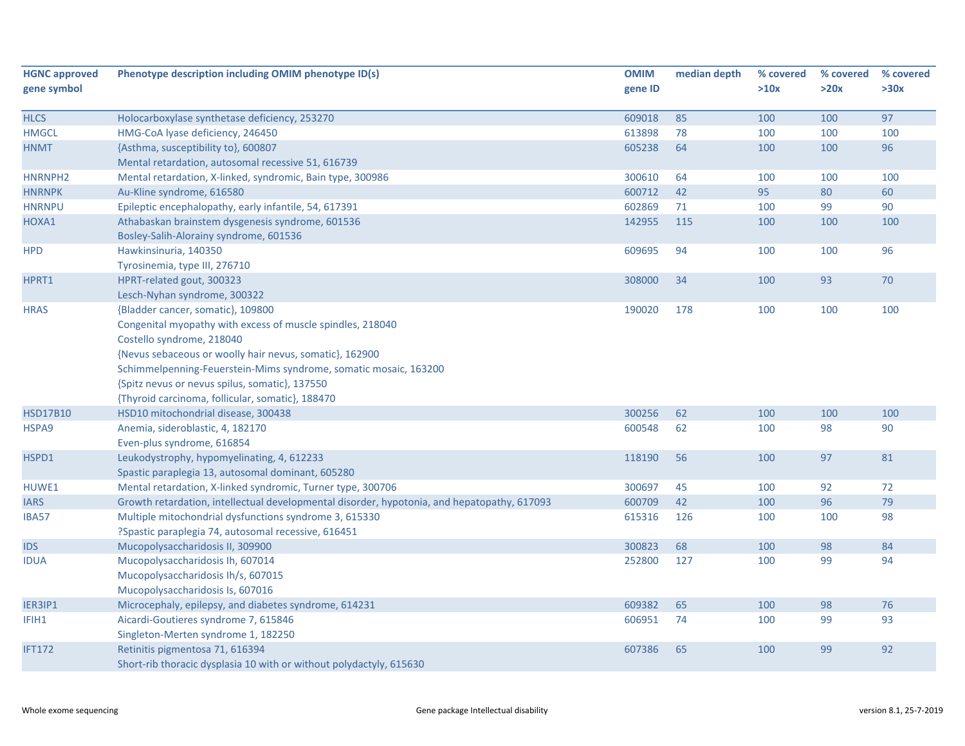| <b>HGNC approved</b> | Phenotype description including OMIM phenotype ID(s)                                        | <b>OMIM</b> | median depth | % covered | % covered | % covered |
|----------------------|---------------------------------------------------------------------------------------------|-------------|--------------|-----------|-----------|-----------|
| gene symbol          |                                                                                             | gene ID     |              | >10x      | >20x      | >30x      |
| <b>HLCS</b>          | Holocarboxylase synthetase deficiency, 253270                                               | 609018      | 85           | 100       | 100       | 97        |
| <b>HMGCL</b>         | HMG-CoA lyase deficiency, 246450                                                            | 613898      | 78           | 100       | 100       | 100       |
| <b>HNMT</b>          | {Asthma, susceptibility to}, 600807                                                         | 605238      | 64           | 100       | 100       | 96        |
|                      | Mental retardation, autosomal recessive 51, 616739                                          |             |              |           |           |           |
| HNRNPH2              | Mental retardation, X-linked, syndromic, Bain type, 300986                                  | 300610      | 64           | 100       | 100       | 100       |
| <b>HNRNPK</b>        | Au-Kline syndrome, 616580                                                                   | 600712      | 42           | 95        | 80        | 60        |
| <b>HNRNPU</b>        | Epileptic encephalopathy, early infantile, 54, 617391                                       | 602869      | 71           | 100       | 99        | 90        |
| HOXA1                | Athabaskan brainstem dysgenesis syndrome, 601536                                            | 142955      | 115          | 100       | 100       | 100       |
|                      | Bosley-Salih-Alorainy syndrome, 601536                                                      |             |              |           |           |           |
| <b>HPD</b>           | Hawkinsinuria, 140350                                                                       | 609695      | 94           | 100       | 100       | 96        |
|                      | Tyrosinemia, type III, 276710                                                               |             |              |           |           |           |
| HPRT1                | HPRT-related gout, 300323                                                                   | 308000      | 34           | 100       | 93        | 70        |
|                      | Lesch-Nyhan syndrome, 300322                                                                |             |              |           |           |           |
| <b>HRAS</b>          | {Bladder cancer, somatic}, 109800                                                           | 190020      | 178          | 100       | 100       | 100       |
|                      | Congenital myopathy with excess of muscle spindles, 218040                                  |             |              |           |           |           |
|                      | Costello syndrome, 218040                                                                   |             |              |           |           |           |
|                      | {Nevus sebaceous or woolly hair nevus, somatic}, 162900                                     |             |              |           |           |           |
|                      | Schimmelpenning-Feuerstein-Mims syndrome, somatic mosaic, 163200                            |             |              |           |           |           |
|                      | {Spitz nevus or nevus spilus, somatic}, 137550                                              |             |              |           |           |           |
|                      | {Thyroid carcinoma, follicular, somatic}, 188470                                            |             |              |           |           |           |
| <b>HSD17B10</b>      | HSD10 mitochondrial disease, 300438                                                         | 300256      | 62           | 100       | 100       | 100       |
| HSPA9                | Anemia, sideroblastic, 4, 182170                                                            | 600548      | 62           | 100       | 98        | 90        |
|                      | Even-plus syndrome, 616854                                                                  |             |              |           |           |           |
| HSPD1                | Leukodystrophy, hypomyelinating, 4, 612233                                                  | 118190      | 56           | 100       | 97        | 81        |
|                      | Spastic paraplegia 13, autosomal dominant, 605280                                           |             |              |           |           |           |
| HUWE1                | Mental retardation, X-linked syndromic, Turner type, 300706                                 | 300697      | 45           | 100       | 92        | 72        |
| <b>IARS</b>          | Growth retardation, intellectual developmental disorder, hypotonia, and hepatopathy, 617093 | 600709      | 42           | 100       | 96        | 79        |
| <b>IBA57</b>         | Multiple mitochondrial dysfunctions syndrome 3, 615330                                      | 615316      | 126          | 100       | 100       | 98        |
|                      | ?Spastic paraplegia 74, autosomal recessive, 616451                                         |             |              |           |           |           |
| <b>IDS</b>           | Mucopolysaccharidosis II, 309900                                                            | 300823      | 68           | 100       | 98        | 84        |
| <b>IDUA</b>          | Mucopolysaccharidosis Ih, 607014                                                            | 252800      | 127          | 100       | 99        | 94        |
|                      | Mucopolysaccharidosis Ih/s, 607015                                                          |             |              |           |           |           |
|                      | Mucopolysaccharidosis Is, 607016                                                            |             |              |           |           |           |
| IER3IP1              | Microcephaly, epilepsy, and diabetes syndrome, 614231                                       | 609382      | 65           | 100       | 98        | 76        |
| IFIH1                | Aicardi-Goutieres syndrome 7, 615846                                                        | 606951      | 74           | 100       | 99        | 93        |
|                      | Singleton-Merten syndrome 1, 182250                                                         |             |              |           |           |           |
| <b>IFT172</b>        | Retinitis pigmentosa 71, 616394                                                             | 607386      | 65           | 100       | 99        | 92        |
|                      | Short-rib thoracic dysplasia 10 with or without polydactyly, 615630                         |             |              |           |           |           |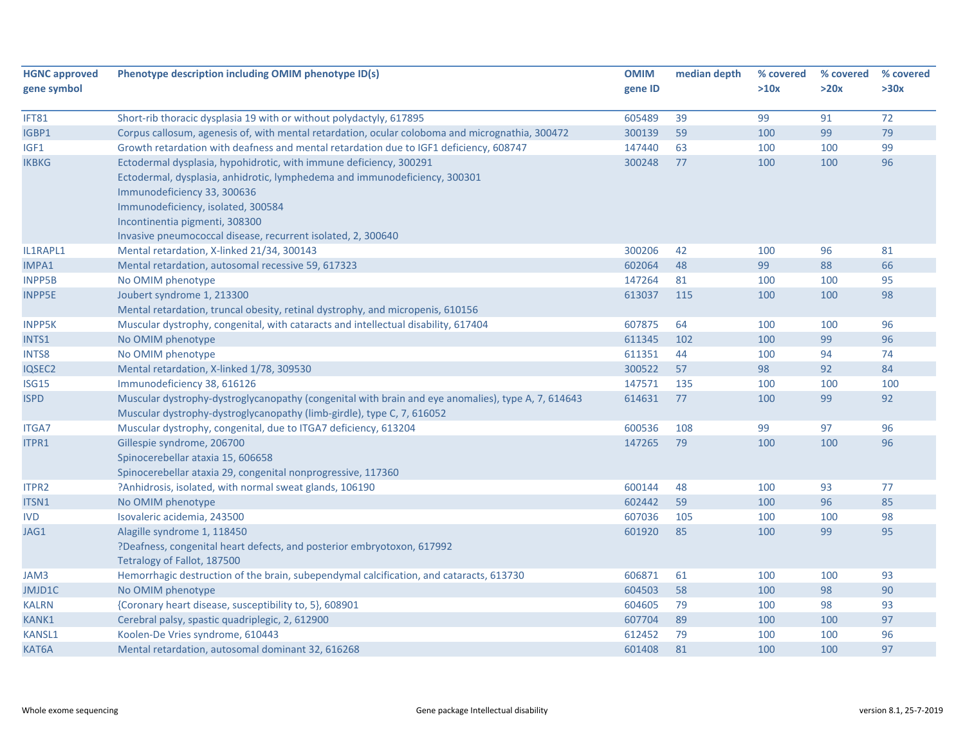| <b>HGNC approved</b><br>gene symbol | Phenotype description including OMIM phenotype ID(s)                                                                                                                                                                                                                                                                    | <b>OMIM</b><br>gene ID | median depth | % covered<br>>10x | % covered<br>>20x | % covered<br>>30x |
|-------------------------------------|-------------------------------------------------------------------------------------------------------------------------------------------------------------------------------------------------------------------------------------------------------------------------------------------------------------------------|------------------------|--------------|-------------------|-------------------|-------------------|
| IFT81                               | Short-rib thoracic dysplasia 19 with or without polydactyly, 617895                                                                                                                                                                                                                                                     | 605489                 | 39           | 99                | 91                | 72                |
| IGBP1                               | Corpus callosum, agenesis of, with mental retardation, ocular coloboma and micrognathia, 300472                                                                                                                                                                                                                         | 300139                 | 59           | 100               | 99                | 79                |
| IGF1                                | Growth retardation with deafness and mental retardation due to IGF1 deficiency, 608747                                                                                                                                                                                                                                  | 147440                 | 63           | 100               | 100               | 99                |
| <b>IKBKG</b>                        | Ectodermal dysplasia, hypohidrotic, with immune deficiency, 300291<br>Ectodermal, dysplasia, anhidrotic, lymphedema and immunodeficiency, 300301<br>Immunodeficiency 33, 300636<br>Immunodeficiency, isolated, 300584<br>Incontinentia pigmenti, 308300<br>Invasive pneumococcal disease, recurrent isolated, 2, 300640 | 300248                 | 77           | 100               | 100               | 96                |
| IL1RAPL1                            | Mental retardation, X-linked 21/34, 300143                                                                                                                                                                                                                                                                              | 300206                 | 42           | 100               | 96                | 81                |
| IMPA1                               | Mental retardation, autosomal recessive 59, 617323                                                                                                                                                                                                                                                                      | 602064                 | 48           | 99                | 88                | 66                |
| <b>INPP5B</b>                       | No OMIM phenotype                                                                                                                                                                                                                                                                                                       | 147264                 | 81           | 100               | 100               | 95                |
| <b>INPP5E</b>                       | Joubert syndrome 1, 213300<br>Mental retardation, truncal obesity, retinal dystrophy, and micropenis, 610156                                                                                                                                                                                                            | 613037                 | 115          | 100               | 100               | 98                |
| <b>INPP5K</b>                       | Muscular dystrophy, congenital, with cataracts and intellectual disability, 617404                                                                                                                                                                                                                                      | 607875                 | 64           | 100               | 100               | 96                |
| INTS1                               | No OMIM phenotype                                                                                                                                                                                                                                                                                                       | 611345                 | 102          | 100               | 99                | 96                |
| INTS8                               | No OMIM phenotype                                                                                                                                                                                                                                                                                                       | 611351                 | 44           | 100               | 94                | 74                |
| IQSEC2                              | Mental retardation, X-linked 1/78, 309530                                                                                                                                                                                                                                                                               | 300522                 | 57           | 98                | 92                | 84                |
| ISG15                               | Immunodeficiency 38, 616126                                                                                                                                                                                                                                                                                             | 147571                 | 135          | 100               | 100               | 100               |
| <b>ISPD</b>                         | Muscular dystrophy-dystroglycanopathy (congenital with brain and eye anomalies), type A, 7, 614643<br>Muscular dystrophy-dystroglycanopathy (limb-girdle), type C, 7, 616052                                                                                                                                            | 614631                 | 77           | 100               | 99                | 92                |
| <b>ITGA7</b>                        | Muscular dystrophy, congenital, due to ITGA7 deficiency, 613204                                                                                                                                                                                                                                                         | 600536                 | 108          | 99                | 97                | 96                |
| ITPR1                               | Gillespie syndrome, 206700<br>Spinocerebellar ataxia 15, 606658<br>Spinocerebellar ataxia 29, congenital nonprogressive, 117360                                                                                                                                                                                         | 147265                 | 79           | 100               | 100               | 96                |
| ITPR2                               | ?Anhidrosis, isolated, with normal sweat glands, 106190                                                                                                                                                                                                                                                                 | 600144                 | 48           | 100               | 93                | 77                |
| ITSN1                               | No OMIM phenotype                                                                                                                                                                                                                                                                                                       | 602442                 | 59           | 100               | 96                | 85                |
| <b>IVD</b>                          | Isovaleric acidemia, 243500                                                                                                                                                                                                                                                                                             | 607036                 | 105          | 100               | 100               | 98                |
| JAG1                                | Alagille syndrome 1, 118450<br>?Deafness, congenital heart defects, and posterior embryotoxon, 617992<br>Tetralogy of Fallot, 187500                                                                                                                                                                                    | 601920                 | 85           | 100               | 99                | 95                |
| JAM3                                | Hemorrhagic destruction of the brain, subependymal calcification, and cataracts, 613730                                                                                                                                                                                                                                 | 606871                 | 61           | 100               | 100               | 93                |
| JMJD1C                              | No OMIM phenotype                                                                                                                                                                                                                                                                                                       | 604503                 | 58           | 100               | 98                | 90                |
| <b>KALRN</b>                        | {Coronary heart disease, susceptibility to, 5}, 608901                                                                                                                                                                                                                                                                  | 604605                 | 79           | 100               | 98                | 93                |
| <b>KANK1</b>                        | Cerebral palsy, spastic quadriplegic, 2, 612900                                                                                                                                                                                                                                                                         | 607704                 | 89           | 100               | 100               | 97                |
| <b>KANSL1</b>                       | Koolen-De Vries syndrome, 610443                                                                                                                                                                                                                                                                                        | 612452                 | 79           | 100               | 100               | 96                |
| KAT6A                               | Mental retardation, autosomal dominant 32, 616268                                                                                                                                                                                                                                                                       | 601408                 | 81           | 100               | 100               | 97                |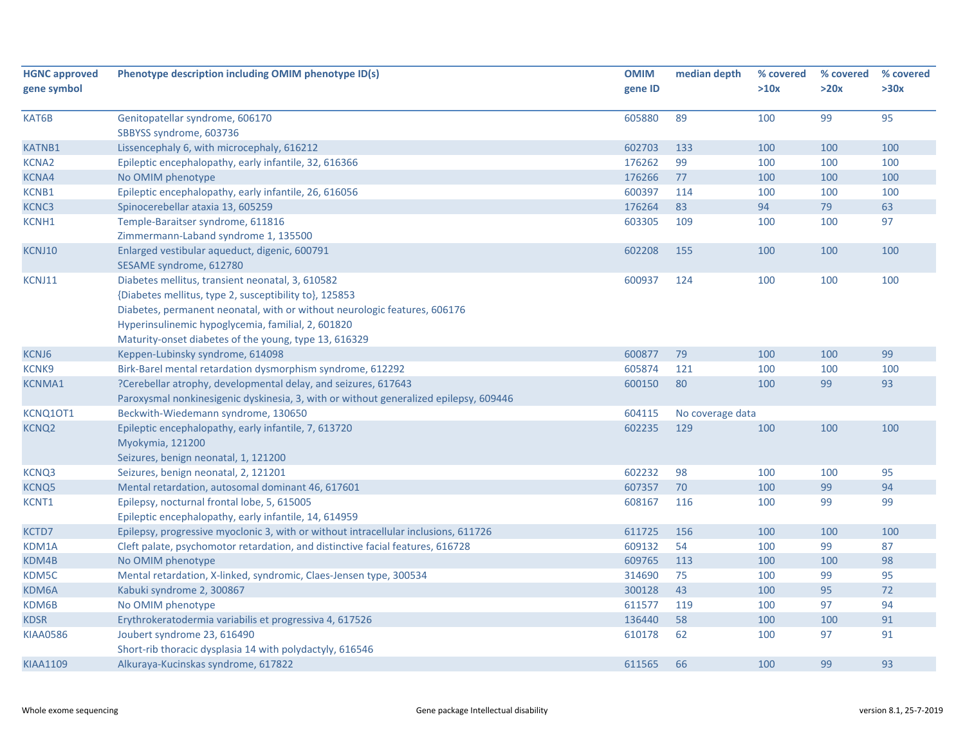| <b>HGNC approved</b> | Phenotype description including OMIM phenotype ID(s)                                  | <b>OMIM</b> | median depth     | % covered | % covered | % covered |
|----------------------|---------------------------------------------------------------------------------------|-------------|------------------|-----------|-----------|-----------|
| gene symbol          |                                                                                       | gene ID     |                  | >10x      | >20x      | >30x      |
|                      |                                                                                       |             |                  |           |           |           |
| KAT6B                | Genitopatellar syndrome, 606170                                                       | 605880      | 89               | 100       | 99        | 95        |
|                      | SBBYSS syndrome, 603736                                                               |             |                  |           |           |           |
| <b>KATNB1</b>        | Lissencephaly 6, with microcephaly, 616212                                            | 602703      | 133              | 100       | 100       | 100       |
| <b>KCNA2</b>         | Epileptic encephalopathy, early infantile, 32, 616366                                 | 176262      | 99               | 100       | 100       | 100       |
| KCNA4                | No OMIM phenotype                                                                     | 176266      | 77               | 100       | 100       | 100       |
| KCNB1                | Epileptic encephalopathy, early infantile, 26, 616056                                 | 600397      | 114              | 100       | 100       | 100       |
| KCNC3                | Spinocerebellar ataxia 13, 605259                                                     | 176264      | 83               | 94        | 79        | 63        |
| KCNH1                | Temple-Baraitser syndrome, 611816                                                     | 603305      | 109              | 100       | 100       | 97        |
|                      | Zimmermann-Laband syndrome 1, 135500                                                  |             |                  |           |           |           |
| KCNJ10               | Enlarged vestibular aqueduct, digenic, 600791                                         | 602208      | 155              | 100       | 100       | 100       |
|                      | SESAME syndrome, 612780                                                               |             |                  |           |           |           |
| KCNJ11               | Diabetes mellitus, transient neonatal, 3, 610582                                      | 600937      | 124              | 100       | 100       | 100       |
|                      | {Diabetes mellitus, type 2, susceptibility to}, 125853                                |             |                  |           |           |           |
|                      | Diabetes, permanent neonatal, with or without neurologic features, 606176             |             |                  |           |           |           |
|                      | Hyperinsulinemic hypoglycemia, familial, 2, 601820                                    |             |                  |           |           |           |
|                      | Maturity-onset diabetes of the young, type 13, 616329                                 |             |                  |           |           |           |
| KCNJ6                | Keppen-Lubinsky syndrome, 614098                                                      | 600877      | 79               | 100       | 100       | 99        |
| <b>KCNK9</b>         | Birk-Barel mental retardation dysmorphism syndrome, 612292                            | 605874      | 121              | 100       | 100       | 100       |
| <b>KCNMA1</b>        | ?Cerebellar atrophy, developmental delay, and seizures, 617643                        | 600150      | 80               | 100       | 99        | 93        |
|                      | Paroxysmal nonkinesigenic dyskinesia, 3, with or without generalized epilepsy, 609446 |             |                  |           |           |           |
| KCNQ1OT1             | Beckwith-Wiedemann syndrome, 130650                                                   | 604115      | No coverage data |           |           |           |
| <b>KCNQ2</b>         | Epileptic encephalopathy, early infantile, 7, 613720                                  | 602235      | 129              | 100       | 100       | 100       |
|                      | Myokymia, 121200                                                                      |             |                  |           |           |           |
|                      | Seizures, benign neonatal, 1, 121200                                                  |             |                  |           |           |           |
| KCNQ3                | Seizures, benign neonatal, 2, 121201                                                  | 602232      | 98               | 100       | 100       | 95        |
| <b>KCNQ5</b>         | Mental retardation, autosomal dominant 46, 617601                                     | 607357      | 70               | 100       | 99        | 94        |
| KCNT1                | Epilepsy, nocturnal frontal lobe, 5, 615005                                           | 608167      | 116              | 100       | 99        | 99        |
|                      | Epileptic encephalopathy, early infantile, 14, 614959                                 |             |                  |           |           |           |
| KCTD7                | Epilepsy, progressive myoclonic 3, with or without intracellular inclusions, 611726   | 611725      | 156              | 100       | 100       | 100       |
| KDM1A                | Cleft palate, psychomotor retardation, and distinctive facial features, 616728        | 609132      | 54               | 100       | 99        | 87        |
| KDM4B                | No OMIM phenotype                                                                     | 609765      | 113              | 100       | 100       | 98        |
| KDM5C                | Mental retardation, X-linked, syndromic, Claes-Jensen type, 300534                    | 314690      | 75               | 100       | 99        | 95        |
| KDM6A                | Kabuki syndrome 2, 300867                                                             | 300128      | 43               | 100       | 95        | 72        |
| KDM6B                | No OMIM phenotype                                                                     | 611577      | 119              | 100       | 97        | 94        |
| <b>KDSR</b>          | Erythrokeratodermia variabilis et progressiva 4, 617526                               | 136440      | 58               | 100       | 100       | 91        |
| <b>KIAA0586</b>      | Joubert syndrome 23, 616490                                                           | 610178      | 62               | 100       | 97        | 91        |
|                      | Short-rib thoracic dysplasia 14 with polydactyly, 616546                              |             |                  |           |           |           |
| <b>KIAA1109</b>      | Alkuraya-Kucinskas syndrome, 617822                                                   | 611565      | 66               | 100       | 99        | 93        |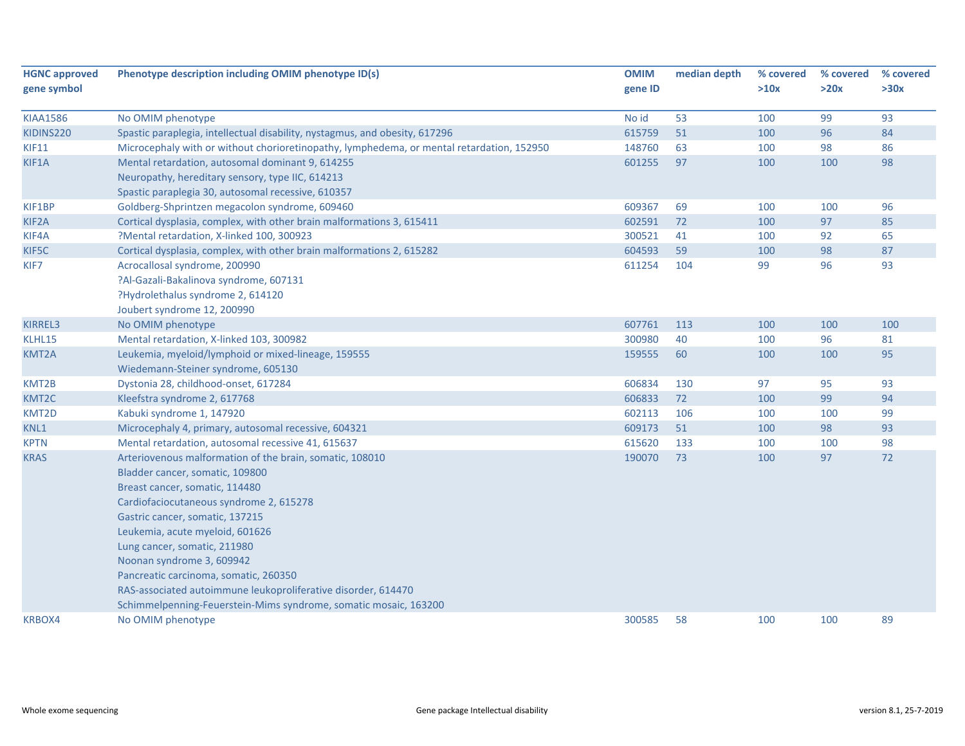| <b>HGNC approved</b><br>gene symbol | Phenotype description including OMIM phenotype ID(s)                                                                                                                                                                                                                                                                                                                                                                                                                                      | <b>OMIM</b><br>gene ID | median depth | % covered<br>>10x | % covered<br>>20x | % covered<br>>30x |
|-------------------------------------|-------------------------------------------------------------------------------------------------------------------------------------------------------------------------------------------------------------------------------------------------------------------------------------------------------------------------------------------------------------------------------------------------------------------------------------------------------------------------------------------|------------------------|--------------|-------------------|-------------------|-------------------|
| <b>KIAA1586</b>                     | No OMIM phenotype                                                                                                                                                                                                                                                                                                                                                                                                                                                                         | No id                  | 53           | 100               | 99                | 93                |
| KIDINS220                           | Spastic paraplegia, intellectual disability, nystagmus, and obesity, 617296                                                                                                                                                                                                                                                                                                                                                                                                               | 615759                 | 51           | 100               | 96                | 84                |
| <b>KIF11</b>                        | Microcephaly with or without chorioretinopathy, lymphedema, or mental retardation, 152950                                                                                                                                                                                                                                                                                                                                                                                                 | 148760                 | 63           | 100               | 98                | 86                |
| KIF1A                               | Mental retardation, autosomal dominant 9, 614255<br>Neuropathy, hereditary sensory, type IIC, 614213<br>Spastic paraplegia 30, autosomal recessive, 610357                                                                                                                                                                                                                                                                                                                                | 601255                 | 97           | 100               | 100               | 98                |
| KIF1BP                              | Goldberg-Shprintzen megacolon syndrome, 609460                                                                                                                                                                                                                                                                                                                                                                                                                                            | 609367                 | 69           | 100               | 100               | 96                |
| KIF2A                               | Cortical dysplasia, complex, with other brain malformations 3, 615411                                                                                                                                                                                                                                                                                                                                                                                                                     | 602591                 | 72           | 100               | 97                | 85                |
| KIF4A                               | ?Mental retardation, X-linked 100, 300923                                                                                                                                                                                                                                                                                                                                                                                                                                                 | 300521                 | 41           | 100               | 92                | 65                |
| KIF5C                               | Cortical dysplasia, complex, with other brain malformations 2, 615282                                                                                                                                                                                                                                                                                                                                                                                                                     | 604593                 | 59           | 100               | 98                | 87                |
| KIF7                                | Acrocallosal syndrome, 200990<br>?Al-Gazali-Bakalinova syndrome, 607131<br>?Hydrolethalus syndrome 2, 614120<br>Joubert syndrome 12, 200990                                                                                                                                                                                                                                                                                                                                               | 611254                 | 104          | 99                | 96                | 93                |
| KIRREL3                             | No OMIM phenotype                                                                                                                                                                                                                                                                                                                                                                                                                                                                         | 607761                 | 113          | 100               | 100               | 100               |
| KLHL15                              | Mental retardation, X-linked 103, 300982                                                                                                                                                                                                                                                                                                                                                                                                                                                  | 300980                 | 40           | 100               | 96                | 81                |
| KMT2A                               | Leukemia, myeloid/lymphoid or mixed-lineage, 159555<br>Wiedemann-Steiner syndrome, 605130                                                                                                                                                                                                                                                                                                                                                                                                 | 159555                 | 60           | 100               | 100               | 95                |
| KMT2B                               | Dystonia 28, childhood-onset, 617284                                                                                                                                                                                                                                                                                                                                                                                                                                                      | 606834                 | 130          | 97                | 95                | 93                |
| KMT2C                               | Kleefstra syndrome 2, 617768                                                                                                                                                                                                                                                                                                                                                                                                                                                              | 606833                 | 72           | 100               | 99                | 94                |
| KMT2D                               | Kabuki syndrome 1, 147920                                                                                                                                                                                                                                                                                                                                                                                                                                                                 | 602113                 | 106          | 100               | 100               | 99                |
| KNL1                                | Microcephaly 4, primary, autosomal recessive, 604321                                                                                                                                                                                                                                                                                                                                                                                                                                      | 609173                 | 51           | 100               | 98                | 93                |
| <b>KPTN</b>                         | Mental retardation, autosomal recessive 41, 615637                                                                                                                                                                                                                                                                                                                                                                                                                                        | 615620                 | 133          | 100               | 100               | 98                |
| <b>KRAS</b>                         | Arteriovenous malformation of the brain, somatic, 108010<br>Bladder cancer, somatic, 109800<br>Breast cancer, somatic, 114480<br>Cardiofaciocutaneous syndrome 2, 615278<br>Gastric cancer, somatic, 137215<br>Leukemia, acute myeloid, 601626<br>Lung cancer, somatic, 211980<br>Noonan syndrome 3, 609942<br>Pancreatic carcinoma, somatic, 260350<br>RAS-associated autoimmune leukoproliferative disorder, 614470<br>Schimmelpenning-Feuerstein-Mims syndrome, somatic mosaic, 163200 | 190070                 | 73           | 100               | 97                | 72                |
| <b>KRBOX4</b>                       | No OMIM phenotype                                                                                                                                                                                                                                                                                                                                                                                                                                                                         | 300585                 | 58           | 100               | 100               | 89                |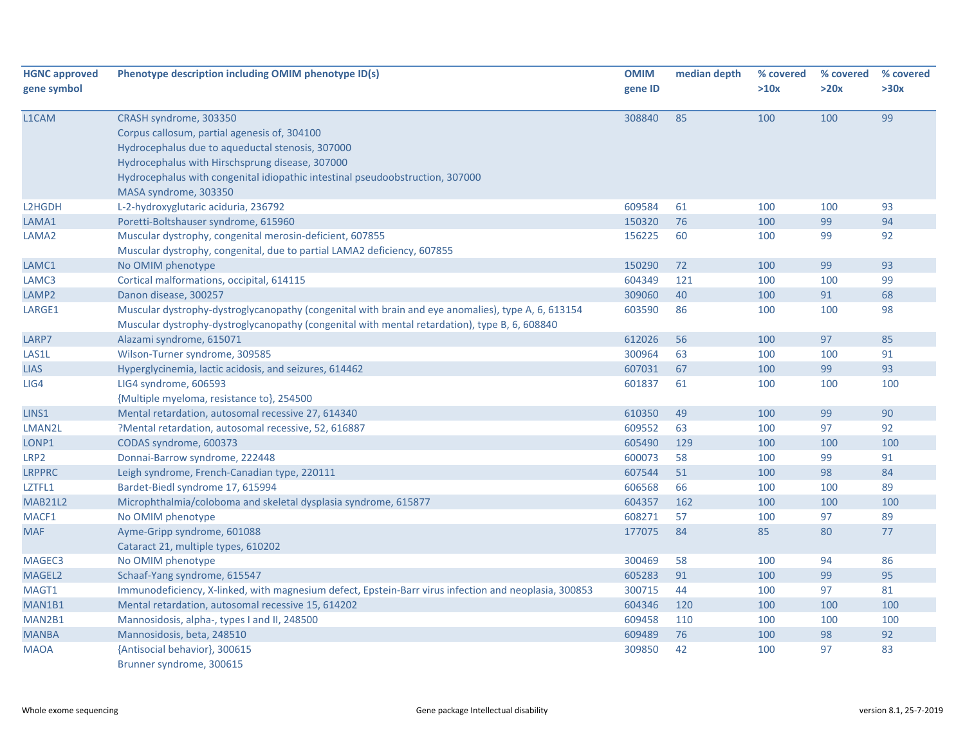| <b>HGNC approved</b><br>gene symbol | Phenotype description including OMIM phenotype ID(s)                                                                                                                                                | <b>OMIM</b><br>gene ID | median depth | % covered<br>>10x | % covered<br>>20x | % covered<br>>30x |
|-------------------------------------|-----------------------------------------------------------------------------------------------------------------------------------------------------------------------------------------------------|------------------------|--------------|-------------------|-------------------|-------------------|
| L1CAM                               | CRASH syndrome, 303350                                                                                                                                                                              | 308840                 | 85           | 100               | 100               | 99                |
|                                     | Corpus callosum, partial agenesis of, 304100                                                                                                                                                        |                        |              |                   |                   |                   |
|                                     | Hydrocephalus due to aqueductal stenosis, 307000                                                                                                                                                    |                        |              |                   |                   |                   |
|                                     | Hydrocephalus with Hirschsprung disease, 307000                                                                                                                                                     |                        |              |                   |                   |                   |
|                                     | Hydrocephalus with congenital idiopathic intestinal pseudoobstruction, 307000                                                                                                                       |                        |              |                   |                   |                   |
|                                     | MASA syndrome, 303350                                                                                                                                                                               |                        |              |                   |                   |                   |
| L2HGDH                              | L-2-hydroxyglutaric aciduria, 236792                                                                                                                                                                | 609584                 | 61           | 100               | 100               | 93                |
| LAMA1                               | Poretti-Boltshauser syndrome, 615960                                                                                                                                                                | 150320                 | 76           | 100               | 99                | 94                |
| LAMA <sub>2</sub>                   | Muscular dystrophy, congenital merosin-deficient, 607855                                                                                                                                            | 156225                 | 60           | 100               | 99                | 92                |
|                                     | Muscular dystrophy, congenital, due to partial LAMA2 deficiency, 607855                                                                                                                             |                        |              |                   |                   |                   |
| LAMC1                               | No OMIM phenotype                                                                                                                                                                                   | 150290                 | 72           | 100               | 99                | 93                |
| LAMC3                               | Cortical malformations, occipital, 614115                                                                                                                                                           | 604349                 | 121          | 100               | 100               | 99                |
| LAMP2                               | Danon disease, 300257                                                                                                                                                                               | 309060                 | 40           | 100               | 91                | 68                |
| LARGE1                              | Muscular dystrophy-dystroglycanopathy (congenital with brain and eye anomalies), type A, 6, 613154<br>Muscular dystrophy-dystroglycanopathy (congenital with mental retardation), type B, 6, 608840 | 603590                 | 86           | 100               | 100               | 98                |
| LARP7                               | Alazami syndrome, 615071                                                                                                                                                                            | 612026                 | 56           | 100               | 97                | 85                |
| LAS1L                               | Wilson-Turner syndrome, 309585                                                                                                                                                                      | 300964                 | 63           | 100               | 100               | 91                |
| <b>LIAS</b>                         | Hyperglycinemia, lactic acidosis, and seizures, 614462                                                                                                                                              | 607031                 | 67           | 100               | 99                | 93                |
| LIG4                                | LIG4 syndrome, 606593                                                                                                                                                                               | 601837                 | 61           | 100               | 100               | 100               |
|                                     | {Multiple myeloma, resistance to}, 254500                                                                                                                                                           |                        |              |                   |                   |                   |
| LINS1                               | Mental retardation, autosomal recessive 27, 614340                                                                                                                                                  | 610350                 | 49           | 100               | 99                | 90                |
| LMAN2L                              | ?Mental retardation, autosomal recessive, 52, 616887                                                                                                                                                | 609552                 | 63           | 100               | 97                | 92                |
| LONP1                               | CODAS syndrome, 600373                                                                                                                                                                              | 605490                 | 129          | 100               | 100               | 100               |
| LRP <sub>2</sub>                    | Donnai-Barrow syndrome, 222448                                                                                                                                                                      | 600073                 | 58           | 100               | 99                | 91                |
| <b>LRPPRC</b>                       | Leigh syndrome, French-Canadian type, 220111                                                                                                                                                        | 607544                 | 51           | 100               | 98                | 84                |
| LZTFL1                              | Bardet-Biedl syndrome 17, 615994                                                                                                                                                                    | 606568                 | 66           | 100               | 100               | 89                |
| <b>MAB21L2</b>                      | Microphthalmia/coloboma and skeletal dysplasia syndrome, 615877                                                                                                                                     | 604357                 | 162          | 100               | 100               | 100               |
| MACF1                               | No OMIM phenotype                                                                                                                                                                                   | 608271                 | 57           | 100               | 97                | 89                |
| <b>MAF</b>                          | Ayme-Gripp syndrome, 601088                                                                                                                                                                         | 177075                 | 84           | 85                | 80                | 77                |
|                                     | Cataract 21, multiple types, 610202                                                                                                                                                                 |                        |              |                   |                   |                   |
| MAGEC3                              | No OMIM phenotype                                                                                                                                                                                   | 300469                 | 58           | 100               | 94                | 86                |
| MAGEL2                              | Schaaf-Yang syndrome, 615547                                                                                                                                                                        | 605283                 | 91           | 100               | 99                | 95                |
| MAGT1                               | Immunodeficiency, X-linked, with magnesium defect, Epstein-Barr virus infection and neoplasia, 300853                                                                                               | 300715                 | 44           | 100               | 97                | 81                |
| MAN1B1                              | Mental retardation, autosomal recessive 15, 614202                                                                                                                                                  | 604346                 | 120          | 100               | 100               | 100               |
| MAN2B1                              | Mannosidosis, alpha-, types I and II, 248500                                                                                                                                                        | 609458                 | 110          | 100               | 100               | 100               |
| <b>MANBA</b>                        | Mannosidosis, beta, 248510                                                                                                                                                                          | 609489                 | 76           | 100               | 98                | 92                |
| <b>MAOA</b>                         | {Antisocial behavior}, 300615<br>Brunner syndrome, 300615                                                                                                                                           | 309850                 | 42           | 100               | 97                | 83                |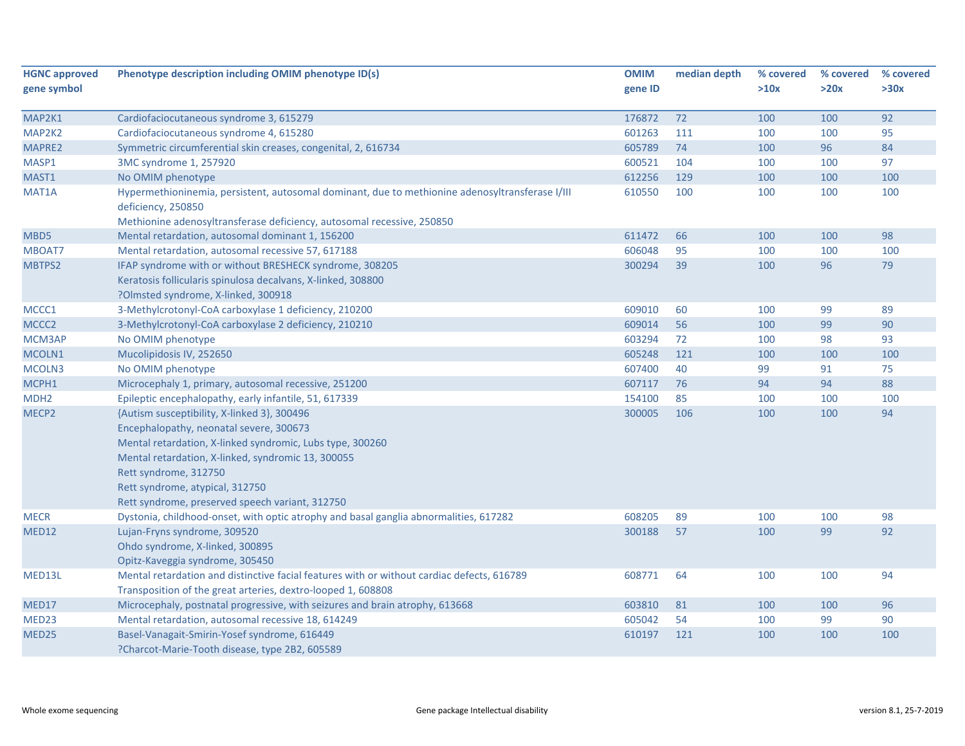| <b>HGNC approved</b> | Phenotype description including OMIM phenotype ID(s)                                                                                                                                                      | <b>OMIM</b> | median depth | % covered | % covered | % covered |
|----------------------|-----------------------------------------------------------------------------------------------------------------------------------------------------------------------------------------------------------|-------------|--------------|-----------|-----------|-----------|
| gene symbol          |                                                                                                                                                                                                           | gene ID     |              | >10x      | >20x      | >30x      |
|                      |                                                                                                                                                                                                           |             |              |           |           |           |
| MAP2K1               | Cardiofaciocutaneous syndrome 3, 615279                                                                                                                                                                   | 176872      | 72           | 100       | 100       | 92        |
| MAP2K2               | Cardiofaciocutaneous syndrome 4, 615280                                                                                                                                                                   | 601263      | 111          | 100       | 100       | 95        |
| MAPRE2               | Symmetric circumferential skin creases, congenital, 2, 616734                                                                                                                                             | 605789      | 74           | 100       | 96        | 84        |
| MASP1                | 3MC syndrome 1, 257920                                                                                                                                                                                    | 600521      | 104          | 100       | 100       | 97        |
| MAST1                | No OMIM phenotype                                                                                                                                                                                         | 612256      | 129          | 100       | 100       | 100       |
| MAT1A                | Hypermethioninemia, persistent, autosomal dominant, due to methionine adenosyltransferase I/III<br>deficiency, 250850                                                                                     | 610550      | 100          | 100       | 100       | 100       |
|                      | Methionine adenosyltransferase deficiency, autosomal recessive, 250850                                                                                                                                    |             |              |           |           |           |
| MBD5                 | Mental retardation, autosomal dominant 1, 156200                                                                                                                                                          | 611472      | 66           | 100       | 100       | 98        |
| MBOAT7               | Mental retardation, autosomal recessive 57, 617188                                                                                                                                                        | 606048      | 95           | 100       | 100       | 100       |
| MBTPS2               | IFAP syndrome with or without BRESHECK syndrome, 308205<br>Keratosis follicularis spinulosa decalvans, X-linked, 308800                                                                                   | 300294      | 39           | 100       | 96        | 79        |
|                      | ?Olmsted syndrome, X-linked, 300918                                                                                                                                                                       |             |              |           |           |           |
| MCCC1                | 3-Methylcrotonyl-CoA carboxylase 1 deficiency, 210200                                                                                                                                                     | 609010      | 60           | 100       | 99        | 89        |
| MCCC <sub>2</sub>    | 3-Methylcrotonyl-CoA carboxylase 2 deficiency, 210210                                                                                                                                                     | 609014      | 56           | 100       | 99        | 90        |
| MCM3AP               | No OMIM phenotype                                                                                                                                                                                         | 603294      | 72           | 100       | 98        | 93        |
| MCOLN1               | Mucolipidosis IV, 252650                                                                                                                                                                                  | 605248      | 121          | 100       | 100       | 100       |
| MCOLN3               | No OMIM phenotype                                                                                                                                                                                         | 607400      | 40           | 99        | 91        | 75        |
| MCPH1                | Microcephaly 1, primary, autosomal recessive, 251200                                                                                                                                                      | 607117      | 76           | 94        | 94        | 88        |
| MDH <sub>2</sub>     | Epileptic encephalopathy, early infantile, 51, 617339                                                                                                                                                     | 154100      | 85           | 100       | 100       | 100       |
| MECP2                | {Autism susceptibility, X-linked 3}, 300496<br>Encephalopathy, neonatal severe, 300673<br>Mental retardation, X-linked syndromic, Lubs type, 300260<br>Mental retardation, X-linked, syndromic 13, 300055 | 300005      | 106          | 100       | 100       | 94        |
|                      | Rett syndrome, 312750<br>Rett syndrome, atypical, 312750<br>Rett syndrome, preserved speech variant, 312750                                                                                               |             |              |           |           |           |
| <b>MECR</b>          | Dystonia, childhood-onset, with optic atrophy and basal ganglia abnormalities, 617282                                                                                                                     | 608205      | 89           | 100       | 100       | 98        |
| MED12                | Lujan-Fryns syndrome, 309520<br>Ohdo syndrome, X-linked, 300895<br>Opitz-Kaveggia syndrome, 305450                                                                                                        | 300188      | 57           | 100       | 99        | 92        |
| MED13L               | Mental retardation and distinctive facial features with or without cardiac defects, 616789                                                                                                                | 608771      | 64           | 100       | 100       | 94        |
|                      | Transposition of the great arteries, dextro-looped 1, 608808                                                                                                                                              |             |              |           |           |           |
| MED17                | Microcephaly, postnatal progressive, with seizures and brain atrophy, 613668                                                                                                                              | 603810      | 81           | 100       | 100       | 96        |
| MED <sub>23</sub>    | Mental retardation, autosomal recessive 18, 614249                                                                                                                                                        | 605042      | 54           | 100       | 99        | 90        |
| MED <sub>25</sub>    | Basel-Vanagait-Smirin-Yosef syndrome, 616449<br>?Charcot-Marie-Tooth disease, type 2B2, 605589                                                                                                            | 610197      | 121          | 100       | 100       | 100       |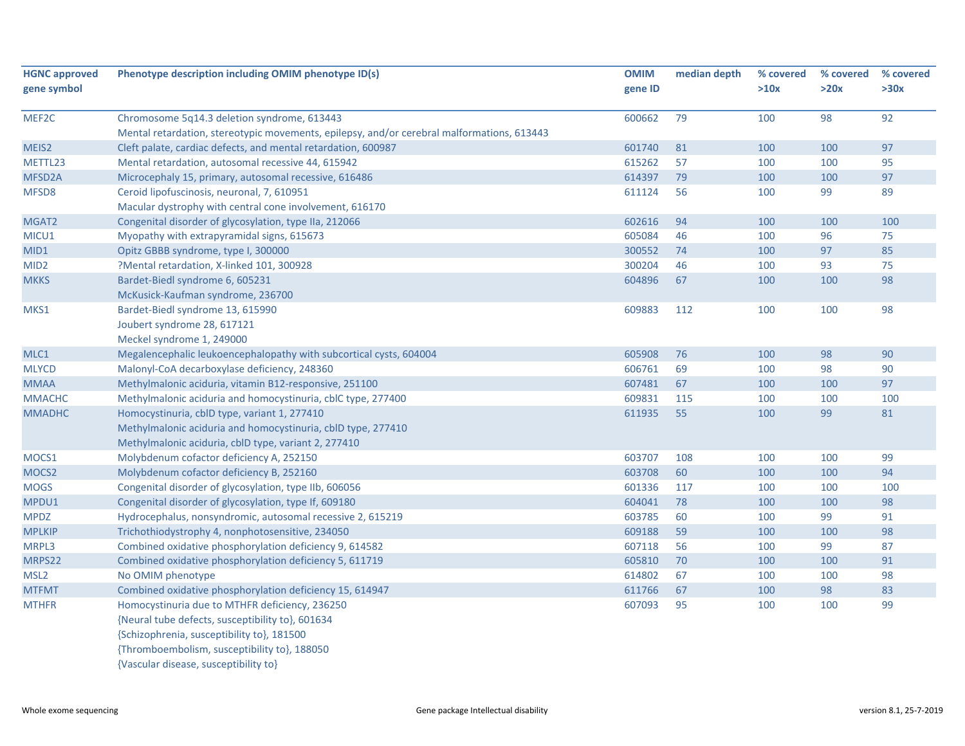| <b>HGNC approved</b> | Phenotype description including OMIM phenotype ID(s)                                       | <b>OMIM</b> | median depth | % covered | % covered | % covered |
|----------------------|--------------------------------------------------------------------------------------------|-------------|--------------|-----------|-----------|-----------|
| gene symbol          |                                                                                            | gene ID     |              | >10x      | >20x      | >30x      |
| MEF2C                | Chromosome 5q14.3 deletion syndrome, 613443                                                | 600662      | 79           | 100       | 98        | 92        |
|                      | Mental retardation, stereotypic movements, epilepsy, and/or cerebral malformations, 613443 |             |              |           |           |           |
| MEIS2                | Cleft palate, cardiac defects, and mental retardation, 600987                              | 601740      | 81           | 100       | 100       | 97        |
| METTL23              | Mental retardation, autosomal recessive 44, 615942                                         | 615262      | 57           | 100       | 100       | 95        |
| MFSD <sub>2</sub> A  | Microcephaly 15, primary, autosomal recessive, 616486                                      | 614397      | 79           | 100       | 100       | 97        |
| MFSD8                | Ceroid lipofuscinosis, neuronal, 7, 610951                                                 | 611124      | 56           | 100       | 99        | 89        |
|                      | Macular dystrophy with central cone involvement, 616170                                    |             |              |           |           |           |
| MGAT2                | Congenital disorder of glycosylation, type IIa, 212066                                     | 602616      | 94           | 100       | 100       | 100       |
| MICU1                | Myopathy with extrapyramidal signs, 615673                                                 | 605084      | 46           | 100       | 96        | 75        |
| MID1                 | Opitz GBBB syndrome, type I, 300000                                                        | 300552      | 74           | 100       | 97        | 85        |
| MID <sub>2</sub>     | ?Mental retardation, X-linked 101, 300928                                                  | 300204      | 46           | 100       | 93        | 75        |
| <b>MKKS</b>          | Bardet-Biedl syndrome 6, 605231                                                            | 604896      | 67           | 100       | 100       | 98        |
|                      | McKusick-Kaufman syndrome, 236700                                                          |             |              |           |           |           |
| MKS1                 | Bardet-Biedl syndrome 13, 615990                                                           | 609883      | 112          | 100       | 100       | 98        |
|                      | Joubert syndrome 28, 617121                                                                |             |              |           |           |           |
|                      | Meckel syndrome 1, 249000                                                                  |             |              |           |           |           |
| MLC1                 | Megalencephalic leukoencephalopathy with subcortical cysts, 604004                         | 605908      | 76           | 100       | 98        | 90        |
| <b>MLYCD</b>         | Malonyl-CoA decarboxylase deficiency, 248360                                               | 606761      | 69           | 100       | 98        | 90        |
| <b>MMAA</b>          | Methylmalonic aciduria, vitamin B12-responsive, 251100                                     | 607481      | 67           | 100       | 100       | 97        |
| <b>MMACHC</b>        | Methylmalonic aciduria and homocystinuria, cblC type, 277400                               | 609831      | 115          | 100       | 100       | 100       |
| <b>MMADHC</b>        | Homocystinuria, cblD type, variant 1, 277410                                               | 611935      | 55           | 100       | 99        | 81        |
|                      | Methylmalonic aciduria and homocystinuria, cbID type, 277410                               |             |              |           |           |           |
|                      | Methylmalonic aciduria, cblD type, variant 2, 277410                                       |             |              |           |           |           |
| MOCS1                | Molybdenum cofactor deficiency A, 252150                                                   | 603707      | 108          | 100       | 100       | 99        |
| MOCS2                | Molybdenum cofactor deficiency B, 252160                                                   | 603708      | 60           | 100       | 100       | 94        |
| <b>MOGS</b>          | Congenital disorder of glycosylation, type IIb, 606056                                     | 601336      | 117          | 100       | 100       | 100       |
| MPDU1                | Congenital disorder of glycosylation, type If, 609180                                      | 604041      | 78           | 100       | 100       | 98        |
| <b>MPDZ</b>          | Hydrocephalus, nonsyndromic, autosomal recessive 2, 615219                                 | 603785      | 60           | 100       | 99        | 91        |
| <b>MPLKIP</b>        | Trichothiodystrophy 4, nonphotosensitive, 234050                                           | 609188      | 59           | 100       | 100       | 98        |
| MRPL3                | Combined oxidative phosphorylation deficiency 9, 614582                                    | 607118      | 56           | 100       | 99        | 87        |
| MRPS22               | Combined oxidative phosphorylation deficiency 5, 611719                                    | 605810      | 70           | 100       | 100       | 91        |
| MSL <sub>2</sub>     | No OMIM phenotype                                                                          | 614802      | 67           | 100       | 100       | 98        |
| <b>MTFMT</b>         | Combined oxidative phosphorylation deficiency 15, 614947                                   | 611766      | 67           | 100       | 98        | 83        |
| <b>MTHFR</b>         | Homocystinuria due to MTHFR deficiency, 236250                                             | 607093      | 95           | 100       | 100       | 99        |
|                      | {Neural tube defects, susceptibility to}, 601634                                           |             |              |           |           |           |
|                      | {Schizophrenia, susceptibility to}, 181500                                                 |             |              |           |           |           |
|                      | {Thromboembolism, susceptibility to}, 188050                                               |             |              |           |           |           |
|                      | {Vascular disease, susceptibility to}                                                      |             |              |           |           |           |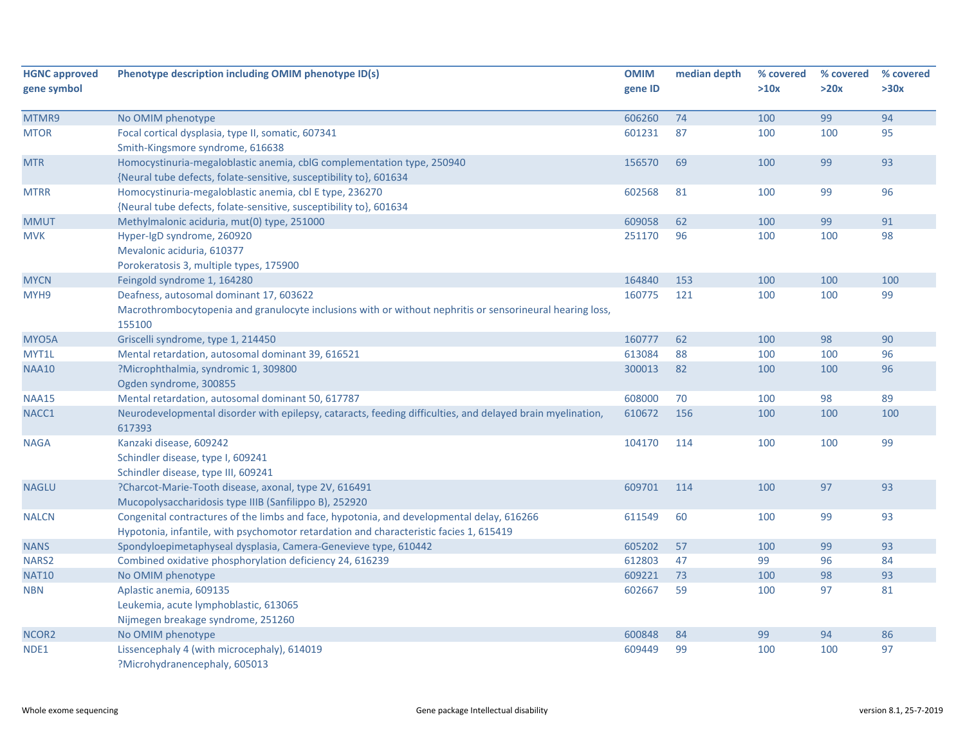| <b>HGNC approved</b> | Phenotype description including OMIM phenotype ID(s)                                                                                                                                | <b>OMIM</b> | median depth | % covered | % covered | % covered |
|----------------------|-------------------------------------------------------------------------------------------------------------------------------------------------------------------------------------|-------------|--------------|-----------|-----------|-----------|
| gene symbol          |                                                                                                                                                                                     | gene ID     |              | >10x      | >20x      | >30x      |
| MTMR9                | No OMIM phenotype                                                                                                                                                                   | 606260      | 74           | 100       | 99        | 94        |
| <b>MTOR</b>          | Focal cortical dysplasia, type II, somatic, 607341<br>Smith-Kingsmore syndrome, 616638                                                                                              | 601231      | 87           | 100       | 100       | 95        |
| <b>MTR</b>           | Homocystinuria-megaloblastic anemia, cblG complementation type, 250940<br>{Neural tube defects, folate-sensitive, susceptibility to}, 601634                                        | 156570      | 69           | 100       | 99        | 93        |
| <b>MTRR</b>          | Homocystinuria-megaloblastic anemia, cbl E type, 236270<br>{Neural tube defects, folate-sensitive, susceptibility to}, 601634                                                       | 602568      | 81           | 100       | 99        | 96        |
| <b>MMUT</b>          | Methylmalonic aciduria, mut(0) type, 251000                                                                                                                                         | 609058      | 62           | 100       | 99        | 91        |
| <b>MVK</b>           | Hyper-IgD syndrome, 260920<br>Mevalonic aciduria, 610377<br>Porokeratosis 3, multiple types, 175900                                                                                 | 251170      | 96           | 100       | 100       | 98        |
| <b>MYCN</b>          | Feingold syndrome 1, 164280                                                                                                                                                         | 164840      | 153          | 100       | 100       | 100       |
| MYH9                 | Deafness, autosomal dominant 17, 603622<br>Macrothrombocytopenia and granulocyte inclusions with or without nephritis or sensorineural hearing loss,<br>155100                      | 160775      | 121          | 100       | 100       | 99        |
| MYO5A                | Griscelli syndrome, type 1, 214450                                                                                                                                                  | 160777      | 62           | 100       | 98        | 90        |
| MYT1L                | Mental retardation, autosomal dominant 39, 616521                                                                                                                                   | 613084      | 88           | 100       | 100       | 96        |
| <b>NAA10</b>         | ?Microphthalmia, syndromic 1, 309800<br>Ogden syndrome, 300855                                                                                                                      | 300013      | 82           | 100       | 100       | 96        |
| <b>NAA15</b>         | Mental retardation, autosomal dominant 50, 617787                                                                                                                                   | 608000      | 70           | 100       | 98        | 89        |
| NACC1                | Neurodevelopmental disorder with epilepsy, cataracts, feeding difficulties, and delayed brain myelination,<br>617393                                                                | 610672      | 156          | 100       | 100       | 100       |
| <b>NAGA</b>          | Kanzaki disease, 609242<br>Schindler disease, type I, 609241<br>Schindler disease, type III, 609241                                                                                 | 104170      | 114          | 100       | 100       | 99        |
| <b>NAGLU</b>         | ?Charcot-Marie-Tooth disease, axonal, type 2V, 616491<br>Mucopolysaccharidosis type IIIB (Sanfilippo B), 252920                                                                     | 609701      | 114          | 100       | 97        | 93        |
| <b>NALCN</b>         | Congenital contractures of the limbs and face, hypotonia, and developmental delay, 616266<br>Hypotonia, infantile, with psychomotor retardation and characteristic facies 1, 615419 | 611549      | 60           | 100       | 99        | 93        |
| <b>NANS</b>          | Spondyloepimetaphyseal dysplasia, Camera-Genevieve type, 610442                                                                                                                     | 605202      | 57           | 100       | 99        | 93        |
| NARS <sub>2</sub>    | Combined oxidative phosphorylation deficiency 24, 616239                                                                                                                            | 612803      | 47           | 99        | 96        | 84        |
| <b>NAT10</b>         | No OMIM phenotype                                                                                                                                                                   | 609221      | 73           | 100       | 98        | 93        |
| <b>NBN</b>           | Aplastic anemia, 609135<br>Leukemia, acute lymphoblastic, 613065<br>Nijmegen breakage syndrome, 251260                                                                              | 602667      | 59           | 100       | 97        | 81        |
| NCOR2                | No OMIM phenotype                                                                                                                                                                   | 600848      | 84           | 99        | 94        | 86        |
| NDE1                 | Lissencephaly 4 (with microcephaly), 614019<br>?Microhydranencephaly, 605013                                                                                                        | 609449      | 99           | 100       | 100       | 97        |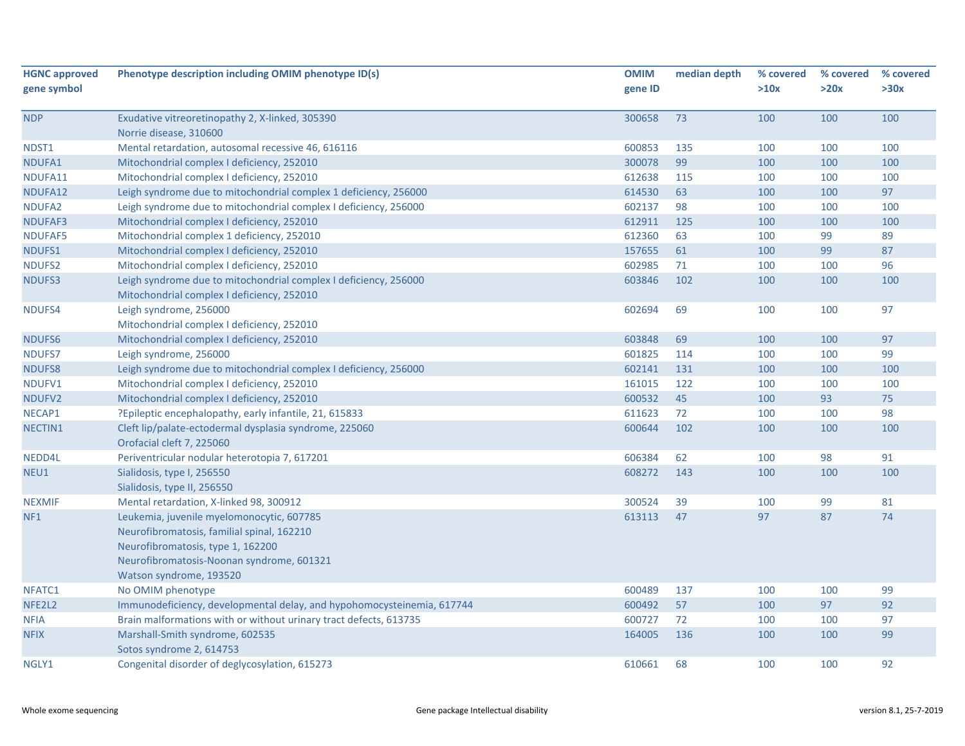| gene symbol<br>gene ID<br>>10x<br>>20x<br><b>NDP</b><br>300658<br>73<br>100<br>100<br>Exudative vitreoretinopathy 2, X-linked, 305390 | >30x<br>100<br>100 |
|---------------------------------------------------------------------------------------------------------------------------------------|--------------------|
|                                                                                                                                       |                    |
|                                                                                                                                       |                    |
|                                                                                                                                       |                    |
| Norrie disease, 310600                                                                                                                |                    |
| Mental retardation, autosomal recessive 46, 616116<br>600853<br>100<br>NDST1<br>135<br>100                                            |                    |
| Mitochondrial complex I deficiency, 252010<br>99<br>300078<br>100<br>100<br>NDUFA1                                                    | 100                |
| Mitochondrial complex I deficiency, 252010<br>612638<br>NDUFA11<br>115<br>100<br>100                                                  | 100                |
| 614530<br>63<br>100<br>100<br>NDUFA12<br>Leigh syndrome due to mitochondrial complex 1 deficiency, 256000                             | 97                 |
| Leigh syndrome due to mitochondrial complex I deficiency, 256000<br>602137<br>98<br>NDUFA2<br>100<br>100                              | 100                |
| Mitochondrial complex I deficiency, 252010<br>612911<br>125<br>100<br>NDUFAF3<br>100                                                  | 100                |
| Mitochondrial complex 1 deficiency, 252010<br>612360<br>63<br>100<br>99<br>NDUFAF5                                                    | 89                 |
| 157655<br>61<br>99<br>NDUFS1<br>Mitochondrial complex I deficiency, 252010<br>100                                                     | 87                 |
| <b>NDUFS2</b><br>Mitochondrial complex I deficiency, 252010<br>602985<br>71<br>100<br>100                                             | 96                 |
| Leigh syndrome due to mitochondrial complex I deficiency, 256000<br>603846<br>100<br>NDUFS3<br>102<br>100                             | 100                |
| Mitochondrial complex I deficiency, 252010                                                                                            |                    |
| 602694<br>NDUFS4<br>Leigh syndrome, 256000<br>69<br>100<br>100                                                                        | 97                 |
| Mitochondrial complex I deficiency, 252010                                                                                            |                    |
| NDUFS6<br>Mitochondrial complex I deficiency, 252010<br>603848<br>69<br>100<br>100                                                    | 97                 |
| <b>NDUFS7</b><br>Leigh syndrome, 256000<br>601825<br>114<br>100<br>100                                                                | 99                 |
| <b>NDUFS8</b><br>Leigh syndrome due to mitochondrial complex I deficiency, 256000<br>602141<br>131<br>100<br>100                      | 100                |
| 161015<br>NDUFV1<br>Mitochondrial complex I deficiency, 252010<br>122<br>100<br>100                                                   | 100                |
| 93<br>Mitochondrial complex I deficiency, 252010<br>600532<br>45<br>NDUFV2<br>100                                                     | 75                 |
| ?Epileptic encephalopathy, early infantile, 21, 615833<br>611623<br>72<br>100<br>NECAP1<br>100                                        | 98                 |
| Cleft lip/palate-ectodermal dysplasia syndrome, 225060<br>600644<br>102<br>100<br>NECTIN1<br>100                                      | 100                |
| Orofacial cleft 7, 225060                                                                                                             |                    |
| 606384<br>62<br>NEDD4L<br>Periventricular nodular heterotopia 7, 617201<br>100<br>98                                                  | 91                 |
| 608272<br>NEU1<br>Sialidosis, type I, 256550<br>143<br>100<br>100                                                                     | 100                |
| Sialidosis, type II, 256550                                                                                                           |                    |
| 300524<br>39<br><b>NEXMIF</b><br>Mental retardation, X-linked 98, 300912<br>100<br>99                                                 | 81                 |
| Leukemia, juvenile myelomonocytic, 607785<br>613113<br>47<br>97<br>87<br>NF1                                                          | 74                 |
| Neurofibromatosis, familial spinal, 162210                                                                                            |                    |
| Neurofibromatosis, type 1, 162200                                                                                                     |                    |
| Neurofibromatosis-Noonan syndrome, 601321                                                                                             |                    |
| Watson syndrome, 193520                                                                                                               |                    |
| No OMIM phenotype<br>600489<br>137<br>100<br>100<br>NFATC1                                                                            | 99                 |
| 57<br>97<br>NFE2L2<br>Immunodeficiency, developmental delay, and hypohomocysteinemia, 617744<br>600492<br>100                         | 92                 |
| Brain malformations with or without urinary tract defects, 613735<br>600727<br>72<br>100<br>100<br><b>NFIA</b>                        | 97                 |
| <b>NFIX</b><br>Marshall-Smith syndrome, 602535<br>164005<br>136<br>100<br>100                                                         | 99                 |
| Sotos syndrome 2, 614753                                                                                                              |                    |
| Congenital disorder of deglycosylation, 615273<br>610661<br>68<br>100<br>100<br>NGLY1                                                 | 92                 |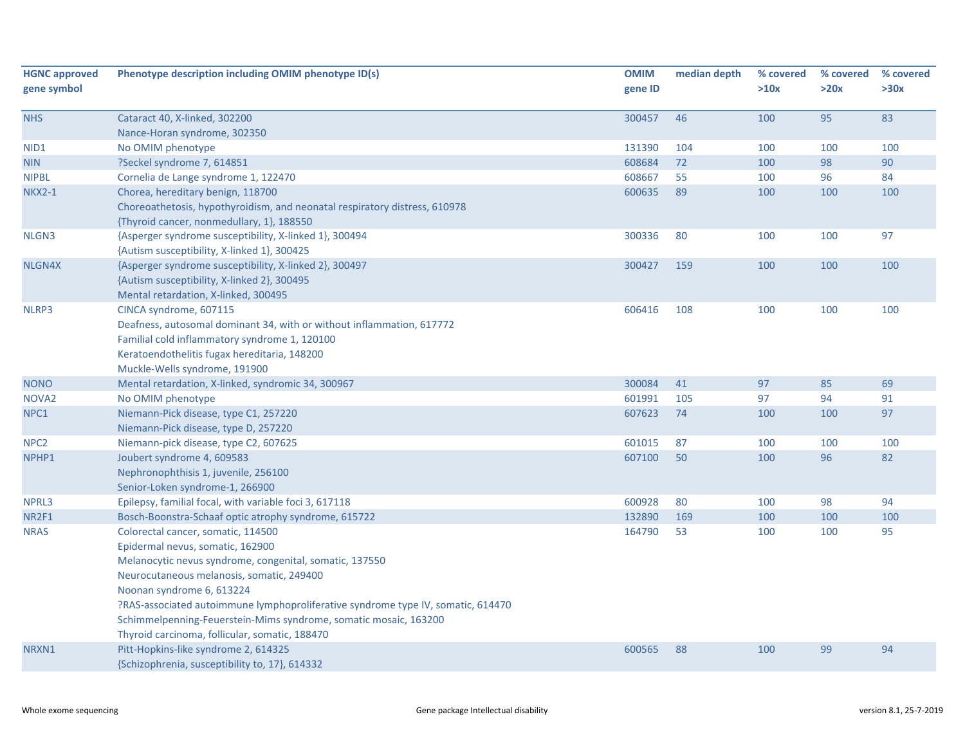| <b>HGNC approved</b> | Phenotype description including OMIM phenotype ID(s)                             | <b>OMIM</b> | median depth | % covered | % covered | % covered |
|----------------------|----------------------------------------------------------------------------------|-------------|--------------|-----------|-----------|-----------|
| gene symbol          |                                                                                  | gene ID     |              | >10x      | >20x      | >30x      |
| <b>NHS</b>           | Cataract 40, X-linked, 302200                                                    | 300457      | 46           | 100       | 95        | 83        |
|                      | Nance-Horan syndrome, 302350                                                     |             |              |           |           |           |
| NID1                 | No OMIM phenotype                                                                | 131390      | 104          | 100       | 100       | 100       |
| NIN                  | ?Seckel syndrome 7, 614851                                                       | 608684      | 72           | 100       | 98        | $90\,$    |
| <b>NIPBL</b>         | Cornelia de Lange syndrome 1, 122470                                             | 608667      | 55           | 100       | 96        | 84        |
| <b>NKX2-1</b>        | Chorea, hereditary benign, 118700                                                | 600635      | 89           | 100       | 100       | 100       |
|                      | Choreoathetosis, hypothyroidism, and neonatal respiratory distress, 610978       |             |              |           |           |           |
|                      | {Thyroid cancer, nonmedullary, 1}, 188550                                        |             |              |           |           |           |
| NLGN3                | {Asperger syndrome susceptibility, X-linked 1}, 300494                           | 300336      | 80           | 100       | 100       | 97        |
|                      | {Autism susceptibility, X-linked 1}, 300425                                      |             |              |           |           |           |
| NLGN4X               | {Asperger syndrome susceptibility, X-linked 2}, 300497                           | 300427      | 159          | 100       | 100       | 100       |
|                      | {Autism susceptibility, X-linked 2}, 300495                                      |             |              |           |           |           |
|                      | Mental retardation, X-linked, 300495                                             |             |              |           |           |           |
| NLRP3                | CINCA syndrome, 607115                                                           | 606416      | 108          | 100       | 100       | 100       |
|                      | Deafness, autosomal dominant 34, with or without inflammation, 617772            |             |              |           |           |           |
|                      | Familial cold inflammatory syndrome 1, 120100                                    |             |              |           |           |           |
|                      | Keratoendothelitis fugax hereditaria, 148200                                     |             |              |           |           |           |
|                      | Muckle-Wells syndrome, 191900                                                    |             |              |           |           |           |
| <b>NONO</b>          | Mental retardation, X-linked, syndromic 34, 300967                               | 300084      | 41           | 97        | 85        | 69        |
| NOVA <sub>2</sub>    | No OMIM phenotype                                                                | 601991      | 105          | 97        | 94        | 91        |
| NPC1                 | Niemann-Pick disease, type C1, 257220                                            | 607623      | 74           | 100       | 100       | 97        |
|                      | Niemann-Pick disease, type D, 257220                                             |             |              |           |           |           |
| NPC <sub>2</sub>     | Niemann-pick disease, type C2, 607625                                            | 601015      | 87           | 100       | 100       | 100       |
| NPHP1                | Joubert syndrome 4, 609583                                                       | 607100      | 50           | 100       | 96        | 82        |
|                      | Nephronophthisis 1, juvenile, 256100                                             |             |              |           |           |           |
|                      | Senior-Loken syndrome-1, 266900                                                  |             |              |           |           |           |
| NPRL3                | Epilepsy, familial focal, with variable foci 3, 617118                           | 600928      | 80           | 100       | 98        | 94        |
| NR2F1                | Bosch-Boonstra-Schaaf optic atrophy syndrome, 615722                             | 132890      | 169          | 100       | 100       | 100       |
| <b>NRAS</b>          | Colorectal cancer, somatic, 114500                                               | 164790      | 53           | 100       | 100       | 95        |
|                      | Epidermal nevus, somatic, 162900                                                 |             |              |           |           |           |
|                      | Melanocytic nevus syndrome, congenital, somatic, 137550                          |             |              |           |           |           |
|                      | Neurocutaneous melanosis, somatic, 249400                                        |             |              |           |           |           |
|                      | Noonan syndrome 6, 613224                                                        |             |              |           |           |           |
|                      | ?RAS-associated autoimmune lymphoproliferative syndrome type IV, somatic, 614470 |             |              |           |           |           |
|                      | Schimmelpenning-Feuerstein-Mims syndrome, somatic mosaic, 163200                 |             |              |           |           |           |
|                      | Thyroid carcinoma, follicular, somatic, 188470                                   |             |              |           |           |           |
| NRXN1                | Pitt-Hopkins-like syndrome 2, 614325                                             | 600565      | 88           | 100       | 99        | 94        |
|                      | {Schizophrenia, susceptibility to, 17}, 614332                                   |             |              |           |           |           |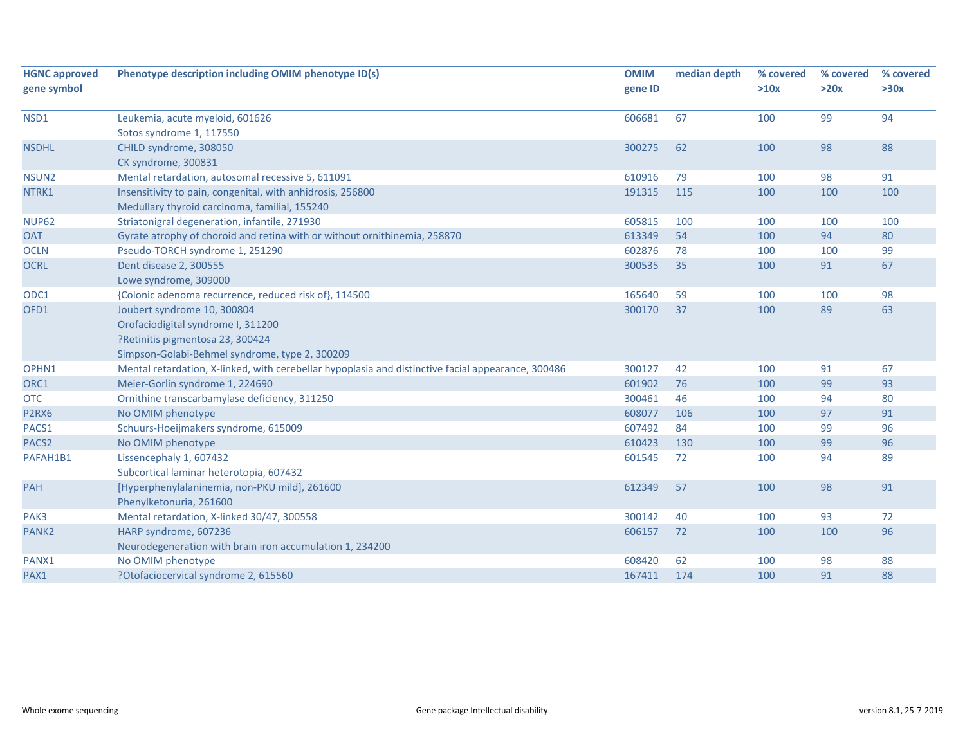| <b>HGNC approved</b><br>gene symbol | Phenotype description including OMIM phenotype ID(s)                                                                                                    | <b>OMIM</b><br>gene ID | median depth | % covered<br>>10x | % covered<br>>20x | % covered<br>>30x |
|-------------------------------------|---------------------------------------------------------------------------------------------------------------------------------------------------------|------------------------|--------------|-------------------|-------------------|-------------------|
| NSD1                                | Leukemia, acute myeloid, 601626<br>Sotos syndrome 1, 117550                                                                                             | 606681                 | 67           | 100               | 99                | 94                |
| <b>NSDHL</b>                        | CHILD syndrome, 308050<br>CK syndrome, 300831                                                                                                           | 300275                 | 62           | 100               | 98                | 88                |
| NSUN <sub>2</sub>                   | Mental retardation, autosomal recessive 5, 611091                                                                                                       | 610916                 | 79           | 100               | 98                | 91                |
| NTRK1                               | Insensitivity to pain, congenital, with anhidrosis, 256800<br>Medullary thyroid carcinoma, familial, 155240                                             | 191315                 | 115          | 100               | 100               | 100               |
| <b>NUP62</b>                        | Striatonigral degeneration, infantile, 271930                                                                                                           | 605815                 | 100          | 100               | 100               | 100               |
| <b>OAT</b>                          | Gyrate atrophy of choroid and retina with or without ornithinemia, 258870                                                                               | 613349                 | 54           | 100               | 94                | 80                |
| <b>OCLN</b>                         | Pseudo-TORCH syndrome 1, 251290                                                                                                                         | 602876                 | 78           | 100               | 100               | 99                |
| <b>OCRL</b>                         | Dent disease 2, 300555<br>Lowe syndrome, 309000                                                                                                         | 300535                 | 35           | 100               | 91                | 67                |
| ODC1                                | {Colonic adenoma recurrence, reduced risk of}, 114500                                                                                                   | 165640                 | 59           | 100               | 100               | 98                |
| OFD1                                | Joubert syndrome 10, 300804<br>Orofaciodigital syndrome I, 311200<br>?Retinitis pigmentosa 23, 300424<br>Simpson-Golabi-Behmel syndrome, type 2, 300209 | 300170                 | 37           | 100               | 89                | 63                |
| OPHN1                               | Mental retardation, X-linked, with cerebellar hypoplasia and distinctive facial appearance, 300486                                                      | 300127                 | 42           | 100               | 91                | 67                |
| ORC1                                | Meier-Gorlin syndrome 1, 224690                                                                                                                         | 601902                 | 76           | 100               | 99                | 93                |
| <b>OTC</b>                          | Ornithine transcarbamylase deficiency, 311250                                                                                                           | 300461                 | 46           | 100               | 94                | 80                |
| P2RX6                               | No OMIM phenotype                                                                                                                                       | 608077                 | 106          | 100               | 97                | 91                |
| PACS1                               | Schuurs-Hoeijmakers syndrome, 615009                                                                                                                    | 607492                 | 84           | 100               | 99                | 96                |
| PACS <sub>2</sub>                   | No OMIM phenotype                                                                                                                                       | 610423                 | 130          | 100               | 99                | 96                |
| PAFAH1B1                            | Lissencephaly 1, 607432<br>Subcortical laminar heterotopia, 607432                                                                                      | 601545                 | 72           | 100               | 94                | 89                |
| PAH                                 | [Hyperphenylalaninemia, non-PKU mild], 261600<br>Phenylketonuria, 261600                                                                                | 612349                 | 57           | 100               | 98                | 91                |
| PAK3                                | Mental retardation, X-linked 30/47, 300558                                                                                                              | 300142                 | 40           | 100               | 93                | 72                |
| PANK <sub>2</sub>                   | HARP syndrome, 607236<br>Neurodegeneration with brain iron accumulation 1, 234200                                                                       | 606157                 | 72           | 100               | 100               | 96                |
| PANX1                               | No OMIM phenotype                                                                                                                                       | 608420                 | 62           | 100               | 98                | 88                |
| PAX1                                | ?Otofaciocervical syndrome 2, 615560                                                                                                                    | 167411                 | 174          | 100               | 91                | 88                |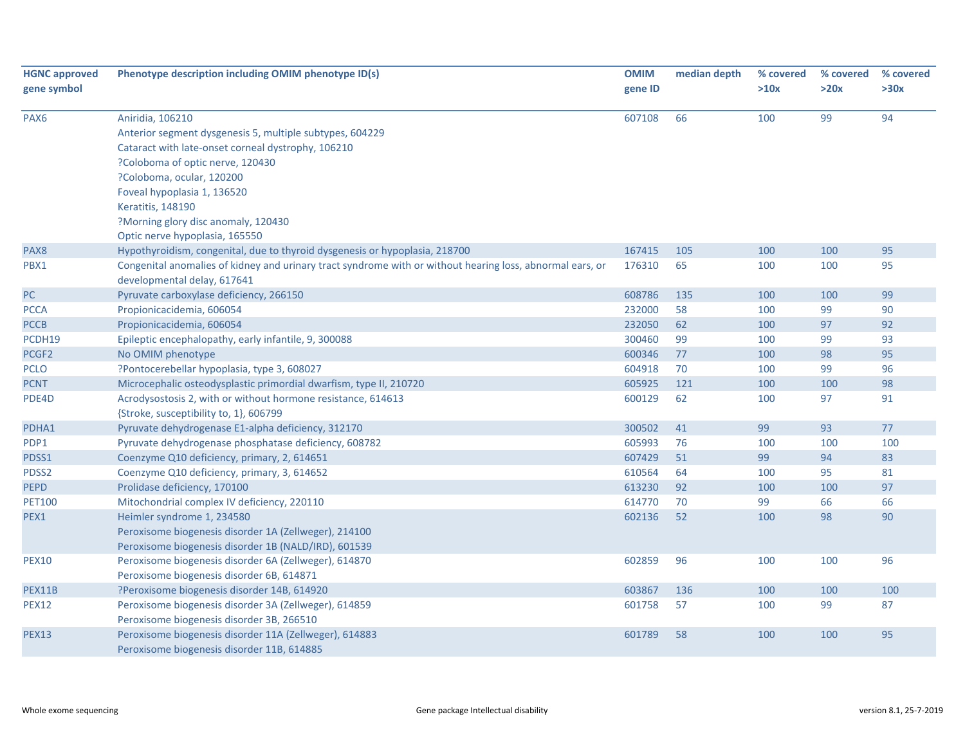| <b>HGNC approved</b><br>gene symbol | Phenotype description including OMIM phenotype ID(s)                                                      | <b>OMIM</b><br>gene ID | median depth | % covered<br>>10x | % covered<br>>20x | % covered<br>>30x |
|-------------------------------------|-----------------------------------------------------------------------------------------------------------|------------------------|--------------|-------------------|-------------------|-------------------|
| PAX <sub>6</sub>                    | Aniridia, 106210                                                                                          | 607108                 | 66           | 100               | 99                | 94                |
|                                     | Anterior segment dysgenesis 5, multiple subtypes, 604229                                                  |                        |              |                   |                   |                   |
|                                     | Cataract with late-onset corneal dystrophy, 106210                                                        |                        |              |                   |                   |                   |
|                                     | ?Coloboma of optic nerve, 120430                                                                          |                        |              |                   |                   |                   |
|                                     | ?Coloboma, ocular, 120200                                                                                 |                        |              |                   |                   |                   |
|                                     | Foveal hypoplasia 1, 136520                                                                               |                        |              |                   |                   |                   |
|                                     | Keratitis, 148190                                                                                         |                        |              |                   |                   |                   |
|                                     | ?Morning glory disc anomaly, 120430                                                                       |                        |              |                   |                   |                   |
|                                     | Optic nerve hypoplasia, 165550                                                                            |                        |              |                   |                   |                   |
| PAX8                                | Hypothyroidism, congenital, due to thyroid dysgenesis or hypoplasia, 218700                               | 167415                 | 105          | 100               | 100               | 95                |
| PBX1                                | Congenital anomalies of kidney and urinary tract syndrome with or without hearing loss, abnormal ears, or | 176310                 | 65           | 100               | 100               | 95                |
|                                     | developmental delay, 617641                                                                               |                        |              |                   |                   |                   |
| $PC$                                | Pyruvate carboxylase deficiency, 266150                                                                   | 608786                 | 135          | 100               | 100               | 99                |
| <b>PCCA</b>                         | Propionicacidemia, 606054                                                                                 | 232000                 | 58           | 100               | 99                | 90                |
| <b>PCCB</b>                         | Propionicacidemia, 606054                                                                                 | 232050                 | 62           | 100               | 97                | 92                |
| PCDH19                              | Epileptic encephalopathy, early infantile, 9, 300088                                                      | 300460                 | 99           | 100               | 99                | 93                |
| PCGF <sub>2</sub>                   | No OMIM phenotype                                                                                         | 600346                 | 77           | 100               | 98                | 95                |
| <b>PCLO</b>                         | ?Pontocerebellar hypoplasia, type 3, 608027                                                               | 604918                 | 70           | 100               | 99                | 96                |
| <b>PCNT</b>                         | Microcephalic osteodysplastic primordial dwarfism, type II, 210720                                        | 605925                 | 121          | 100               | 100               | 98                |
| PDE4D                               | Acrodysostosis 2, with or without hormone resistance, 614613                                              | 600129                 | 62           | 100               | 97                | 91                |
|                                     | {Stroke, susceptibility to, 1}, 606799                                                                    |                        |              |                   |                   |                   |
| PDHA1                               | Pyruvate dehydrogenase E1-alpha deficiency, 312170                                                        | 300502                 | 41           | 99                | 93                | 77                |
| PDP1                                | Pyruvate dehydrogenase phosphatase deficiency, 608782                                                     | 605993                 | 76           | 100               | 100               | 100               |
| PDSS1                               | Coenzyme Q10 deficiency, primary, 2, 614651                                                               | 607429                 | 51           | 99                | 94                | 83                |
| PDSS2                               | Coenzyme Q10 deficiency, primary, 3, 614652                                                               | 610564                 | 64           | 100               | 95                | 81                |
| <b>PEPD</b>                         | Prolidase deficiency, 170100                                                                              | 613230                 | 92           | 100               | 100               | 97                |
| <b>PET100</b>                       | Mitochondrial complex IV deficiency, 220110                                                               | 614770                 | 70           | 99                | 66                | 66                |
| PEX1                                | Heimler syndrome 1, 234580                                                                                | 602136                 | 52           | 100               | 98                | 90                |
|                                     | Peroxisome biogenesis disorder 1A (Zellweger), 214100                                                     |                        |              |                   |                   |                   |
|                                     | Peroxisome biogenesis disorder 1B (NALD/IRD), 601539                                                      |                        |              |                   |                   |                   |
| <b>PEX10</b>                        | Peroxisome biogenesis disorder 6A (Zellweger), 614870                                                     | 602859                 | 96           | 100               | 100               | 96                |
|                                     | Peroxisome biogenesis disorder 6B, 614871                                                                 |                        |              |                   |                   |                   |
| PEX11B                              | ?Peroxisome biogenesis disorder 14B, 614920                                                               | 603867                 | 136          | 100               | 100               | 100               |
| <b>PEX12</b>                        | Peroxisome biogenesis disorder 3A (Zellweger), 614859                                                     | 601758                 | 57           | 100               | 99                | 87                |
|                                     | Peroxisome biogenesis disorder 3B, 266510                                                                 |                        |              |                   |                   |                   |
| <b>PEX13</b>                        | Peroxisome biogenesis disorder 11A (Zellweger), 614883                                                    | 601789                 | 58           | 100               | 100               | 95                |
|                                     | Peroxisome biogenesis disorder 11B, 614885                                                                |                        |              |                   |                   |                   |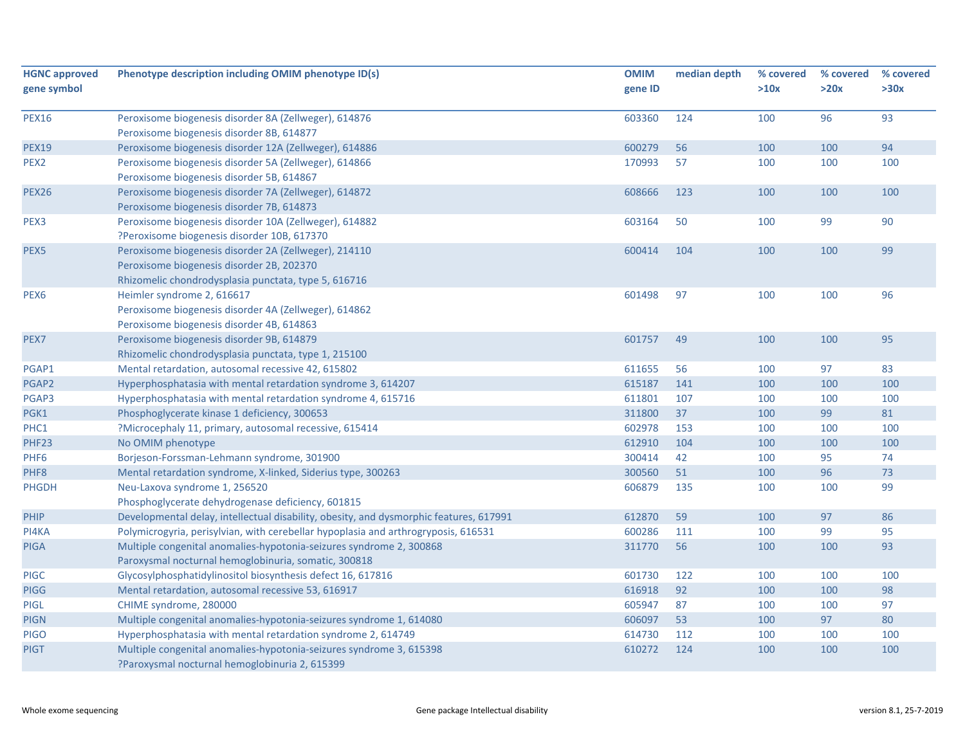| <b>HGNC approved</b> | Phenotype description including OMIM phenotype ID(s)                                                                  | <b>OMIM</b> | median depth | % covered | % covered | % covered |
|----------------------|-----------------------------------------------------------------------------------------------------------------------|-------------|--------------|-----------|-----------|-----------|
| gene symbol          |                                                                                                                       | gene ID     |              | >10x      | >20x      | >30x      |
| <b>PEX16</b>         | Peroxisome biogenesis disorder 8A (Zellweger), 614876                                                                 | 603360      | 124          | 100       | 96        | 93        |
|                      | Peroxisome biogenesis disorder 8B, 614877                                                                             |             |              |           |           |           |
| <b>PEX19</b>         | Peroxisome biogenesis disorder 12A (Zellweger), 614886                                                                | 600279      | 56           | 100       | 100       | 94        |
| PEX2                 | Peroxisome biogenesis disorder 5A (Zellweger), 614866                                                                 | 170993      | 57           | 100       | 100       | 100       |
|                      | Peroxisome biogenesis disorder 5B, 614867                                                                             |             |              |           |           |           |
| <b>PEX26</b>         | Peroxisome biogenesis disorder 7A (Zellweger), 614872                                                                 | 608666      | 123          | 100       | 100       | 100       |
|                      | Peroxisome biogenesis disorder 7B, 614873                                                                             |             |              |           |           |           |
| PEX <sub>3</sub>     | Peroxisome biogenesis disorder 10A (Zellweger), 614882                                                                | 603164      | 50           | 100       | 99        | 90        |
|                      | ?Peroxisome biogenesis disorder 10B, 617370                                                                           |             |              |           |           |           |
| PEX5                 | Peroxisome biogenesis disorder 2A (Zellweger), 214110                                                                 | 600414      | 104          | 100       | 100       | 99        |
|                      | Peroxisome biogenesis disorder 2B, 202370                                                                             |             |              |           |           |           |
|                      | Rhizomelic chondrodysplasia punctata, type 5, 616716                                                                  |             |              |           |           |           |
| PEX <sub>6</sub>     | Heimler syndrome 2, 616617                                                                                            | 601498      | 97           | 100       | 100       | 96        |
|                      | Peroxisome biogenesis disorder 4A (Zellweger), 614862                                                                 |             |              |           |           |           |
|                      | Peroxisome biogenesis disorder 4B, 614863                                                                             |             |              |           |           |           |
| PEX7                 | Peroxisome biogenesis disorder 9B, 614879                                                                             | 601757      | 49           | 100       | 100       | 95        |
|                      | Rhizomelic chondrodysplasia punctata, type 1, 215100                                                                  |             |              |           |           |           |
| PGAP1                | Mental retardation, autosomal recessive 42, 615802                                                                    | 611655      | 56           | 100       | 97        | 83        |
| PGAP2                | Hyperphosphatasia with mental retardation syndrome 3, 614207                                                          | 615187      | 141          | 100       | 100       | 100       |
| PGAP3                | Hyperphosphatasia with mental retardation syndrome 4, 615716                                                          | 611801      | 107          | 100       | 100       | 100       |
| PGK1                 | Phosphoglycerate kinase 1 deficiency, 300653                                                                          | 311800      | 37           | 100       | 99        | 81        |
| PHC1                 | ?Microcephaly 11, primary, autosomal recessive, 615414                                                                | 602978      | 153          | 100       | 100       | 100       |
| PHF23                | No OMIM phenotype                                                                                                     | 612910      | 104          | 100       | 100       | 100       |
| PHF <sub>6</sub>     | Borjeson-Forssman-Lehmann syndrome, 301900                                                                            | 300414      | 42           | 100       | 95        | 74        |
| PHF8                 | Mental retardation syndrome, X-linked, Siderius type, 300263                                                          | 300560      | 51           | 100       | 96        | 73        |
| <b>PHGDH</b>         | Neu-Laxova syndrome 1, 256520                                                                                         | 606879      | 135          | 100       | 100       | 99        |
|                      | Phosphoglycerate dehydrogenase deficiency, 601815                                                                     |             |              |           |           |           |
| <b>PHIP</b>          | Developmental delay, intellectual disability, obesity, and dysmorphic features, 617991                                | 612870      | 59           | 100       | 97        | 86        |
| PI4KA                | Polymicrogyria, perisylvian, with cerebellar hypoplasia and arthrogryposis, 616531                                    | 600286      | 111          | 100       | 99        | 95        |
| <b>PIGA</b>          | Multiple congenital anomalies-hypotonia-seizures syndrome 2, 300868                                                   | 311770      | 56           | 100       | 100       | 93        |
|                      | Paroxysmal nocturnal hemoglobinuria, somatic, 300818                                                                  |             |              |           |           |           |
| <b>PIGC</b>          | Glycosylphosphatidylinositol biosynthesis defect 16, 617816                                                           | 601730      | 122          | 100       | 100       | 100       |
| <b>PIGG</b>          | Mental retardation, autosomal recessive 53, 616917                                                                    | 616918      | 92           | 100       | 100       | 98        |
| PIGL                 | CHIME syndrome, 280000                                                                                                | 605947      | 87           | 100       | 100       | 97        |
| <b>PIGN</b>          | Multiple congenital anomalies-hypotonia-seizures syndrome 1, 614080                                                   | 606097      | 53           | 100       | 97        | 80        |
| <b>PIGO</b>          | Hyperphosphatasia with mental retardation syndrome 2, 614749                                                          | 614730      | 112          | 100       | 100       | 100       |
| <b>PIGT</b>          | Multiple congenital anomalies-hypotonia-seizures syndrome 3, 615398<br>?Paroxysmal nocturnal hemoglobinuria 2, 615399 | 610272      | 124          | 100       | 100       | 100       |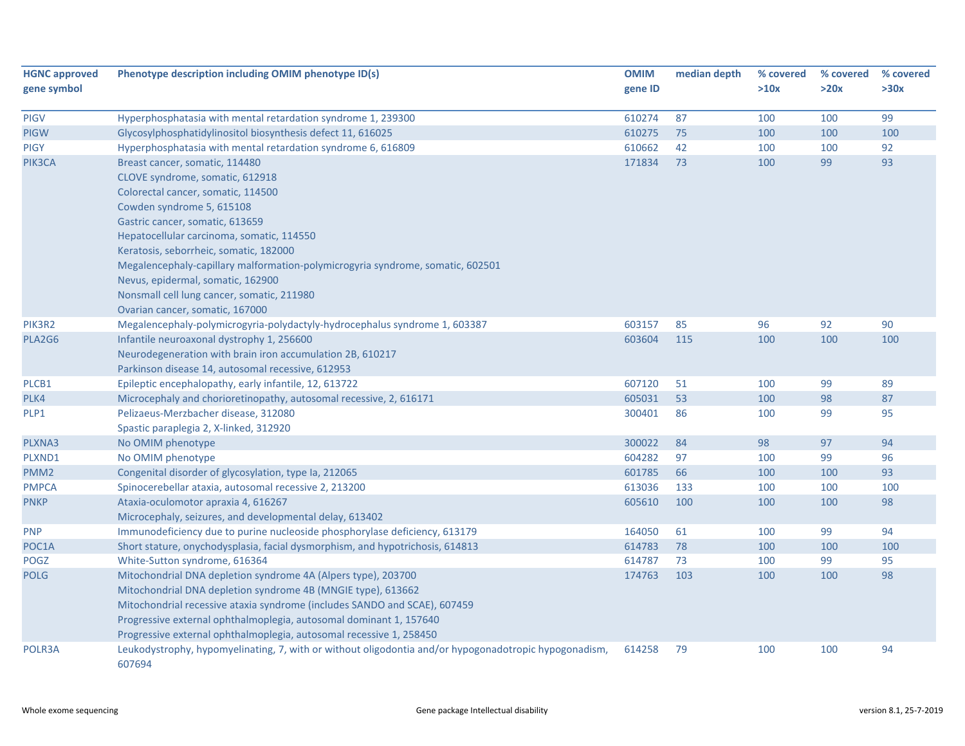| <b>HGNC approved</b><br>gene symbol | Phenotype description including OMIM phenotype ID(s)                                                            | <b>OMIM</b><br>gene ID | median depth | % covered<br>>10x | % covered<br>>20x | % covered<br>>30x |
|-------------------------------------|-----------------------------------------------------------------------------------------------------------------|------------------------|--------------|-------------------|-------------------|-------------------|
| <b>PIGV</b>                         | Hyperphosphatasia with mental retardation syndrome 1, 239300                                                    | 610274                 | 87           | 100               | 100               | 99                |
| <b>PIGW</b>                         | Glycosylphosphatidylinositol biosynthesis defect 11, 616025                                                     | 610275                 | 75           | 100               | 100               | 100               |
| <b>PIGY</b>                         | Hyperphosphatasia with mental retardation syndrome 6, 616809                                                    | 610662                 | 42           | 100               | 100               | 92                |
| PIK3CA                              | Breast cancer, somatic, 114480                                                                                  | 171834                 | 73           | 100               | 99                | 93                |
|                                     | CLOVE syndrome, somatic, 612918                                                                                 |                        |              |                   |                   |                   |
|                                     | Colorectal cancer, somatic, 114500                                                                              |                        |              |                   |                   |                   |
|                                     | Cowden syndrome 5, 615108                                                                                       |                        |              |                   |                   |                   |
|                                     | Gastric cancer, somatic, 613659                                                                                 |                        |              |                   |                   |                   |
|                                     | Hepatocellular carcinoma, somatic, 114550                                                                       |                        |              |                   |                   |                   |
|                                     | Keratosis, seborrheic, somatic, 182000                                                                          |                        |              |                   |                   |                   |
|                                     | Megalencephaly-capillary malformation-polymicrogyria syndrome, somatic, 602501                                  |                        |              |                   |                   |                   |
|                                     | Nevus, epidermal, somatic, 162900                                                                               |                        |              |                   |                   |                   |
|                                     | Nonsmall cell lung cancer, somatic, 211980                                                                      |                        |              |                   |                   |                   |
|                                     | Ovarian cancer, somatic, 167000                                                                                 |                        |              |                   |                   |                   |
| PIK3R2                              | Megalencephaly-polymicrogyria-polydactyly-hydrocephalus syndrome 1, 603387                                      | 603157                 | 85           | 96                | 92                | 90                |
| PLA2G6                              | Infantile neuroaxonal dystrophy 1, 256600                                                                       | 603604                 | 115          | 100               | 100               | 100               |
|                                     | Neurodegeneration with brain iron accumulation 2B, 610217                                                       |                        |              |                   |                   |                   |
|                                     | Parkinson disease 14, autosomal recessive, 612953                                                               |                        |              |                   |                   |                   |
| PLCB1                               | Epileptic encephalopathy, early infantile, 12, 613722                                                           | 607120                 | 51           | 100               | 99                | 89                |
| PLK4                                | Microcephaly and chorioretinopathy, autosomal recessive, 2, 616171                                              | 605031                 | 53           | 100               | 98                | 87                |
| PLP1                                | Pelizaeus-Merzbacher disease, 312080                                                                            | 300401                 | 86           | 100               | 99                | 95                |
|                                     | Spastic paraplegia 2, X-linked, 312920                                                                          |                        |              |                   |                   |                   |
| PLXNA3                              | No OMIM phenotype                                                                                               | 300022                 | 84           | 98                | 97                | 94                |
| PLXND1                              | No OMIM phenotype                                                                                               | 604282                 | 97           | 100               | 99                | 96                |
| PMM <sub>2</sub>                    | Congenital disorder of glycosylation, type Ia, 212065                                                           | 601785                 | 66           | 100               | 100               | 93                |
| <b>PMPCA</b>                        | Spinocerebellar ataxia, autosomal recessive 2, 213200                                                           | 613036                 | 133          | 100               | 100               | 100               |
| <b>PNKP</b>                         | Ataxia-oculomotor apraxia 4, 616267                                                                             | 605610                 | 100          | 100               | 100               | 98                |
|                                     | Microcephaly, seizures, and developmental delay, 613402                                                         |                        |              |                   |                   |                   |
| <b>PNP</b>                          | Immunodeficiency due to purine nucleoside phosphorylase deficiency, 613179                                      | 164050                 | 61           | 100               | 99                | 94                |
| POC1A                               | Short stature, onychodysplasia, facial dysmorphism, and hypotrichosis, 614813                                   | 614783                 | 78           | 100               | 100               | 100               |
| POGZ                                | White-Sutton syndrome, 616364                                                                                   | 614787                 | 73           | 100               | 99                | 95                |
| <b>POLG</b>                         | Mitochondrial DNA depletion syndrome 4A (Alpers type), 203700                                                   | 174763                 | 103          | 100               | 100               | 98                |
|                                     | Mitochondrial DNA depletion syndrome 4B (MNGIE type), 613662                                                    |                        |              |                   |                   |                   |
|                                     | Mitochondrial recessive ataxia syndrome (includes SANDO and SCAE), 607459                                       |                        |              |                   |                   |                   |
|                                     | Progressive external ophthalmoplegia, autosomal dominant 1, 157640                                              |                        |              |                   |                   |                   |
|                                     | Progressive external ophthalmoplegia, autosomal recessive 1, 258450                                             |                        |              |                   |                   |                   |
| POLR3A                              | Leukodystrophy, hypomyelinating, 7, with or without oligodontia and/or hypogonadotropic hypogonadism,<br>607694 | 614258                 | 79           | 100               | 100               | 94                |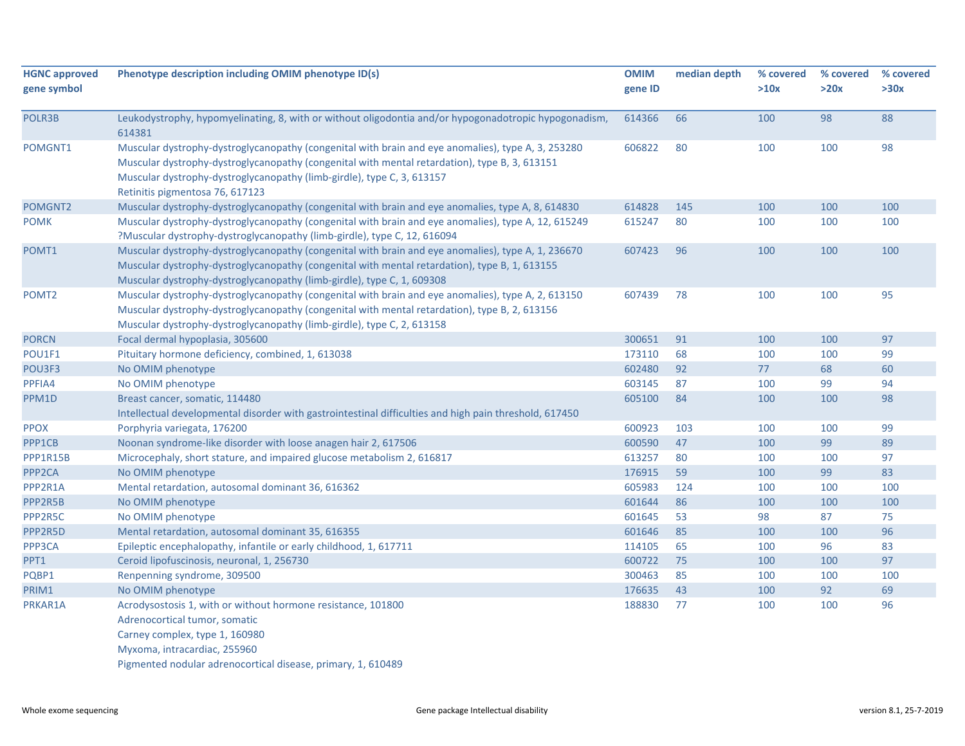| <b>HGNC approved</b><br>gene symbol | Phenotype description including OMIM phenotype ID(s)                                                                                                                                                                                                                                                             | <b>OMIM</b><br>gene ID | median depth | % covered<br>>10x | % covered<br>>20x | % covered<br>>30x |
|-------------------------------------|------------------------------------------------------------------------------------------------------------------------------------------------------------------------------------------------------------------------------------------------------------------------------------------------------------------|------------------------|--------------|-------------------|-------------------|-------------------|
| POLR3B                              | Leukodystrophy, hypomyelinating, 8, with or without oligodontia and/or hypogonadotropic hypogonadism,<br>614381                                                                                                                                                                                                  | 614366                 | 66           | 100               | 98                | 88                |
| POMGNT1                             | Muscular dystrophy-dystroglycanopathy (congenital with brain and eye anomalies), type A, 3, 253280<br>Muscular dystrophy-dystroglycanopathy (congenital with mental retardation), type B, 3, 613151<br>Muscular dystrophy-dystroglycanopathy (limb-girdle), type C, 3, 613157<br>Retinitis pigmentosa 76, 617123 | 606822                 | 80           | 100               | 100               | 98                |
| POMGNT2                             | Muscular dystrophy-dystroglycanopathy (congenital with brain and eye anomalies, type A, 8, 614830                                                                                                                                                                                                                | 614828                 | 145          | 100               | 100               | 100               |
| <b>POMK</b>                         | Muscular dystrophy-dystroglycanopathy (congenital with brain and eye anomalies), type A, 12, 615249<br>?Muscular dystrophy-dystroglycanopathy (limb-girdle), type C, 12, 616094                                                                                                                                  | 615247                 | 80           | 100               | 100               | 100               |
| POMT1                               | Muscular dystrophy-dystroglycanopathy (congenital with brain and eye anomalies), type A, 1, 236670<br>Muscular dystrophy-dystroglycanopathy (congenital with mental retardation), type B, 1, 613155<br>Muscular dystrophy-dystroglycanopathy (limb-girdle), type C, 1, 609308                                    | 607423                 | 96           | 100               | 100               | 100               |
| POMT <sub>2</sub>                   | Muscular dystrophy-dystroglycanopathy (congenital with brain and eye anomalies), type A, 2, 613150<br>Muscular dystrophy-dystroglycanopathy (congenital with mental retardation), type B, 2, 613156<br>Muscular dystrophy-dystroglycanopathy (limb-girdle), type C, 2, 613158                                    | 607439                 | 78           | 100               | 100               | 95                |
| <b>PORCN</b>                        | Focal dermal hypoplasia, 305600                                                                                                                                                                                                                                                                                  | 300651                 | 91           | 100               | 100               | 97                |
| POU1F1                              | Pituitary hormone deficiency, combined, 1, 613038                                                                                                                                                                                                                                                                | 173110                 | 68           | 100               | 100               | 99                |
| POU3F3                              | No OMIM phenotype                                                                                                                                                                                                                                                                                                | 602480                 | 92           | 77                | 68                | 60                |
| PPFIA4                              | No OMIM phenotype                                                                                                                                                                                                                                                                                                | 603145                 | 87           | 100               | 99                | 94                |
| PPM1D                               | Breast cancer, somatic, 114480<br>Intellectual developmental disorder with gastrointestinal difficulties and high pain threshold, 617450                                                                                                                                                                         | 605100                 | 84           | 100               | 100               | 98                |
| <b>PPOX</b>                         | Porphyria variegata, 176200                                                                                                                                                                                                                                                                                      | 600923                 | 103          | 100               | 100               | 99                |
| PPP1CB                              | Noonan syndrome-like disorder with loose anagen hair 2, 617506                                                                                                                                                                                                                                                   | 600590                 | 47           | 100               | 99                | 89                |
| PPP1R15B                            | Microcephaly, short stature, and impaired glucose metabolism 2, 616817                                                                                                                                                                                                                                           | 613257                 | 80           | 100               | 100               | 97                |
| PPP <sub>2CA</sub>                  | No OMIM phenotype                                                                                                                                                                                                                                                                                                | 176915                 | 59           | 100               | 99                | 83                |
| PPP2R1A                             | Mental retardation, autosomal dominant 36, 616362                                                                                                                                                                                                                                                                | 605983                 | 124          | 100               | 100               | 100               |
| PPP2R5B                             | No OMIM phenotype                                                                                                                                                                                                                                                                                                | 601644                 | 86           | 100               | 100               | 100               |
| PPP2R5C                             | No OMIM phenotype                                                                                                                                                                                                                                                                                                | 601645                 | 53           | 98                | 87                | 75                |
| PPP2R5D                             | Mental retardation, autosomal dominant 35, 616355                                                                                                                                                                                                                                                                | 601646                 | 85           | 100               | 100               | 96                |
| PPP3CA                              | Epileptic encephalopathy, infantile or early childhood, 1, 617711                                                                                                                                                                                                                                                | 114105                 | 65           | 100               | 96                | 83                |
| PPT1                                | Ceroid lipofuscinosis, neuronal, 1, 256730                                                                                                                                                                                                                                                                       | 600722                 | 75           | 100               | 100               | 97                |
| PQBP1                               | Renpenning syndrome, 309500                                                                                                                                                                                                                                                                                      | 300463                 | 85           | 100               | 100               | 100               |
| PRIM1                               | No OMIM phenotype                                                                                                                                                                                                                                                                                                | 176635                 | 43           | 100               | 92                | 69                |
| PRKAR1A                             | Acrodysostosis 1, with or without hormone resistance, 101800<br>Adrenocortical tumor, somatic                                                                                                                                                                                                                    | 188830                 | 77           | 100               | 100               | 96                |
|                                     | Carney complex, type 1, 160980<br>Myxoma, intracardiac, 255960<br>Pigmented nodular adrenocortical disease, primary, 1, 610489                                                                                                                                                                                   |                        |              |                   |                   |                   |

χ.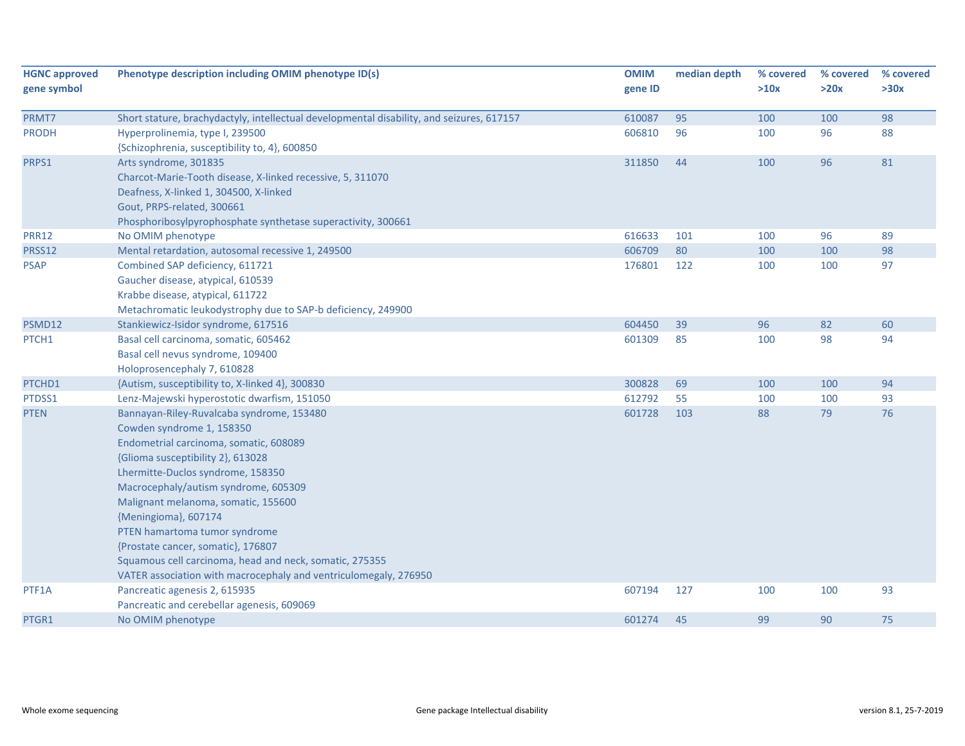| <b>HGNC approved</b> | Phenotype description including OMIM phenotype ID(s)                                      | <b>OMIM</b> | median depth | % covered | % covered | % covered |
|----------------------|-------------------------------------------------------------------------------------------|-------------|--------------|-----------|-----------|-----------|
| gene symbol          |                                                                                           | gene ID     |              | >10x      | >20x      | >30x      |
| PRMT7                | Short stature, brachydactyly, intellectual developmental disability, and seizures, 617157 | 610087      | 95           | 100       | 100       | 98        |
| <b>PRODH</b>         | Hyperprolinemia, type I, 239500                                                           | 606810      | 96           | 100       | 96        | 88        |
|                      | {Schizophrenia, susceptibility to, 4}, 600850                                             |             |              |           |           |           |
| PRPS1                | Arts syndrome, 301835                                                                     | 311850      | 44           | 100       | 96        | 81        |
|                      | Charcot-Marie-Tooth disease, X-linked recessive, 5, 311070                                |             |              |           |           |           |
|                      | Deafness, X-linked 1, 304500, X-linked                                                    |             |              |           |           |           |
|                      | Gout, PRPS-related, 300661                                                                |             |              |           |           |           |
|                      | Phosphoribosylpyrophosphate synthetase superactivity, 300661                              |             |              |           |           |           |
| <b>PRR12</b>         | No OMIM phenotype                                                                         | 616633      | 101          | 100       | 96        | 89        |
| PRSS12               | Mental retardation, autosomal recessive 1, 249500                                         | 606709      | 80           | 100       | 100       | 98        |
| <b>PSAP</b>          | Combined SAP deficiency, 611721                                                           | 176801      | 122          | 100       | 100       | 97        |
|                      | Gaucher disease, atypical, 610539                                                         |             |              |           |           |           |
|                      | Krabbe disease, atypical, 611722                                                          |             |              |           |           |           |
|                      | Metachromatic leukodystrophy due to SAP-b deficiency, 249900                              |             |              |           |           |           |
| PSMD12               | Stankiewicz-Isidor syndrome, 617516                                                       | 604450      | 39           | 96        | 82        | 60        |
| PTCH1                | Basal cell carcinoma, somatic, 605462                                                     | 601309      | 85           | 100       | 98        | 94        |
|                      | Basal cell nevus syndrome, 109400                                                         |             |              |           |           |           |
|                      | Holoprosencephaly 7, 610828                                                               |             |              |           |           |           |
| PTCHD1               | {Autism, susceptibility to, X-linked 4}, 300830                                           | 300828      | 69           | 100       | 100       | 94        |
| PTDSS1               | Lenz-Majewski hyperostotic dwarfism, 151050                                               | 612792      | 55           | 100       | 100       | 93        |
| <b>PTEN</b>          | Bannayan-Riley-Ruvalcaba syndrome, 153480                                                 | 601728      | 103          | 88        | 79        | 76        |
|                      | Cowden syndrome 1, 158350                                                                 |             |              |           |           |           |
|                      | Endometrial carcinoma, somatic, 608089                                                    |             |              |           |           |           |
|                      | {Glioma susceptibility 2}, 613028                                                         |             |              |           |           |           |
|                      | Lhermitte-Duclos syndrome, 158350                                                         |             |              |           |           |           |
|                      | Macrocephaly/autism syndrome, 605309                                                      |             |              |           |           |           |
|                      | Malignant melanoma, somatic, 155600                                                       |             |              |           |           |           |
|                      | {Meningioma}, 607174                                                                      |             |              |           |           |           |
|                      | PTEN hamartoma tumor syndrome                                                             |             |              |           |           |           |
|                      | {Prostate cancer, somatic}, 176807                                                        |             |              |           |           |           |
|                      | Squamous cell carcinoma, head and neck, somatic, 275355                                   |             |              |           |           |           |
|                      | VATER association with macrocephaly and ventriculomegaly, 276950                          |             |              |           |           |           |
| PTF1A                | Pancreatic agenesis 2, 615935                                                             | 607194      | 127          | 100       | 100       | 93        |
|                      | Pancreatic and cerebellar agenesis, 609069                                                |             |              |           |           |           |
| PTGR1                | No OMIM phenotype                                                                         | 601274      | 45           | 99        | 90        | 75        |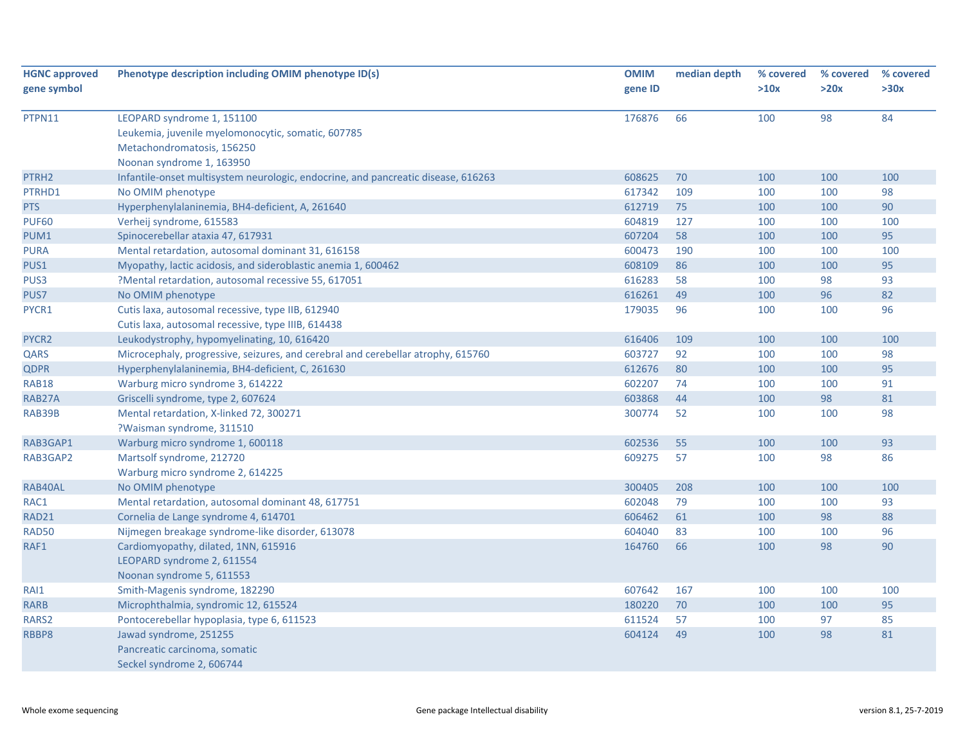| <b>HGNC approved</b> | Phenotype description including OMIM phenotype ID(s)                              | <b>OMIM</b> | median depth | % covered | % covered | % covered |
|----------------------|-----------------------------------------------------------------------------------|-------------|--------------|-----------|-----------|-----------|
| gene symbol          |                                                                                   | gene ID     |              | >10x      | >20x      | >30x      |
| PTPN11               | LEOPARD syndrome 1, 151100                                                        | 176876      | 66           | 100       | 98        | 84        |
|                      | Leukemia, juvenile myelomonocytic, somatic, 607785                                |             |              |           |           |           |
|                      | Metachondromatosis, 156250                                                        |             |              |           |           |           |
|                      | Noonan syndrome 1, 163950                                                         |             |              |           |           |           |
| PTRH <sub>2</sub>    | Infantile-onset multisystem neurologic, endocrine, and pancreatic disease, 616263 | 608625      | 70           | 100       | 100       | 100       |
| PTRHD1               | No OMIM phenotype                                                                 | 617342      | 109          | 100       | 100       | 98        |
| <b>PTS</b>           | Hyperphenylalaninemia, BH4-deficient, A, 261640                                   | 612719      | 75           | 100       | 100       | 90        |
| <b>PUF60</b>         | Verheij syndrome, 615583                                                          | 604819      | 127          | 100       | 100       | 100       |
| PUM1                 | Spinocerebellar ataxia 47, 617931                                                 | 607204      | 58           | 100       | 100       | 95        |
| <b>PURA</b>          | Mental retardation, autosomal dominant 31, 616158                                 | 600473      | 190          | 100       | 100       | 100       |
| PUS1                 | Myopathy, lactic acidosis, and sideroblastic anemia 1, 600462                     | 608109      | 86           | 100       | 100       | 95        |
| PUS3                 | ?Mental retardation, autosomal recessive 55, 617051                               | 616283      | 58           | 100       | 98        | 93        |
| PUS7                 | No OMIM phenotype                                                                 | 616261      | 49           | 100       | 96        | 82        |
| PYCR1                | Cutis laxa, autosomal recessive, type IIB, 612940                                 | 179035      | 96           | 100       | 100       | 96        |
|                      | Cutis laxa, autosomal recessive, type IIIB, 614438                                |             |              |           |           |           |
| PYCR <sub>2</sub>    | Leukodystrophy, hypomyelinating, 10, 616420                                       | 616406      | 109          | 100       | 100       | 100       |
| QARS                 | Microcephaly, progressive, seizures, and cerebral and cerebellar atrophy, 615760  | 603727      | 92           | 100       | 100       | 98        |
| <b>QDPR</b>          | Hyperphenylalaninemia, BH4-deficient, C, 261630                                   | 612676      | 80           | 100       | 100       | 95        |
| <b>RAB18</b>         | Warburg micro syndrome 3, 614222                                                  | 602207      | 74           | 100       | 100       | 91        |
| RAB27A               | Griscelli syndrome, type 2, 607624                                                | 603868      | 44           | 100       | 98        | 81        |
| RAB39B               | Mental retardation, X-linked 72, 300271                                           | 300774      | 52           | 100       | 100       | 98        |
|                      | ?Waisman syndrome, 311510                                                         |             |              |           |           |           |
| RAB3GAP1             | Warburg micro syndrome 1, 600118                                                  | 602536      | 55           | 100       | 100       | 93        |
| RAB3GAP2             | Martsolf syndrome, 212720                                                         | 609275      | 57           | 100       | 98        | 86        |
|                      | Warburg micro syndrome 2, 614225                                                  |             |              |           |           |           |
| RAB40AL              | No OMIM phenotype                                                                 | 300405      | 208          | 100       | 100       | 100       |
| RAC1                 | Mental retardation, autosomal dominant 48, 617751                                 | 602048      | 79           | 100       | 100       | 93        |
| RAD21                | Cornelia de Lange syndrome 4, 614701                                              | 606462      | 61           | 100       | 98        | 88        |
| <b>RAD50</b>         | Nijmegen breakage syndrome-like disorder, 613078                                  | 604040      | 83           | 100       | 100       | 96        |
| RAF1                 | Cardiomyopathy, dilated, 1NN, 615916                                              | 164760      | 66           | 100       | 98        | 90        |
|                      | LEOPARD syndrome 2, 611554                                                        |             |              |           |           |           |
|                      | Noonan syndrome 5, 611553                                                         |             |              |           |           |           |
| RAI1                 | Smith-Magenis syndrome, 182290                                                    | 607642      | 167          | 100       | 100       | 100       |
| <b>RARB</b>          | Microphthalmia, syndromic 12, 615524                                              | 180220      | 70           | 100       | 100       | 95        |
| RARS2                | Pontocerebellar hypoplasia, type 6, 611523                                        | 611524      | 57           | 100       | 97        | 85        |
| RBBP8                | Jawad syndrome, 251255                                                            | 604124      | 49           | 100       | 98        | 81        |
|                      | Pancreatic carcinoma, somatic                                                     |             |              |           |           |           |
|                      | Seckel syndrome 2, 606744                                                         |             |              |           |           |           |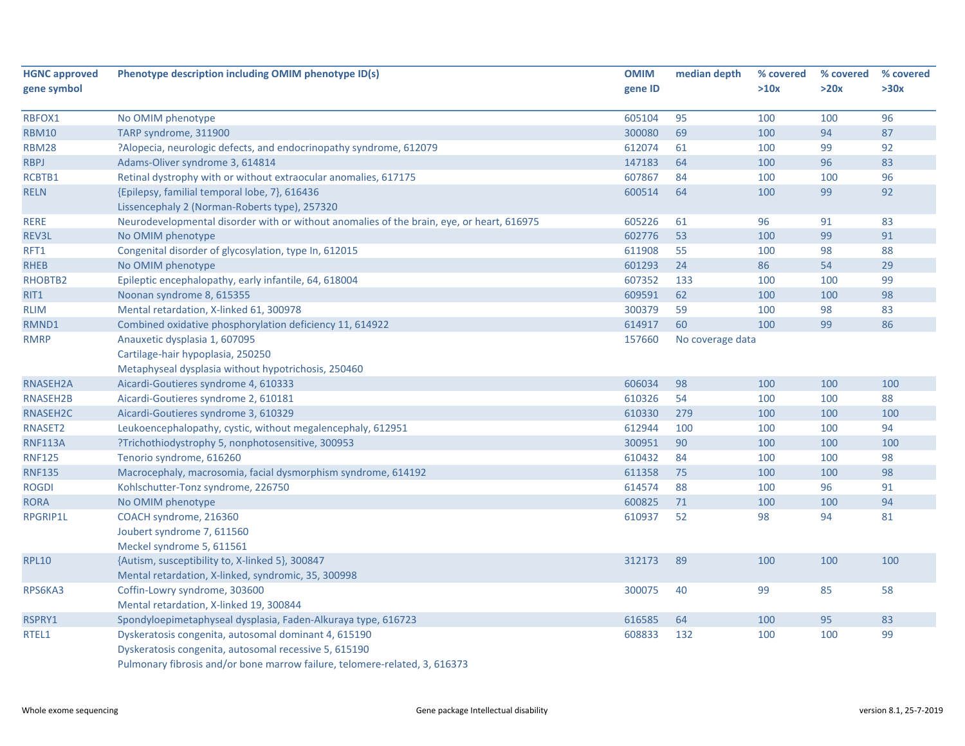| <b>HGNC approved</b> | Phenotype description including OMIM phenotype ID(s)                                      | <b>OMIM</b> | median depth     | % covered | % covered | % covered |
|----------------------|-------------------------------------------------------------------------------------------|-------------|------------------|-----------|-----------|-----------|
| gene symbol          |                                                                                           | gene ID     |                  | >10x      | >20x      | >30x      |
| RBFOX1               | No OMIM phenotype                                                                         | 605104      | 95               | 100       | 100       | 96        |
| <b>RBM10</b>         | TARP syndrome, 311900                                                                     | 300080      | 69               | 100       | 94        | 87        |
| <b>RBM28</b>         | ?Alopecia, neurologic defects, and endocrinopathy syndrome, 612079                        | 612074      | 61               | 100       | 99        | 92        |
| <b>RBPJ</b>          | Adams-Oliver syndrome 3, 614814                                                           | 147183      | 64               | 100       | 96        | 83        |
| RCBTB1               | Retinal dystrophy with or without extraocular anomalies, 617175                           | 607867      | 84               | 100       | 100       | 96        |
| <b>RELN</b>          | {Epilepsy, familial temporal lobe, 7}, 616436                                             | 600514      | 64               | 100       | 99        | 92        |
|                      | Lissencephaly 2 (Norman-Roberts type), 257320                                             |             |                  |           |           |           |
| <b>RERE</b>          | Neurodevelopmental disorder with or without anomalies of the brain, eye, or heart, 616975 | 605226      | 61               | 96        | 91        | 83        |
| REV3L                | No OMIM phenotype                                                                         | 602776      | 53               | 100       | 99        | 91        |
| RFT1                 | Congenital disorder of glycosylation, type In, 612015                                     | 611908      | 55               | 100       | 98        | 88        |
| <b>RHEB</b>          | No OMIM phenotype                                                                         | 601293      | 24               | 86        | 54        | 29        |
| RHOBTB2              | Epileptic encephalopathy, early infantile, 64, 618004                                     | 607352      | 133              | 100       | 100       | 99        |
| RIT1                 | Noonan syndrome 8, 615355                                                                 | 609591      | 62               | 100       | 100       | 98        |
| <b>RLIM</b>          | Mental retardation, X-linked 61, 300978                                                   | 300379      | 59               | 100       | 98        | 83        |
| RMND1                | Combined oxidative phosphorylation deficiency 11, 614922                                  | 614917      | 60               | 100       | 99        | 86        |
| <b>RMRP</b>          | Anauxetic dysplasia 1, 607095                                                             | 157660      | No coverage data |           |           |           |
|                      | Cartilage-hair hypoplasia, 250250                                                         |             |                  |           |           |           |
|                      | Metaphyseal dysplasia without hypotrichosis, 250460                                       |             |                  |           |           |           |
| RNASEH2A             | Aicardi-Goutieres syndrome 4, 610333                                                      | 606034      | 98               | 100       | 100       | 100       |
| RNASEH2B             | Aicardi-Goutieres syndrome 2, 610181                                                      | 610326      | 54               | 100       | 100       | 88        |
| RNASEH2C             | Aicardi-Goutieres syndrome 3, 610329                                                      | 610330      | 279              | 100       | 100       | 100       |
| RNASET2              | Leukoencephalopathy, cystic, without megalencephaly, 612951                               | 612944      | 100              | 100       | 100       | 94        |
| <b>RNF113A</b>       | ?Trichothiodystrophy 5, nonphotosensitive, 300953                                         | 300951      | 90               | 100       | 100       | 100       |
| <b>RNF125</b>        | Tenorio syndrome, 616260                                                                  | 610432      | 84               | 100       | 100       | 98        |
| <b>RNF135</b>        | Macrocephaly, macrosomia, facial dysmorphism syndrome, 614192                             | 611358      | 75               | 100       | 100       | 98        |
| <b>ROGDI</b>         | Kohlschutter-Tonz syndrome, 226750                                                        | 614574      | 88               | 100       | 96        | 91        |
| <b>RORA</b>          | No OMIM phenotype                                                                         | 600825      | 71               | 100       | 100       | 94        |
| RPGRIP1L             | COACH syndrome, 216360                                                                    | 610937      | 52               | 98        | 94        | 81        |
|                      | Joubert syndrome 7, 611560                                                                |             |                  |           |           |           |
|                      | Meckel syndrome 5, 611561                                                                 |             |                  |           |           |           |
| <b>RPL10</b>         | {Autism, susceptibility to, X-linked 5}, 300847                                           | 312173      | 89               | 100       | 100       | 100       |
|                      | Mental retardation, X-linked, syndromic, 35, 300998                                       |             |                  |           |           |           |
| RPS6KA3              | Coffin-Lowry syndrome, 303600                                                             | 300075      | 40               | 99        | 85        | 58        |
|                      | Mental retardation, X-linked 19, 300844                                                   |             |                  |           |           |           |
| RSPRY1               | Spondyloepimetaphyseal dysplasia, Faden-Alkuraya type, 616723                             | 616585      | 64               | 100       | 95        | 83        |
| RTEL1                | Dyskeratosis congenita, autosomal dominant 4, 615190                                      | 608833      | 132              | 100       | 100       | 99        |
|                      | Dyskeratosis congenita, autosomal recessive 5, 615190                                     |             |                  |           |           |           |
|                      | Pulmonary fibrosis and/or bone marrow failure, telomere-related, 3, 616373                |             |                  |           |           |           |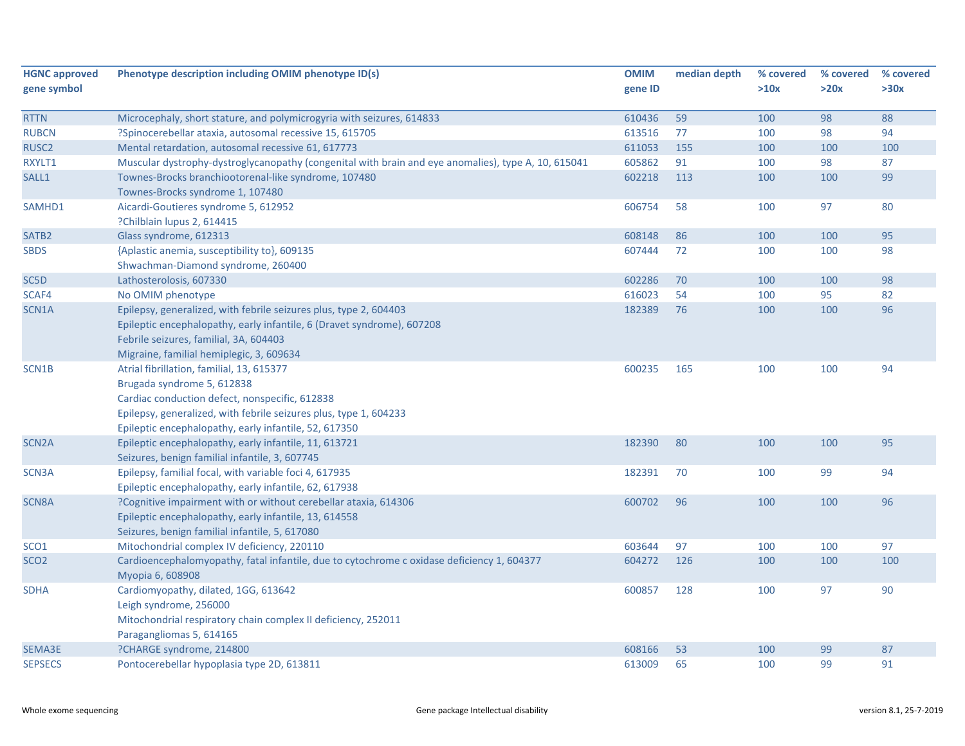| <b>HGNC approved</b> | Phenotype description including OMIM phenotype ID(s)                                                           | <b>OMIM</b> | median depth | % covered | % covered | % covered |
|----------------------|----------------------------------------------------------------------------------------------------------------|-------------|--------------|-----------|-----------|-----------|
| gene symbol          |                                                                                                                | gene ID     |              | >10x      | >20x      | >30x      |
| <b>RTTN</b>          | Microcephaly, short stature, and polymicrogyria with seizures, 614833                                          | 610436      | 59           | 100       | 98        | 88        |
| <b>RUBCN</b>         | ?Spinocerebellar ataxia, autosomal recessive 15, 615705                                                        | 613516      | 77           | 100       | 98        | 94        |
| RUSC <sub>2</sub>    | Mental retardation, autosomal recessive 61, 617773                                                             | 611053      | 155          | 100       | 100       | 100       |
| RXYLT1               | Muscular dystrophy-dystroglycanopathy (congenital with brain and eye anomalies), type A, 10, 615041            | 605862      | 91           | 100       | 98        | 87        |
| SALL1                | Townes-Brocks branchiootorenal-like syndrome, 107480                                                           | 602218      | 113          | 100       | 100       | 99        |
|                      | Townes-Brocks syndrome 1, 107480                                                                               |             |              |           |           |           |
| SAMHD1               | Aicardi-Goutieres syndrome 5, 612952                                                                           | 606754      | 58           | 100       | 97        | 80        |
|                      | ?Chilblain lupus 2, 614415                                                                                     |             |              |           |           |           |
| SATB <sub>2</sub>    | Glass syndrome, 612313                                                                                         | 608148      | 86           | 100       | 100       | 95        |
| <b>SBDS</b>          | {Aplastic anemia, susceptibility to}, 609135                                                                   | 607444      | 72           | 100       | 100       | 98        |
|                      | Shwachman-Diamond syndrome, 260400                                                                             |             |              |           |           |           |
| SC <sub>5</sub> D    | Lathosterolosis, 607330                                                                                        | 602286      | 70           | 100       | 100       | 98        |
| SCAF4                | No OMIM phenotype                                                                                              | 616023      | 54           | 100       | 95        | 82        |
| SCN1A                | Epilepsy, generalized, with febrile seizures plus, type 2, 604403                                              | 182389      | 76           | 100       | 100       | 96        |
|                      | Epileptic encephalopathy, early infantile, 6 (Dravet syndrome), 607208                                         |             |              |           |           |           |
|                      | Febrile seizures, familial, 3A, 604403                                                                         |             |              |           |           |           |
|                      | Migraine, familial hemiplegic, 3, 609634                                                                       |             |              |           |           |           |
| SCN1B                | Atrial fibrillation, familial, 13, 615377                                                                      | 600235      | 165          | 100       | 100       | 94        |
|                      | Brugada syndrome 5, 612838                                                                                     |             |              |           |           |           |
|                      | Cardiac conduction defect, nonspecific, 612838                                                                 |             |              |           |           |           |
|                      | Epilepsy, generalized, with febrile seizures plus, type 1, 604233                                              |             |              |           |           |           |
|                      | Epileptic encephalopathy, early infantile, 52, 617350                                                          |             |              |           |           |           |
| SCN <sub>2</sub> A   | Epileptic encephalopathy, early infantile, 11, 613721                                                          | 182390      | 80           | 100       | 100       | 95        |
|                      | Seizures, benign familial infantile, 3, 607745                                                                 |             |              |           |           |           |
| SCN3A                | Epilepsy, familial focal, with variable foci 4, 617935                                                         | 182391      | 70           | 100       | 99        | 94        |
|                      | Epileptic encephalopathy, early infantile, 62, 617938                                                          |             |              |           |           |           |
| SCN8A                | ?Cognitive impairment with or without cerebellar ataxia, 614306                                                | 600702      | 96           | 100       | 100       | 96        |
|                      | Epileptic encephalopathy, early infantile, 13, 614558                                                          |             |              |           |           |           |
|                      | Seizures, benign familial infantile, 5, 617080                                                                 |             |              |           |           |           |
| SCO <sub>1</sub>     | Mitochondrial complex IV deficiency, 220110                                                                    | 603644      | 97           | 100       | 100       | 97        |
| SCO <sub>2</sub>     | Cardioencephalomyopathy, fatal infantile, due to cytochrome c oxidase deficiency 1, 604377<br>Myopia 6, 608908 | 604272      | 126          | 100       | 100       | 100       |
| <b>SDHA</b>          | Cardiomyopathy, dilated, 1GG, 613642                                                                           | 600857      | 128          | 100       | 97        | 90        |
|                      | Leigh syndrome, 256000                                                                                         |             |              |           |           |           |
|                      | Mitochondrial respiratory chain complex II deficiency, 252011                                                  |             |              |           |           |           |
|                      | Paragangliomas 5, 614165                                                                                       |             |              |           |           |           |
| SEMA3E               | ?CHARGE syndrome, 214800                                                                                       | 608166      | 53           | 100       | 99        | 87        |
| <b>SEPSECS</b>       | Pontocerebellar hypoplasia type 2D, 613811                                                                     | 613009      | 65           | 100       | 99        | 91        |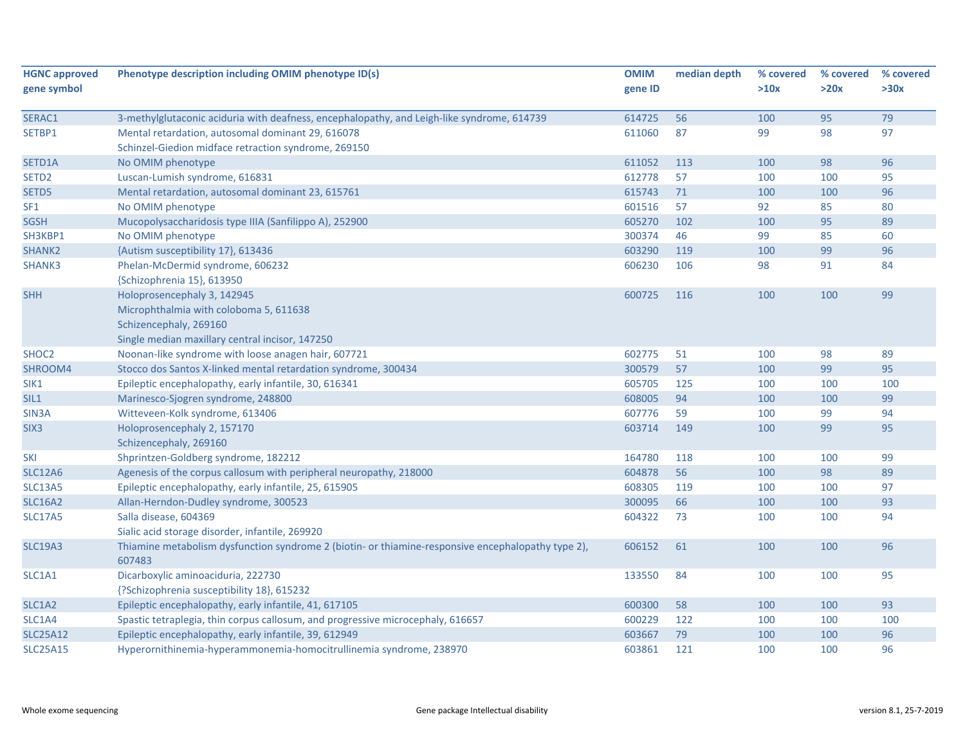| <b>HGNC approved</b> | Phenotype description including OMIM phenotype ID(s)                                               | <b>OMIM</b> | median depth | % covered | % covered | % covered |
|----------------------|----------------------------------------------------------------------------------------------------|-------------|--------------|-----------|-----------|-----------|
| gene symbol          |                                                                                                    | gene ID     |              | >10x      | >20x      | >30x      |
| SERAC1               | 3-methylglutaconic aciduria with deafness, encephalopathy, and Leigh-like syndrome, 614739         | 614725      | 56           | 100       | 95        | 79        |
| SETBP1               | Mental retardation, autosomal dominant 29, 616078                                                  | 611060      | 87           | 99        | 98        | 97        |
|                      | Schinzel-Giedion midface retraction syndrome, 269150                                               |             |              |           |           |           |
| SETD1A               | No OMIM phenotype                                                                                  | 611052      | 113          | 100       | 98        | 96        |
| SETD <sub>2</sub>    | Luscan-Lumish syndrome, 616831                                                                     | 612778      | 57           | 100       | 100       | 95        |
| SETD5                | Mental retardation, autosomal dominant 23, 615761                                                  | 615743      | 71           | 100       | 100       | 96        |
| SF <sub>1</sub>      | No OMIM phenotype                                                                                  | 601516      | 57           | 92        | 85        | 80        |
| <b>SGSH</b>          | Mucopolysaccharidosis type IIIA (Sanfilippo A), 252900                                             | 605270      | 102          | 100       | 95        | 89        |
| SH3KBP1              | No OMIM phenotype                                                                                  | 300374      | 46           | 99        | 85        | 60        |
| SHANK2               | {Autism susceptibility 17}, 613436                                                                 | 603290      | 119          | 100       | 99        | 96        |
| SHANK3               | Phelan-McDermid syndrome, 606232                                                                   | 606230      | 106          | 98        | 91        | 84        |
|                      | {Schizophrenia 15}, 613950                                                                         |             |              |           |           |           |
| <b>SHH</b>           | Holoprosencephaly 3, 142945                                                                        | 600725      | 116          | 100       | 100       | 99        |
|                      | Microphthalmia with coloboma 5, 611638                                                             |             |              |           |           |           |
|                      | Schizencephaly, 269160                                                                             |             |              |           |           |           |
|                      | Single median maxillary central incisor, 147250                                                    |             |              |           |           |           |
| SHOC <sub>2</sub>    | Noonan-like syndrome with loose anagen hair, 607721                                                | 602775      | 51           | 100       | 98        | 89        |
| SHROOM4              | Stocco dos Santos X-linked mental retardation syndrome, 300434                                     | 300579      | 57           | 100       | 99        | 95        |
| SIK1                 | Epileptic encephalopathy, early infantile, 30, 616341                                              | 605705      | 125          | 100       | 100       | 100       |
| SIL1                 | Marinesco-Sjogren syndrome, 248800                                                                 | 608005      | 94           | 100       | 100       | 99        |
| SIN <sub>3</sub> A   | Witteveen-Kolk syndrome, 613406                                                                    | 607776      | 59           | 100       | 99        | 94        |
| SIX <sub>3</sub>     | Holoprosencephaly 2, 157170                                                                        | 603714      | 149          | 100       | 99        | 95        |
|                      | Schizencephaly, 269160                                                                             |             |              |           |           |           |
| SKI                  | Shprintzen-Goldberg syndrome, 182212                                                               | 164780      | 118          | 100       | 100       | 99        |
| <b>SLC12A6</b>       | Agenesis of the corpus callosum with peripheral neuropathy, 218000                                 | 604878      | 56           | 100       | 98        | 89        |
| <b>SLC13A5</b>       | Epileptic encephalopathy, early infantile, 25, 615905                                              | 608305      | 119          | 100       | 100       | 97        |
| <b>SLC16A2</b>       | Allan-Herndon-Dudley syndrome, 300523                                                              | 300095      | 66           | 100       | 100       | 93        |
| <b>SLC17A5</b>       | Salla disease, 604369                                                                              | 604322      | 73           | 100       | 100       | 94        |
|                      | Sialic acid storage disorder, infantile, 269920                                                    |             |              |           |           |           |
| <b>SLC19A3</b>       | Thiamine metabolism dysfunction syndrome 2 (biotin- or thiamine-responsive encephalopathy type 2), | 606152      | 61           | 100       | 100       | 96        |
|                      | 607483                                                                                             |             |              |           |           |           |
| SLC1A1               | Dicarboxylic aminoaciduria, 222730                                                                 | 133550      | 84           | 100       | 100       | 95        |
|                      | {?Schizophrenia susceptibility 18}, 615232                                                         |             |              |           |           |           |
| SLC1A2               | Epileptic encephalopathy, early infantile, 41, 617105                                              | 600300      | 58           | 100       | 100       | 93        |
| SLC1A4               | Spastic tetraplegia, thin corpus callosum, and progressive microcephaly, 616657                    | 600229      | 122          | 100       | 100       | 100       |
| <b>SLC25A12</b>      | Epileptic encephalopathy, early infantile, 39, 612949                                              | 603667      | 79           | 100       | 100       | 96        |
| <b>SLC25A15</b>      | Hyperornithinemia-hyperammonemia-homocitrullinemia syndrome, 238970                                | 603861      | 121          | 100       | 100       | 96        |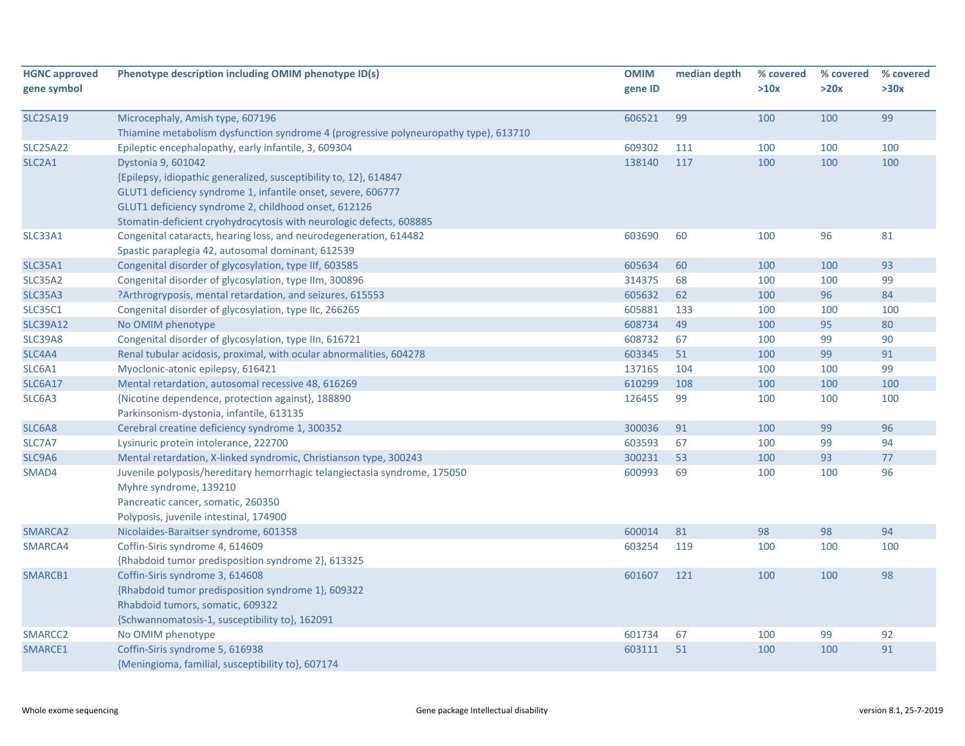| <b>HGNC approved</b><br>gene symbol | Phenotype description including OMIM phenotype ID(s)                                 | <b>OMIM</b><br>gene ID | median depth | % covered<br>>10x | % covered<br>>20x | % covered<br>>30x |
|-------------------------------------|--------------------------------------------------------------------------------------|------------------------|--------------|-------------------|-------------------|-------------------|
| <b>SLC25A19</b>                     | Microcephaly, Amish type, 607196                                                     | 606521                 | 99           | 100               | 100               | 99                |
|                                     | Thiamine metabolism dysfunction syndrome 4 (progressive polyneuropathy type), 613710 |                        |              |                   |                   |                   |
| <b>SLC25A22</b>                     | Epileptic encephalopathy, early infantile, 3, 609304                                 | 609302                 | 111          | 100               | 100               | 100               |
| SLC <sub>2</sub> A <sub>1</sub>     | Dystonia 9, 601042                                                                   | 138140                 | 117          | 100               | 100               | 100               |
|                                     | {Epilepsy, idiopathic generalized, susceptibility to, 12}, 614847                    |                        |              |                   |                   |                   |
|                                     | GLUT1 deficiency syndrome 1, infantile onset, severe, 606777                         |                        |              |                   |                   |                   |
|                                     | GLUT1 deficiency syndrome 2, childhood onset, 612126                                 |                        |              |                   |                   |                   |
|                                     | Stomatin-deficient cryohydrocytosis with neurologic defects, 608885                  |                        |              |                   |                   |                   |
| SLC33A1                             | Congenital cataracts, hearing loss, and neurodegeneration, 614482                    | 603690                 | 60           | 100               | 96                | 81                |
|                                     | Spastic paraplegia 42, autosomal dominant, 612539                                    |                        |              |                   |                   |                   |
| <b>SLC35A1</b>                      | Congenital disorder of glycosylation, type IIf, 603585                               | 605634                 | 60           | 100               | 100               | 93                |
| <b>SLC35A2</b>                      | Congenital disorder of glycosylation, type IIm, 300896                               | 314375                 | 68           | 100               | 100               | 99                |
| <b>SLC35A3</b>                      | ?Arthrogryposis, mental retardation, and seizures, 615553                            | 605632                 | 62           | 100               | 96                | 84                |
| <b>SLC35C1</b>                      | Congenital disorder of glycosylation, type IIc, 266265                               | 605881                 | 133          | 100               | 100               | 100               |
| <b>SLC39A12</b>                     | No OMIM phenotype                                                                    | 608734                 | 49           | 100               | 95                | 80                |
| <b>SLC39A8</b>                      | Congenital disorder of glycosylation, type IIn, 616721                               | 608732                 | 67           | 100               | 99                | 90                |
| SLC4A4                              | Renal tubular acidosis, proximal, with ocular abnormalities, 604278                  | 603345                 | 51           | 100               | 99                | 91                |
| SLC6A1                              | Myoclonic-atonic epilepsy, 616421                                                    | 137165                 | 104          | 100               | 100               | 99                |
| SLC6A17                             | Mental retardation, autosomal recessive 48, 616269                                   | 610299                 | 108          | 100               | 100               | 100               |
| SLC6A3                              | {Nicotine dependence, protection against}, 188890                                    | 126455                 | 99           | 100               | 100               | 100               |
|                                     | Parkinsonism-dystonia, infantile, 613135                                             |                        |              |                   |                   |                   |
| SLC6A8                              | Cerebral creatine deficiency syndrome 1, 300352                                      | 300036                 | 91           | 100               | 99                | 96                |
| SLC7A7                              | Lysinuric protein intolerance, 222700                                                | 603593                 | 67           | 100               | 99                | 94                |
| SLC9A6                              | Mental retardation, X-linked syndromic, Christianson type, 300243                    | 300231                 | 53           | 100               | 93                | 77                |
| SMAD4                               | Juvenile polyposis/hereditary hemorrhagic telangiectasia syndrome, 175050            | 600993                 | 69           | 100               | 100               | 96                |
|                                     | Myhre syndrome, 139210                                                               |                        |              |                   |                   |                   |
|                                     | Pancreatic cancer, somatic, 260350                                                   |                        |              |                   |                   |                   |
|                                     | Polyposis, juvenile intestinal, 174900                                               |                        |              |                   |                   |                   |
| SMARCA2                             | Nicolaides-Baraitser syndrome, 601358                                                | 600014                 | 81           | 98                | 98                | 94                |
| SMARCA4                             | Coffin-Siris syndrome 4, 614609                                                      | 603254                 | 119          | 100               | 100               | 100               |
|                                     | {Rhabdoid tumor predisposition syndrome 2}, 613325                                   |                        |              |                   |                   |                   |
| SMARCB1                             | Coffin-Siris syndrome 3, 614608                                                      | 601607                 | 121          | 100               | 100               | 98                |
|                                     | {Rhabdoid tumor predisposition syndrome 1}, 609322                                   |                        |              |                   |                   |                   |
|                                     | Rhabdoid tumors, somatic, 609322                                                     |                        |              |                   |                   |                   |
|                                     | {Schwannomatosis-1, susceptibility to}, 162091                                       |                        |              |                   |                   |                   |
| SMARCC <sub>2</sub>                 | No OMIM phenotype                                                                    | 601734                 | 67           | 100               | 99                | 92                |
| SMARCE1                             | Coffin-Siris syndrome 5, 616938                                                      | 603111                 | 51           | 100               | 100               | 91                |
|                                     | {Meningioma, familial, susceptibility to}, 607174                                    |                        |              |                   |                   |                   |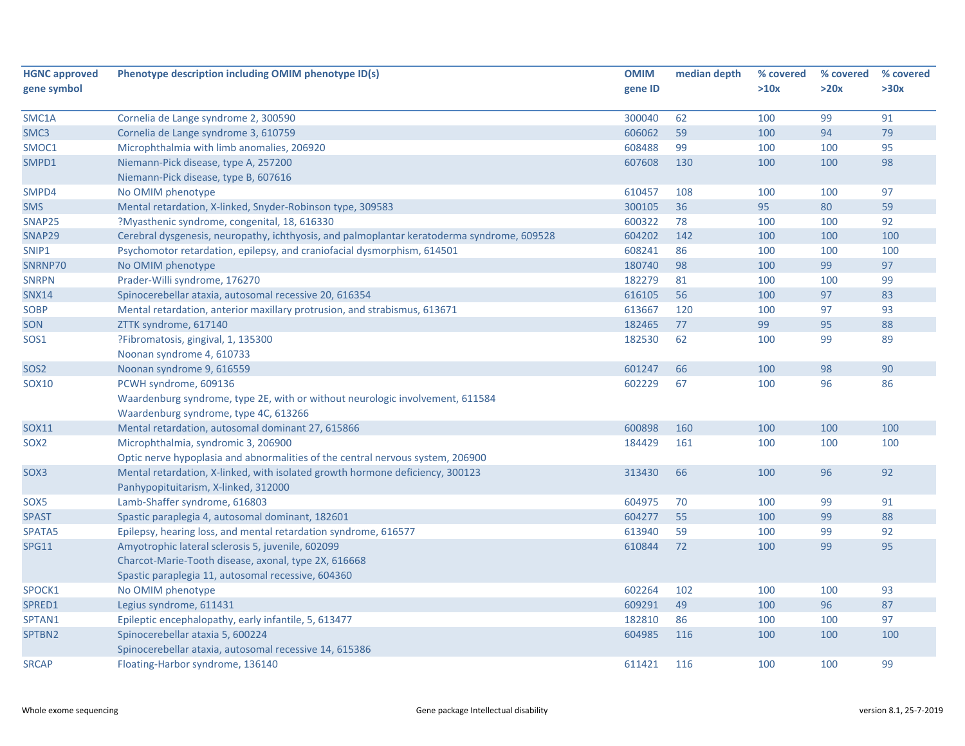| <b>HGNC approved</b> | Phenotype description including OMIM phenotype ID(s)                                       | <b>OMIM</b> | median depth | % covered | % covered | % covered |
|----------------------|--------------------------------------------------------------------------------------------|-------------|--------------|-----------|-----------|-----------|
| gene symbol          |                                                                                            | gene ID     |              | >10x      | >20x      | >30x      |
| SMC1A                | Cornelia de Lange syndrome 2, 300590                                                       | 300040      | 62           | 100       | 99        | 91        |
| SMC3                 | Cornelia de Lange syndrome 3, 610759                                                       | 606062      | 59           | 100       | 94        | 79        |
| SMOC1                | Microphthalmia with limb anomalies, 206920                                                 | 608488      | 99           | 100       | 100       | 95        |
| SMPD1                | Niemann-Pick disease, type A, 257200                                                       | 607608      | 130          | 100       | 100       | 98        |
|                      | Niemann-Pick disease, type B, 607616                                                       |             |              |           |           |           |
| SMPD4                | No OMIM phenotype                                                                          | 610457      | 108          | 100       | 100       | 97        |
| <b>SMS</b>           | Mental retardation, X-linked, Snyder-Robinson type, 309583                                 | 300105      | 36           | 95        | 80        | 59        |
| SNAP25               | ?Myasthenic syndrome, congenital, 18, 616330                                               | 600322      | 78           | 100       | 100       | 92        |
| SNAP29               | Cerebral dysgenesis, neuropathy, ichthyosis, and palmoplantar keratoderma syndrome, 609528 | 604202      | 142          | 100       | 100       | 100       |
| SNIP1                | Psychomotor retardation, epilepsy, and craniofacial dysmorphism, 614501                    | 608241      | 86           | 100       | 100       | 100       |
| SNRNP70              | No OMIM phenotype                                                                          | 180740      | 98           | 100       | 99        | 97        |
| <b>SNRPN</b>         | Prader-Willi syndrome, 176270                                                              | 182279      | 81           | 100       | 100       | 99        |
| <b>SNX14</b>         | Spinocerebellar ataxia, autosomal recessive 20, 616354                                     | 616105      | 56           | 100       | 97        | 83        |
| <b>SOBP</b>          | Mental retardation, anterior maxillary protrusion, and strabismus, 613671                  | 613667      | 120          | 100       | 97        | 93        |
| SON                  | ZTTK syndrome, 617140                                                                      | 182465      | 77           | 99        | 95        | 88        |
| <b>SOS1</b>          | ?Fibromatosis, gingival, 1, 135300                                                         | 182530      | 62           | 100       | 99        | 89        |
|                      | Noonan syndrome 4, 610733                                                                  |             |              |           |           |           |
| SOS <sub>2</sub>     | Noonan syndrome 9, 616559                                                                  | 601247      | 66           | 100       | 98        | 90        |
| SOX10                | PCWH syndrome, 609136                                                                      | 602229      | 67           | 100       | 96        | 86        |
|                      | Waardenburg syndrome, type 2E, with or without neurologic involvement, 611584              |             |              |           |           |           |
|                      | Waardenburg syndrome, type 4C, 613266                                                      |             |              |           |           |           |
| <b>SOX11</b>         | Mental retardation, autosomal dominant 27, 615866                                          | 600898      | 160          | 100       | 100       | 100       |
| SOX <sub>2</sub>     | Microphthalmia, syndromic 3, 206900                                                        | 184429      | 161          | 100       | 100       | 100       |
|                      | Optic nerve hypoplasia and abnormalities of the central nervous system, 206900             |             |              |           |           |           |
| SOX <sub>3</sub>     | Mental retardation, X-linked, with isolated growth hormone deficiency, 300123              | 313430      | 66           | 100       | 96        | 92        |
|                      | Panhypopituitarism, X-linked, 312000                                                       |             |              |           |           |           |
| SOX <sub>5</sub>     | Lamb-Shaffer syndrome, 616803                                                              | 604975      | 70           | 100       | 99        | 91        |
| <b>SPAST</b>         | Spastic paraplegia 4, autosomal dominant, 182601                                           | 604277      | 55           | 100       | 99        | 88        |
| SPATA5               | Epilepsy, hearing loss, and mental retardation syndrome, 616577                            | 613940      | 59           | 100       | 99        | 92        |
| <b>SPG11</b>         | Amyotrophic lateral sclerosis 5, juvenile, 602099                                          | 610844      | 72           | 100       | 99        | 95        |
|                      | Charcot-Marie-Tooth disease, axonal, type 2X, 616668                                       |             |              |           |           |           |
|                      | Spastic paraplegia 11, autosomal recessive, 604360                                         |             |              |           |           |           |
| SPOCK1               | No OMIM phenotype                                                                          | 602264      | 102          | 100       | 100       | 93        |
| SPRED1               | Legius syndrome, 611431                                                                    | 609291      | 49           | 100       | 96        | 87        |
| SPTAN1               | Epileptic encephalopathy, early infantile, 5, 613477                                       | 182810      | 86           | 100       | 100       | 97        |
| SPTBN2               | Spinocerebellar ataxia 5, 600224                                                           | 604985      | 116          | 100       | 100       | 100       |
|                      | Spinocerebellar ataxia, autosomal recessive 14, 615386                                     |             |              |           |           |           |
| <b>SRCAP</b>         | Floating-Harbor syndrome, 136140                                                           | 611421      | 116          | 100       | 100       | 99        |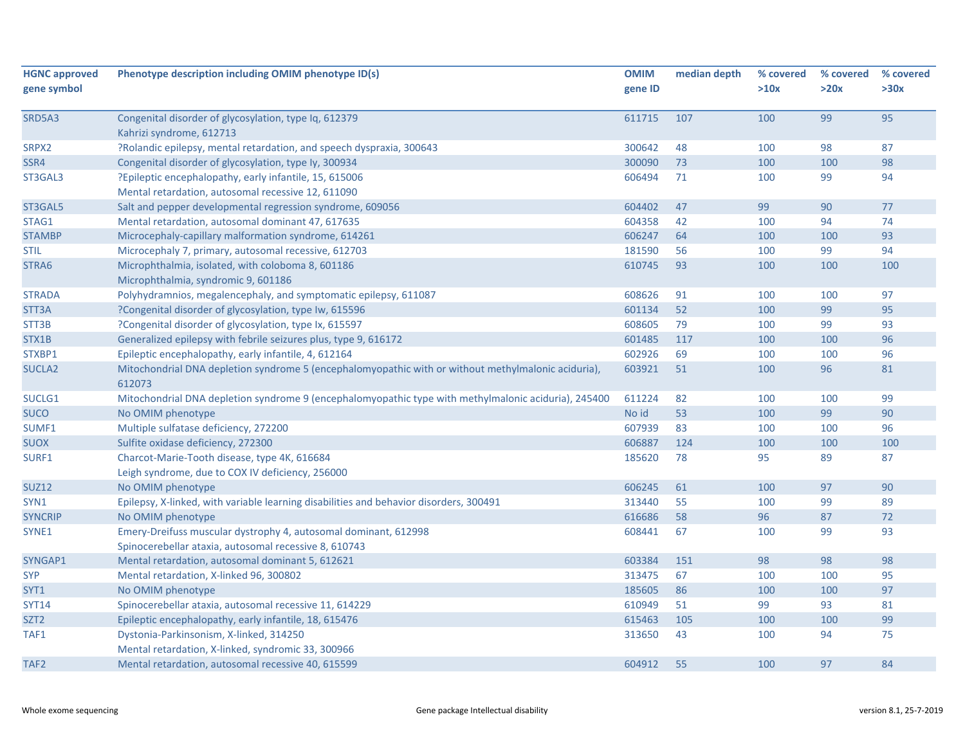| <b>HGNC approved</b> | Phenotype description including OMIM phenotype ID(s)                                                          | <b>OMIM</b> | median depth | % covered | % covered | % covered |
|----------------------|---------------------------------------------------------------------------------------------------------------|-------------|--------------|-----------|-----------|-----------|
| gene symbol          |                                                                                                               | gene ID     |              | >10x      | >20x      | >30x      |
| SRD5A3               | Congenital disorder of glycosylation, type Iq, 612379                                                         | 611715      | 107          | 100       | 99        | 95        |
|                      | Kahrizi syndrome, 612713                                                                                      |             |              |           |           |           |
| SRPX2                | ?Rolandic epilepsy, mental retardation, and speech dyspraxia, 300643                                          | 300642      | 48           | 100       | 98        | 87        |
| SSR4                 | Congenital disorder of glycosylation, type Iy, 300934                                                         | 300090      | 73           | 100       | 100       | 98        |
| ST3GAL3              | ?Epileptic encephalopathy, early infantile, 15, 615006                                                        | 606494      | 71           | 100       | 99        | 94        |
|                      | Mental retardation, autosomal recessive 12, 611090                                                            |             |              |           |           |           |
| ST3GAL5              | Salt and pepper developmental regression syndrome, 609056                                                     | 604402      | 47           | 99        | 90        | 77        |
| STAG1                | Mental retardation, autosomal dominant 47, 617635                                                             | 604358      | 42           | 100       | 94        | 74        |
| <b>STAMBP</b>        | Microcephaly-capillary malformation syndrome, 614261                                                          | 606247      | 64           | 100       | 100       | 93        |
| <b>STIL</b>          | Microcephaly 7, primary, autosomal recessive, 612703                                                          | 181590      | 56           | 100       | 99        | 94        |
| STRA6                | Microphthalmia, isolated, with coloboma 8, 601186                                                             | 610745      | 93           | 100       | 100       | 100       |
|                      | Microphthalmia, syndromic 9, 601186                                                                           |             |              |           |           |           |
| <b>STRADA</b>        | Polyhydramnios, megalencephaly, and symptomatic epilepsy, 611087                                              | 608626      | 91           | 100       | 100       | 97        |
| STT3A                | ?Congenital disorder of glycosylation, type Iw, 615596                                                        | 601134      | 52           | 100       | 99        | 95        |
| STT3B                | ?Congenital disorder of glycosylation, type Ix, 615597                                                        | 608605      | 79           | 100       | 99        | 93        |
| STX1B                | Generalized epilepsy with febrile seizures plus, type 9, 616172                                               | 601485      | 117          | 100       | 100       | 96        |
| STXBP1               | Epileptic encephalopathy, early infantile, 4, 612164                                                          | 602926      | 69           | 100       | 100       | 96        |
| <b>SUCLA2</b>        | Mitochondrial DNA depletion syndrome 5 (encephalomyopathic with or without methylmalonic aciduria),<br>612073 | 603921      | 51           | 100       | 96        | 81        |
| SUCLG1               | Mitochondrial DNA depletion syndrome 9 (encephalomyopathic type with methylmalonic aciduria), 245400          | 611224      | 82           | 100       | 100       | 99        |
| <b>SUCO</b>          | No OMIM phenotype                                                                                             | No id       | 53           | 100       | 99        | 90        |
| SUMF1                | Multiple sulfatase deficiency, 272200                                                                         | 607939      | 83           | 100       | 100       | 96        |
| <b>SUOX</b>          | Sulfite oxidase deficiency, 272300                                                                            | 606887      | 124          | 100       | 100       | 100       |
| SURF1                | Charcot-Marie-Tooth disease, type 4K, 616684                                                                  | 185620      | 78           | 95        | 89        | 87        |
|                      | Leigh syndrome, due to COX IV deficiency, 256000                                                              |             |              |           |           |           |
| <b>SUZ12</b>         | No OMIM phenotype                                                                                             | 606245      | 61           | 100       | 97        | 90        |
| SYN1                 | Epilepsy, X-linked, with variable learning disabilities and behavior disorders, 300491                        | 313440      | 55           | 100       | 99        | 89        |
| <b>SYNCRIP</b>       | No OMIM phenotype                                                                                             | 616686      | 58           | 96        | 87        | 72        |
| SYNE1                | Emery-Dreifuss muscular dystrophy 4, autosomal dominant, 612998                                               | 608441      | 67           | 100       | 99        | 93        |
|                      | Spinocerebellar ataxia, autosomal recessive 8, 610743                                                         |             |              |           |           |           |
| SYNGAP1              | Mental retardation, autosomal dominant 5, 612621                                                              | 603384      | 151          | 98        | 98        | 98        |
| <b>SYP</b>           | Mental retardation, X-linked 96, 300802                                                                       | 313475      | 67           | 100       | 100       | 95        |
| SYT1                 | No OMIM phenotype                                                                                             | 185605      | 86           | 100       | 100       | 97        |
| <b>SYT14</b>         | Spinocerebellar ataxia, autosomal recessive 11, 614229                                                        | 610949      | 51           | 99        | 93        | 81        |
| SZT <sub>2</sub>     | Epileptic encephalopathy, early infantile, 18, 615476                                                         | 615463      | 105          | 100       | 100       | 99        |
| TAF1                 | Dystonia-Parkinsonism, X-linked, 314250                                                                       | 313650      | 43           | 100       | 94        | 75        |
|                      | Mental retardation, X-linked, syndromic 33, 300966                                                            |             |              |           |           |           |
| TAF <sub>2</sub>     | Mental retardation, autosomal recessive 40, 615599                                                            | 604912      | 55           | 100       | 97        | 84        |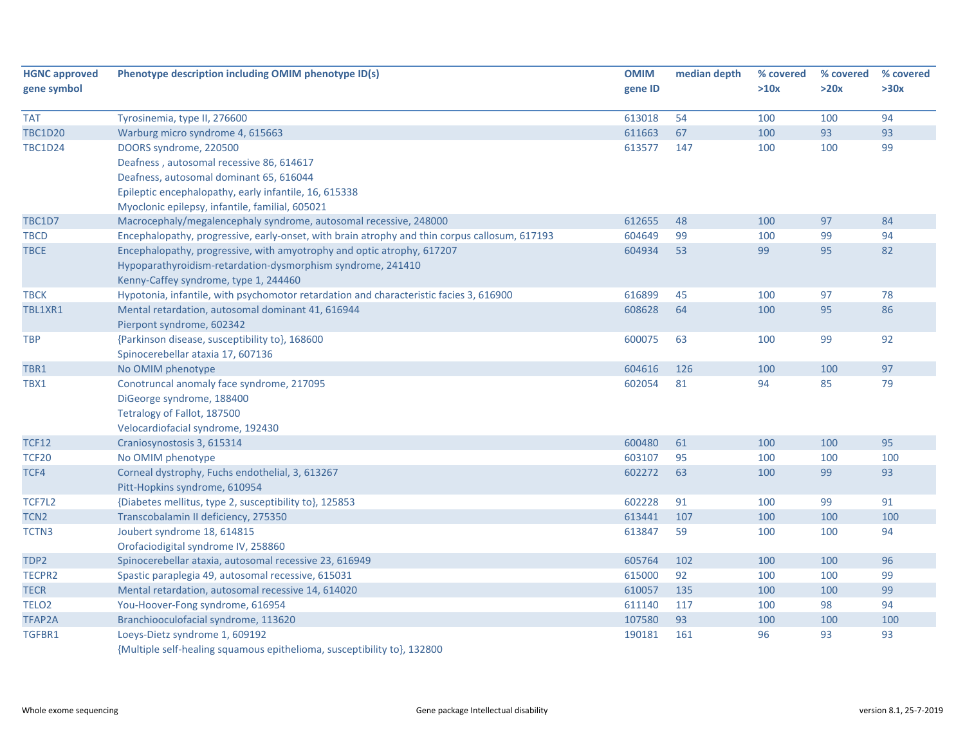| <b>HGNC approved</b><br>gene symbol | Phenotype description including OMIM phenotype ID(s)                                          | <b>OMIM</b><br>gene ID | median depth | % covered<br>>10x | % covered<br>>20x | % covered<br>>30x |
|-------------------------------------|-----------------------------------------------------------------------------------------------|------------------------|--------------|-------------------|-------------------|-------------------|
| <b>TAT</b>                          | Tyrosinemia, type II, 276600                                                                  | 613018                 | 54           | 100               | 100               | 94                |
| <b>TBC1D20</b>                      | Warburg micro syndrome 4, 615663                                                              | 611663                 | 67           | 100               | 93                | 93                |
| <b>TBC1D24</b>                      | DOORS syndrome, 220500                                                                        | 613577                 | 147          | 100               | 100               | 99                |
|                                     | Deafness, autosomal recessive 86, 614617                                                      |                        |              |                   |                   |                   |
|                                     | Deafness, autosomal dominant 65, 616044                                                       |                        |              |                   |                   |                   |
|                                     | Epileptic encephalopathy, early infantile, 16, 615338                                         |                        |              |                   |                   |                   |
|                                     | Myoclonic epilepsy, infantile, familial, 605021                                               |                        |              |                   |                   |                   |
| <b>TBC1D7</b>                       | Macrocephaly/megalencephaly syndrome, autosomal recessive, 248000                             | 612655                 | 48           | 100               | 97                | 84                |
| <b>TBCD</b>                         | Encephalopathy, progressive, early-onset, with brain atrophy and thin corpus callosum, 617193 | 604649                 | 99           | 100               | 99                | 94                |
| <b>TBCE</b>                         | Encephalopathy, progressive, with amyotrophy and optic atrophy, 617207                        | 604934                 | 53           | 99                | 95                | 82                |
|                                     | Hypoparathyroidism-retardation-dysmorphism syndrome, 241410                                   |                        |              |                   |                   |                   |
|                                     | Kenny-Caffey syndrome, type 1, 244460                                                         |                        |              |                   |                   |                   |
| <b>TBCK</b>                         | Hypotonia, infantile, with psychomotor retardation and characteristic facies 3, 616900        | 616899                 | 45           | 100               | 97                | 78                |
| TBL1XR1                             | Mental retardation, autosomal dominant 41, 616944                                             | 608628                 | 64           | 100               | 95                | 86                |
|                                     | Pierpont syndrome, 602342                                                                     |                        |              |                   |                   |                   |
| <b>TBP</b>                          | {Parkinson disease, susceptibility to}, 168600                                                | 600075                 | 63           | 100               | 99                | 92                |
|                                     | Spinocerebellar ataxia 17, 607136                                                             |                        |              |                   |                   |                   |
| TBR1                                | No OMIM phenotype                                                                             | 604616                 | 126          | 100               | 100               | 97                |
| TBX1                                | Conotruncal anomaly face syndrome, 217095                                                     | 602054                 | 81           | 94                | 85                | 79                |
|                                     | DiGeorge syndrome, 188400                                                                     |                        |              |                   |                   |                   |
|                                     | Tetralogy of Fallot, 187500                                                                   |                        |              |                   |                   |                   |
|                                     | Velocardiofacial syndrome, 192430                                                             |                        |              |                   |                   |                   |
| <b>TCF12</b>                        | Craniosynostosis 3, 615314                                                                    | 600480                 | 61           | 100               | 100               | 95                |
| <b>TCF20</b>                        | No OMIM phenotype                                                                             | 603107                 | 95           | 100               | 100               | 100               |
| TCF4                                | Corneal dystrophy, Fuchs endothelial, 3, 613267                                               | 602272                 | 63           | 100               | 99                | 93                |
|                                     | Pitt-Hopkins syndrome, 610954                                                                 |                        |              |                   |                   |                   |
| TCF7L2                              | {Diabetes mellitus, type 2, susceptibility to}, 125853                                        | 602228                 | 91           | 100               | 99                | 91                |
| TCN <sub>2</sub>                    | Transcobalamin II deficiency, 275350                                                          | 613441                 | 107          | 100               | 100               | 100               |
| TCTN3                               | Joubert syndrome 18, 614815                                                                   | 613847                 | 59           | 100               | 100               | 94                |
|                                     | Orofaciodigital syndrome IV, 258860                                                           |                        |              |                   |                   |                   |
| TDP2                                | Spinocerebellar ataxia, autosomal recessive 23, 616949                                        | 605764                 | 102          | 100               | 100               | 96                |
| TECPR2                              | Spastic paraplegia 49, autosomal recessive, 615031                                            | 615000                 | 92           | 100               | 100               | 99                |
| <b>TECR</b>                         | Mental retardation, autosomal recessive 14, 614020                                            | 610057                 | 135          | 100               | 100               | 99                |
| TELO <sub>2</sub>                   | You-Hoover-Fong syndrome, 616954                                                              | 611140                 | 117          | 100               | 98                | 94                |
| TFAP2A                              | Branchiooculofacial syndrome, 113620                                                          | 107580                 | 93           | 100               | 100               | 100               |
| TGFBR1                              | Loeys-Dietz syndrome 1, 609192                                                                | 190181                 | 161          | 96                | 93                | 93                |
|                                     | {Multiple self-healing squamous epithelioma, susceptibility to}, 132800                       |                        |              |                   |                   |                   |

Whole exome sequencing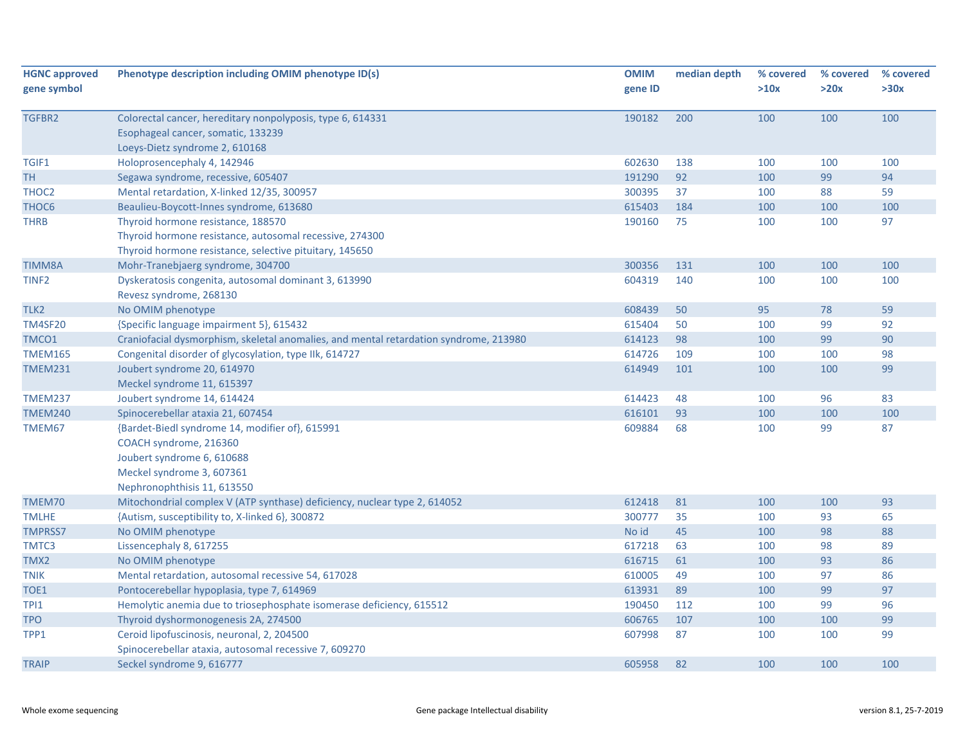| <b>HGNC approved</b> | Phenotype description including OMIM phenotype ID(s)                                             | <b>OMIM</b> | median depth | % covered | % covered | % covered |
|----------------------|--------------------------------------------------------------------------------------------------|-------------|--------------|-----------|-----------|-----------|
| gene symbol          |                                                                                                  | gene ID     |              | >10x      | >20x      | >30x      |
|                      |                                                                                                  | 190182      | 200          | 100       | 100       | 100       |
| TGFBR2               | Colorectal cancer, hereditary nonpolyposis, type 6, 614331<br>Esophageal cancer, somatic, 133239 |             |              |           |           |           |
|                      | Loeys-Dietz syndrome 2, 610168                                                                   |             |              |           |           |           |
|                      | Holoprosencephaly 4, 142946                                                                      | 602630      | 138          |           | 100       | 100       |
| TGIF1                |                                                                                                  | 191290      | 92           | 100       | 99        | 94        |
| <b>TH</b>            | Segawa syndrome, recessive, 605407                                                               |             |              | 100       |           |           |
| THOC <sub>2</sub>    | Mental retardation, X-linked 12/35, 300957                                                       | 300395      | 37           | 100       | 88        | 59        |
| THOC <sub>6</sub>    | Beaulieu-Boycott-Innes syndrome, 613680                                                          | 615403      | 184          | 100       | 100       | 100       |
| <b>THRB</b>          | Thyroid hormone resistance, 188570                                                               | 190160      | 75           | 100       | 100       | 97        |
|                      | Thyroid hormone resistance, autosomal recessive, 274300                                          |             |              |           |           |           |
|                      | Thyroid hormone resistance, selective pituitary, 145650                                          |             |              |           |           |           |
| <b>TIMM8A</b>        | Mohr-Tranebjaerg syndrome, 304700                                                                | 300356      | 131          | 100       | 100       | 100       |
| TINF <sub>2</sub>    | Dyskeratosis congenita, autosomal dominant 3, 613990<br>Revesz syndrome, 268130                  | 604319      | 140          | 100       | 100       | 100       |
| TLK <sub>2</sub>     | No OMIM phenotype                                                                                | 608439      | 50           | 95        | 78        | 59        |
| <b>TM4SF20</b>       | {Specific language impairment 5}, 615432                                                         | 615404      | 50           | 100       | 99        | 92        |
| TMCO1                | Craniofacial dysmorphism, skeletal anomalies, and mental retardation syndrome, 213980            | 614123      | 98           | 100       | 99        | 90        |
| <b>TMEM165</b>       | Congenital disorder of glycosylation, type IIk, 614727                                           | 614726      | 109          | 100       | 100       | 98        |
| <b>TMEM231</b>       | Joubert syndrome 20, 614970                                                                      | 614949      | 101          | 100       | 100       | 99        |
|                      | Meckel syndrome 11, 615397                                                                       |             |              |           |           |           |
| TMEM237              | Joubert syndrome 14, 614424                                                                      | 614423      | 48           | 100       | 96        | 83        |
| <b>TMEM240</b>       | Spinocerebellar ataxia 21, 607454                                                                | 616101      | 93           | 100       | 100       | 100       |
| TMEM67               | {Bardet-Biedl syndrome 14, modifier of}, 615991                                                  | 609884      | 68           | 100       | 99        | 87        |
|                      | COACH syndrome, 216360                                                                           |             |              |           |           |           |
|                      | Joubert syndrome 6, 610688                                                                       |             |              |           |           |           |
|                      | Meckel syndrome 3, 607361                                                                        |             |              |           |           |           |
|                      | Nephronophthisis 11, 613550                                                                      |             |              |           |           |           |
| TMEM70               | Mitochondrial complex V (ATP synthase) deficiency, nuclear type 2, 614052                        | 612418      | 81           | 100       | 100       | 93        |
| <b>TMLHE</b>         | {Autism, susceptibility to, X-linked 6}, 300872                                                  | 300777      | 35           | 100       | 93        | 65        |
| <b>TMPRSS7</b>       | No OMIM phenotype                                                                                | No id       | 45           | 100       | 98        | 88        |
| TMTC3                | Lissencephaly 8, 617255                                                                          | 617218      | 63           | 100       | 98        | 89        |
| TMX2                 | No OMIM phenotype                                                                                | 616715      | 61           | 100       | 93        | 86        |
| <b>TNIK</b>          | Mental retardation, autosomal recessive 54, 617028                                               | 610005      | 49           | 100       | 97        | 86        |
| TOE1                 | Pontocerebellar hypoplasia, type 7, 614969                                                       | 613931      | 89           | 100       | 99        | 97        |
| TPI1                 | Hemolytic anemia due to triosephosphate isomerase deficiency, 615512                             | 190450      | 112          | 100       | 99        | 96        |
| <b>TPO</b>           | Thyroid dyshormonogenesis 2A, 274500                                                             | 606765      | 107          | 100       | 100       | 99        |
| TPP1                 | Ceroid lipofuscinosis, neuronal, 2, 204500                                                       | 607998      | 87           | 100       | 100       | 99        |
|                      | Spinocerebellar ataxia, autosomal recessive 7, 609270                                            |             |              |           |           |           |
| <b>TRAIP</b>         | Seckel syndrome 9, 616777                                                                        | 605958      | 82           | 100       | 100       | 100       |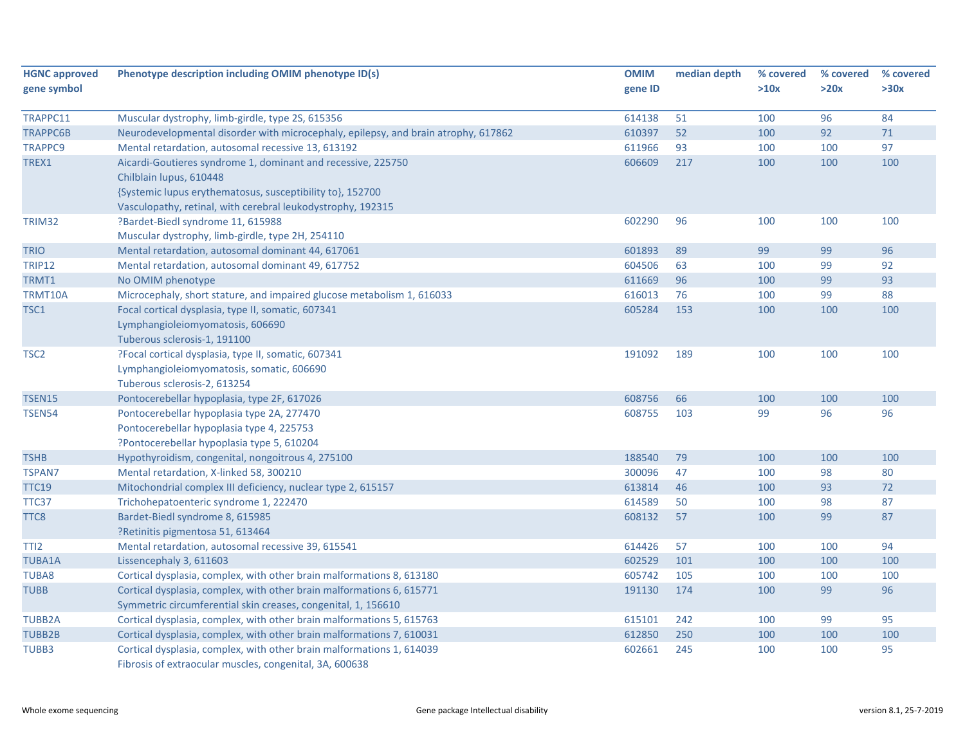| <b>HGNC approved</b><br>gene symbol | Phenotype description including OMIM phenotype ID(s)                                                                                                 | <b>OMIM</b><br>gene ID | median depth | % covered<br>>10x | % covered<br>>20x | % covered<br>>30x |
|-------------------------------------|------------------------------------------------------------------------------------------------------------------------------------------------------|------------------------|--------------|-------------------|-------------------|-------------------|
|                                     |                                                                                                                                                      |                        |              |                   |                   |                   |
| TRAPPC11                            | Muscular dystrophy, limb-girdle, type 2S, 615356                                                                                                     | 614138                 | 51           | 100               | 96                | 84                |
| <b>TRAPPC6B</b>                     | Neurodevelopmental disorder with microcephaly, epilepsy, and brain atrophy, 617862                                                                   | 610397                 | 52           | 100               | 92                | $71\,$            |
| <b>TRAPPC9</b>                      | Mental retardation, autosomal recessive 13, 613192                                                                                                   | 611966                 | 93           | 100               | 100               | 97                |
| TREX1                               | Aicardi-Goutieres syndrome 1, dominant and recessive, 225750<br>Chilblain lupus, 610448<br>{Systemic lupus erythematosus, susceptibility to}, 152700 | 606609                 | 217          | 100               | 100               | 100               |
|                                     | Vasculopathy, retinal, with cerebral leukodystrophy, 192315                                                                                          |                        |              |                   |                   |                   |
| TRIM32                              | ?Bardet-Biedl syndrome 11, 615988                                                                                                                    | 602290                 | 96           | 100               | 100               | 100               |
|                                     | Muscular dystrophy, limb-girdle, type 2H, 254110                                                                                                     |                        |              |                   |                   |                   |
| <b>TRIO</b>                         | Mental retardation, autosomal dominant 44, 617061                                                                                                    | 601893                 | 89           | 99                | 99                | 96                |
| <b>TRIP12</b>                       | Mental retardation, autosomal dominant 49, 617752                                                                                                    | 604506                 | 63           | 100               | 99                | 92                |
| TRMT1                               | No OMIM phenotype                                                                                                                                    | 611669                 | 96           | 100               | 99                | 93                |
| TRMT10A                             | Microcephaly, short stature, and impaired glucose metabolism 1, 616033                                                                               | 616013                 | 76           | 100               | 99                | 88                |
| TSC1                                | Focal cortical dysplasia, type II, somatic, 607341                                                                                                   | 605284                 | 153          | 100               | 100               | 100               |
|                                     | Lymphangioleiomyomatosis, 606690                                                                                                                     |                        |              |                   |                   |                   |
|                                     | Tuberous sclerosis-1, 191100                                                                                                                         |                        |              |                   |                   |                   |
| TSC <sub>2</sub>                    | ?Focal cortical dysplasia, type II, somatic, 607341                                                                                                  | 191092                 | 189          | 100               | 100               | 100               |
|                                     | Lymphangioleiomyomatosis, somatic, 606690                                                                                                            |                        |              |                   |                   |                   |
|                                     | Tuberous sclerosis-2, 613254                                                                                                                         |                        |              |                   |                   |                   |
| <b>TSEN15</b>                       | Pontocerebellar hypoplasia, type 2F, 617026                                                                                                          | 608756                 | 66           | 100               | 100               | 100               |
| <b>TSEN54</b>                       | Pontocerebellar hypoplasia type 2A, 277470                                                                                                           | 608755                 | 103          | 99                | 96                | 96                |
|                                     | Pontocerebellar hypoplasia type 4, 225753                                                                                                            |                        |              |                   |                   |                   |
|                                     | ?Pontocerebellar hypoplasia type 5, 610204                                                                                                           |                        |              |                   |                   |                   |
| <b>TSHB</b>                         | Hypothyroidism, congenital, nongoitrous 4, 275100                                                                                                    | 188540                 | 79           | 100               | 100               | 100               |
| <b>TSPAN7</b>                       | Mental retardation, X-linked 58, 300210                                                                                                              | 300096                 | 47           | 100               | 98                | 80                |
| <b>TTC19</b>                        | Mitochondrial complex III deficiency, nuclear type 2, 615157                                                                                         | 613814                 | 46           | 100               | 93                | 72                |
| TTC37                               | Trichohepatoenteric syndrome 1, 222470                                                                                                               | 614589                 | 50           | 100               | 98                | 87                |
| TTC8                                | Bardet-Biedl syndrome 8, 615985                                                                                                                      | 608132                 | 57           | 100               | 99                | 87                |
|                                     | ?Retinitis pigmentosa 51, 613464                                                                                                                     |                        |              |                   |                   |                   |
| TTI <sub>2</sub>                    | Mental retardation, autosomal recessive 39, 615541                                                                                                   | 614426                 | 57           | 100               | 100               | 94                |
| <b>TUBA1A</b>                       | Lissencephaly 3, 611603                                                                                                                              | 602529                 | 101          | 100               | 100               | 100               |
| TUBA8                               | Cortical dysplasia, complex, with other brain malformations 8, 613180                                                                                | 605742                 | 105          | 100               | 100               | 100               |
| <b>TUBB</b>                         | Cortical dysplasia, complex, with other brain malformations 6, 615771                                                                                | 191130                 | 174          | 100               | 99                | 96                |
|                                     | Symmetric circumferential skin creases, congenital, 1, 156610                                                                                        |                        |              |                   |                   |                   |
| <b>TUBB2A</b>                       | Cortical dysplasia, complex, with other brain malformations 5, 615763                                                                                | 615101                 | 242          | 100               | 99                | 95                |
| <b>TUBB2B</b>                       | Cortical dysplasia, complex, with other brain malformations 7, 610031                                                                                | 612850                 | 250          | 100               | 100               | 100               |
| TUBB3                               | Cortical dysplasia, complex, with other brain malformations 1, 614039<br>Fibrosis of extraocular muscles, congenital, 3A, 600638                     | 602661                 | 245          | 100               | 100               | 95                |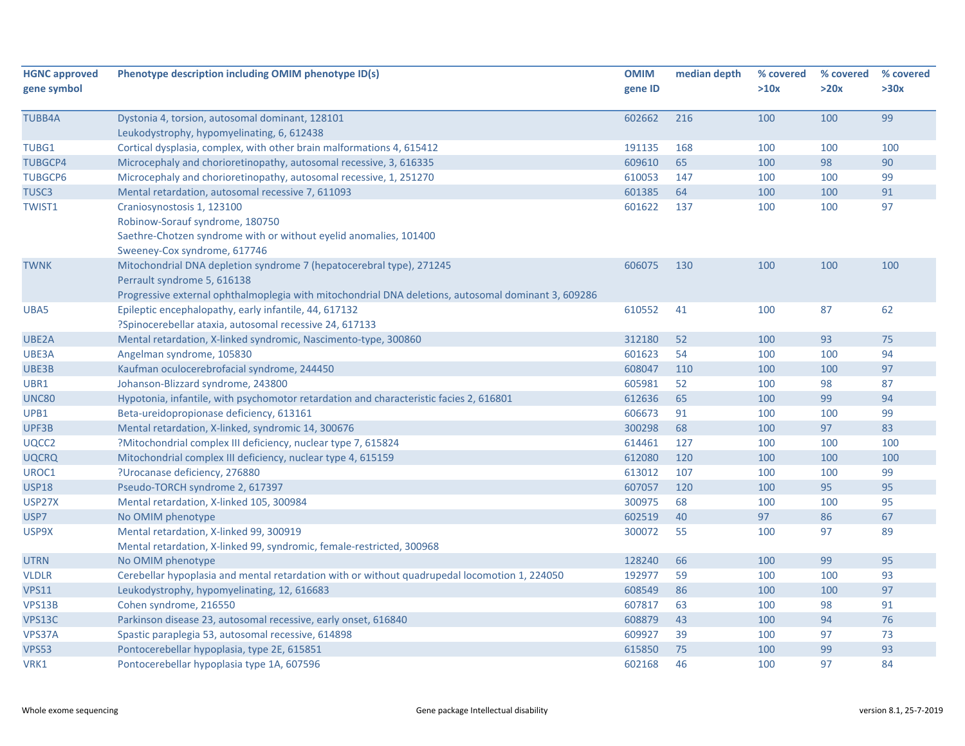| <b>HGNC approved</b> | Phenotype description including OMIM phenotype ID(s)                                                | <b>OMIM</b> | median depth | % covered | % covered | % covered |
|----------------------|-----------------------------------------------------------------------------------------------------|-------------|--------------|-----------|-----------|-----------|
| gene symbol          |                                                                                                     | gene ID     |              | >10x      | >20x      | >30x      |
| <b>TUBB4A</b>        | Dystonia 4, torsion, autosomal dominant, 128101                                                     | 602662      | 216          | 100       | 100       | 99        |
|                      | Leukodystrophy, hypomyelinating, 6, 612438                                                          |             |              |           |           |           |
| <b>TUBG1</b>         | Cortical dysplasia, complex, with other brain malformations 4, 615412                               | 191135      | 168          | 100       | 100       | 100       |
| <b>TUBGCP4</b>       | Microcephaly and chorioretinopathy, autosomal recessive, 3, 616335                                  | 609610      | 65           | 100       | 98        | 90        |
| <b>TUBGCP6</b>       | Microcephaly and chorioretinopathy, autosomal recessive, 1, 251270                                  | 610053      | 147          | 100       | 100       | 99        |
| TUSC <sub>3</sub>    | Mental retardation, autosomal recessive 7, 611093                                                   | 601385      | 64           | 100       | 100       | 91        |
| <b>TWIST1</b>        | Craniosynostosis 1, 123100                                                                          | 601622      | 137          | 100       | 100       | 97        |
|                      | Robinow-Sorauf syndrome, 180750                                                                     |             |              |           |           |           |
|                      | Saethre-Chotzen syndrome with or without eyelid anomalies, 101400                                   |             |              |           |           |           |
|                      | Sweeney-Cox syndrome, 617746                                                                        |             |              |           |           |           |
| <b>TWNK</b>          | Mitochondrial DNA depletion syndrome 7 (hepatocerebral type), 271245                                | 606075      | 130          | 100       | 100       | 100       |
|                      | Perrault syndrome 5, 616138                                                                         |             |              |           |           |           |
|                      | Progressive external ophthalmoplegia with mitochondrial DNA deletions, autosomal dominant 3, 609286 |             |              |           |           |           |
| UBA5                 | Epileptic encephalopathy, early infantile, 44, 617132                                               | 610552      | 41           | 100       | 87        | 62        |
|                      | ?Spinocerebellar ataxia, autosomal recessive 24, 617133                                             |             |              |           |           |           |
| UBE2A                | Mental retardation, X-linked syndromic, Nascimento-type, 300860                                     | 312180      | 52           | 100       | 93        | 75        |
| UBE3A                | Angelman syndrome, 105830                                                                           | 601623      | 54           | 100       | 100       | 94        |
| UBE3B                | Kaufman oculocerebrofacial syndrome, 244450                                                         | 608047      | 110          | 100       | 100       | 97        |
| UBR1                 | Johanson-Blizzard syndrome, 243800                                                                  | 605981      | 52           | 100       | 98        | 87        |
| <b>UNC80</b>         | Hypotonia, infantile, with psychomotor retardation and characteristic facies 2, 616801              | 612636      | 65           | 100       | 99        | 94        |
| UPB1                 | Beta-ureidopropionase deficiency, 613161                                                            | 606673      | 91           | 100       | 100       | 99        |
| UPF3B                | Mental retardation, X-linked, syndromic 14, 300676                                                  | 300298      | 68           | 100       | 97        | 83        |
| UQCC2                | ?Mitochondrial complex III deficiency, nuclear type 7, 615824                                       | 614461      | 127          | 100       | 100       | 100       |
| <b>UQCRQ</b>         | Mitochondrial complex III deficiency, nuclear type 4, 615159                                        | 612080      | 120          | 100       | 100       | 100       |
| UROC1                | ?Urocanase deficiency, 276880                                                                       | 613012      | 107          | 100       | 100       | 99        |
| <b>USP18</b>         | Pseudo-TORCH syndrome 2, 617397                                                                     | 607057      | 120          | 100       | 95        | 95        |
| USP27X               | Mental retardation, X-linked 105, 300984                                                            | 300975      | 68           | 100       | 100       | 95        |
| USP7                 | No OMIM phenotype                                                                                   | 602519      | 40           | 97        | 86        | 67        |
| USP9X                | Mental retardation, X-linked 99, 300919                                                             | 300072      | 55           | 100       | 97        | 89        |
|                      | Mental retardation, X-linked 99, syndromic, female-restricted, 300968                               |             |              |           |           |           |
| <b>UTRN</b>          | No OMIM phenotype                                                                                   | 128240      | 66           | 100       | 99        | 95        |
| <b>VLDLR</b>         | Cerebellar hypoplasia and mental retardation with or without quadrupedal locomotion 1, 224050       | 192977      | 59           | 100       | 100       | 93        |
| <b>VPS11</b>         | Leukodystrophy, hypomyelinating, 12, 616683                                                         | 608549      | 86           | 100       | 100       | 97        |
| VPS13B               | Cohen syndrome, 216550                                                                              | 607817      | 63           | 100       | 98        | 91        |
| VPS13C               | Parkinson disease 23, autosomal recessive, early onset, 616840                                      | 608879      | 43           | 100       | 94        | 76        |
| VPS37A               | Spastic paraplegia 53, autosomal recessive, 614898                                                  | 609927      | 39           | 100       | 97        | 73        |
| <b>VPS53</b>         | Pontocerebellar hypoplasia, type 2E, 615851                                                         | 615850      | 75           | 100       | 99        | 93        |
| VRK1                 | Pontocerebellar hypoplasia type 1A, 607596                                                          | 602168      | 46           | 100       | 97        | 84        |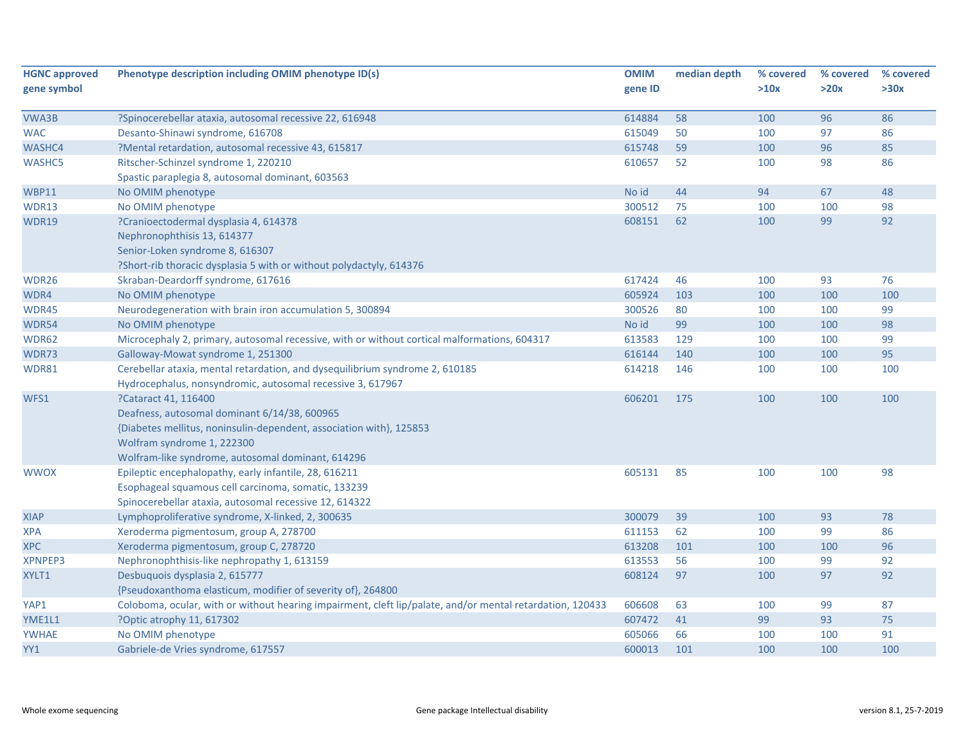| <b>HGNC approved</b> | Phenotype description including OMIM phenotype ID(s)                                                      | <b>OMIM</b> | median depth | % covered | % covered | % covered |
|----------------------|-----------------------------------------------------------------------------------------------------------|-------------|--------------|-----------|-----------|-----------|
| gene symbol          |                                                                                                           | gene ID     |              | >10x      | >20x      | >30x      |
|                      |                                                                                                           |             |              |           |           |           |
| VWA3B                | ?Spinocerebellar ataxia, autosomal recessive 22, 616948                                                   | 614884      | 58           | 100       | 96        | 86        |
| <b>WAC</b>           | Desanto-Shinawi syndrome, 616708                                                                          | 615049      | 50           | 100       | 97        | 86        |
| WASHC4               | ?Mental retardation, autosomal recessive 43, 615817                                                       | 615748      | 59           | 100       | 96        | 85        |
| <b>WASHC5</b>        | Ritscher-Schinzel syndrome 1, 220210                                                                      | 610657      | 52           | 100       | 98        | 86        |
|                      | Spastic paraplegia 8, autosomal dominant, 603563                                                          |             |              |           |           |           |
| <b>WBP11</b>         | No OMIM phenotype                                                                                         | No id       | 44           | 94        | 67        | 48        |
| WDR13                | No OMIM phenotype                                                                                         | 300512      | 75           | 100       | 100       | 98        |
| WDR19                | ?Cranioectodermal dysplasia 4, 614378                                                                     | 608151      | 62           | 100       | 99        | 92        |
|                      | Nephronophthisis 13, 614377                                                                               |             |              |           |           |           |
|                      | Senior-Loken syndrome 8, 616307                                                                           |             |              |           |           |           |
|                      | ?Short-rib thoracic dysplasia 5 with or without polydactyly, 614376                                       |             |              |           |           |           |
| WDR26                | Skraban-Deardorff syndrome, 617616                                                                        | 617424      | 46           | 100       | 93        | 76        |
| WDR4                 | No OMIM phenotype                                                                                         | 605924      | 103          | 100       | 100       | 100       |
| WDR45                | Neurodegeneration with brain iron accumulation 5, 300894                                                  | 300526      | 80           | 100       | 100       | 99        |
| WDR54                | No OMIM phenotype                                                                                         | No id       | 99           | 100       | 100       | 98        |
| WDR62                | Microcephaly 2, primary, autosomal recessive, with or without cortical malformations, 604317              | 613583      | 129          | 100       | 100       | 99        |
| WDR73                | Galloway-Mowat syndrome 1, 251300                                                                         | 616144      | 140          | 100       | 100       | 95        |
| WDR81                | Cerebellar ataxia, mental retardation, and dysequilibrium syndrome 2, 610185                              | 614218      | 146          | 100       | 100       | 100       |
|                      | Hydrocephalus, nonsyndromic, autosomal recessive 3, 617967                                                |             |              |           |           |           |
| WFS1                 | ?Cataract 41, 116400                                                                                      | 606201      | 175          | 100       | 100       | 100       |
|                      | Deafness, autosomal dominant 6/14/38, 600965                                                              |             |              |           |           |           |
|                      | {Diabetes mellitus, noninsulin-dependent, association with}, 125853                                       |             |              |           |           |           |
|                      | Wolfram syndrome 1, 222300                                                                                |             |              |           |           |           |
|                      | Wolfram-like syndrome, autosomal dominant, 614296                                                         |             |              |           |           |           |
| <b>WWOX</b>          | Epileptic encephalopathy, early infantile, 28, 616211                                                     | 605131      | 85           | 100       | 100       | 98        |
|                      | Esophageal squamous cell carcinoma, somatic, 133239                                                       |             |              |           |           |           |
|                      | Spinocerebellar ataxia, autosomal recessive 12, 614322                                                    |             |              |           |           |           |
| <b>XIAP</b>          | Lymphoproliferative syndrome, X-linked, 2, 300635                                                         | 300079      | 39           | 100       | 93        | 78        |
| <b>XPA</b>           | Xeroderma pigmentosum, group A, 278700                                                                    | 611153      | 62           | 100       | 99        | 86        |
| <b>XPC</b>           | Xeroderma pigmentosum, group C, 278720                                                                    | 613208      | 101          | 100       | 100       | 96        |
| <b>XPNPEP3</b>       | Nephronophthisis-like nephropathy 1, 613159                                                               | 613553      | 56           | 100       | 99        | 92        |
| XYLT1                | Desbuquois dysplasia 2, 615777                                                                            | 608124      | 97           | 100       | 97        | 92        |
|                      | {Pseudoxanthoma elasticum, modifier of severity of}, 264800                                               |             |              |           |           |           |
| YAP1                 | Coloboma, ocular, with or without hearing impairment, cleft lip/palate, and/or mental retardation, 120433 | 606608      | 63           | 100       | 99        | 87        |
| YME1L1               | ?Optic atrophy 11, 617302                                                                                 | 607472      | 41           | 99        | 93        | 75        |
| <b>YWHAE</b>         | No OMIM phenotype                                                                                         | 605066      | 66           | 100       | 100       | 91        |
| YY1                  | Gabriele-de Vries syndrome, 617557                                                                        | 600013      | 101          | 100       | 100       | 100       |